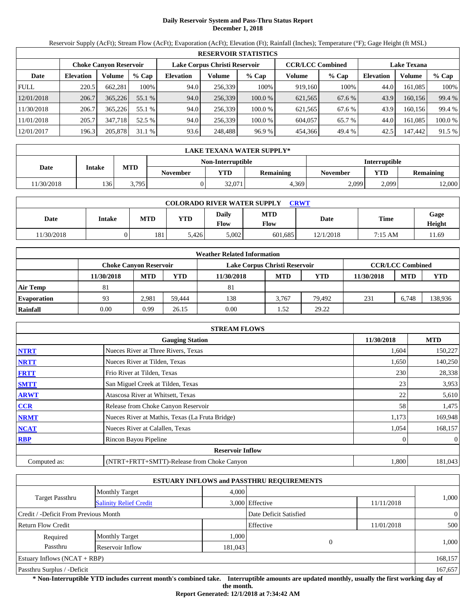# **Daily Reservoir System and Pass-Thru Status Report December 1, 2018**

Reservoir Supply (AcFt); Stream Flow (AcFt); Evaporation (AcFt); Elevation (Ft); Rainfall (Inches); Temperature (°F); Gage Height (ft MSL)

|             |                  |                        |         |                  |                               | <b>RESERVOIR STATISTICS</b> |                         |         |                    |         |         |
|-------------|------------------|------------------------|---------|------------------|-------------------------------|-----------------------------|-------------------------|---------|--------------------|---------|---------|
|             |                  | Choke Canvon Reservoir |         |                  | Lake Corpus Christi Reservoir |                             | <b>CCR/LCC Combined</b> |         | <b>Lake Texana</b> |         |         |
| Date        | <b>Elevation</b> | Volume                 | $%$ Cap | <b>Elevation</b> | Volume                        | $%$ Cap                     | Volume                  | $%$ Cap | <b>Elevation</b>   | Volume  | $%$ Cap |
| <b>FULL</b> | 220.5            | 662.281                | 100%    | 94.0             | 256.339                       | 100%                        | 919.160                 | 100%    | 44.0               | 161.085 | 100%    |
| 12/01/2018  | 206.7            | 365,226                | 55.1 %  | 94.0             | 256,339                       | 100.0%                      | 621,565                 | 67.6 %  | 43.9               | 160.156 | 99.4 %  |
| 11/30/2018  | 206.7            | 365,226                | 55.1 %  | 94.0             | 256.339                       | 100.0 %                     | 621,565                 | 67.6 %  | 43.9               | 160.156 | 99.4 %  |
| 11/01/2018  | 205.7            | 347.718                | 52.5 %  | 94.0             | 256,339                       | 100.0 %                     | 604,057                 | 65.7 %  | 44.0               | 161.085 | 100.0 % |
| 12/01/2017  | 196.3            | 205,878                | 31.1 %  | 93.6             | 248,488                       | 96.9 %                      | 454,366                 | 49.4 %  | 42.5               | 147,442 | 91.5 %  |

|           | LAKE TEXANA WATER SUPPLY* |            |                 |        |                  |          |                                |        |  |  |
|-----------|---------------------------|------------|-----------------|--------|------------------|----------|--------------------------------|--------|--|--|
|           | Non-Interruptible         |            |                 |        |                  |          | <b>Interruptible</b>           |        |  |  |
| Date      | <b>Intake</b>             | <b>MTD</b> | <b>November</b> | VTD    | <b>Remaining</b> | November | <b>YTD</b><br><b>Remaining</b> |        |  |  |
| 1/30/2018 | 136                       | 3,795      |                 | 32.071 | 4.369            | 2,099    | 2.099                          | 12,000 |  |  |

|           | <b>COLORADO RIVER WATER SUPPLY</b><br>CRWT |            |            |               |             |           |           |                       |  |  |  |
|-----------|--------------------------------------------|------------|------------|---------------|-------------|-----------|-----------|-----------------------|--|--|--|
| Date      | Intake                                     | <b>MTD</b> | <b>YTD</b> | Daily<br>Flow | MTD<br>Flow | Date      | Time      | Gage<br><b>Height</b> |  |  |  |
| 1/30/2018 |                                            | 181        | 5.426      | 5,002         | 601.685     | 12/1/2018 | $7:15$ AM | 11.69                 |  |  |  |

|                    |                        |            |        | <b>Weather Related Information</b> |            |        |            |                         |            |
|--------------------|------------------------|------------|--------|------------------------------------|------------|--------|------------|-------------------------|------------|
|                    | Choke Canvon Reservoir |            |        | Lake Corpus Christi Reservoir      |            |        |            | <b>CCR/LCC Combined</b> |            |
|                    | 11/30/2018             | <b>MTD</b> | YTD    | 11/30/2018                         | <b>MTD</b> | YTD    | 11/30/2018 | <b>MTD</b>              | <b>YTD</b> |
| <b>Air Temp</b>    | 81                     |            |        | 81                                 |            |        |            |                         |            |
| <b>Evaporation</b> | 93                     | 2.981      | 59.444 | 138                                | 3.767      | 79.492 | 231        | 6.748                   | 138,936    |
| Rainfall           | 0.00                   | 0.99       | 26.15  | 0.00                               | .52        | 29.22  |            |                         |            |

|              | <b>STREAM FLOWS</b>                             |            |                |
|--------------|-------------------------------------------------|------------|----------------|
|              | <b>Gauging Station</b>                          | 11/30/2018 | <b>MTD</b>     |
| <b>NTRT</b>  | Nueces River at Three Rivers, Texas             | 1,604      | 150,227        |
| <b>NRTT</b>  | Nueces River at Tilden, Texas                   | 1,650      | 140,250        |
| <b>FRTT</b>  | Frio River at Tilden, Texas                     | 230        | 28,338         |
| <b>SMTT</b>  | San Miguel Creek at Tilden, Texas               | 23         | 3,953          |
| <b>ARWT</b>  | Atascosa River at Whitsett, Texas               | 22         | 5,610          |
| <b>CCR</b>   | Release from Choke Canyon Reservoir             | 58         | 1,475          |
| <b>NRMT</b>  | Nueces River at Mathis, Texas (La Fruta Bridge) | 1,173      | 169,948        |
| <b>NCAT</b>  | Nueces River at Calallen, Texas                 | 1,054      | 168,157        |
| <b>RBP</b>   | Rincon Bayou Pipeline                           |            | $\overline{0}$ |
|              | <b>Reservoir Inflow</b>                         |            |                |
| Computed as: | (NTRT+FRTT+SMTT)-Release from Choke Canyon      | 1,800      | 181,043        |

|                                       |                               |         | <b>ESTUARY INFLOWS and PASSTHRU REQUIREMENTS</b> |            |                |
|---------------------------------------|-------------------------------|---------|--------------------------------------------------|------------|----------------|
|                                       | <b>Monthly Target</b>         | 4,000   |                                                  |            |                |
| <b>Target Passthru</b>                | <b>Salinity Relief Credit</b> |         | 3,000 Effective                                  | 11/11/2018 | 1,000          |
| Credit / -Deficit From Previous Month |                               |         | Date Deficit Satisfied                           |            | $\overline{0}$ |
| <b>Return Flow Credit</b>             |                               |         | Effective                                        | 11/01/2018 | 500            |
| Required                              | <b>Monthly Target</b>         | 1,000   |                                                  |            |                |
| Passthru                              | Reservoir Inflow              | 181,043 |                                                  |            | 1,000          |
| Estuary Inflows $(NCAT + RBP)$        |                               |         |                                                  |            | 168,157        |
| Passthru Surplus / -Deficit           |                               |         |                                                  |            | 167,657        |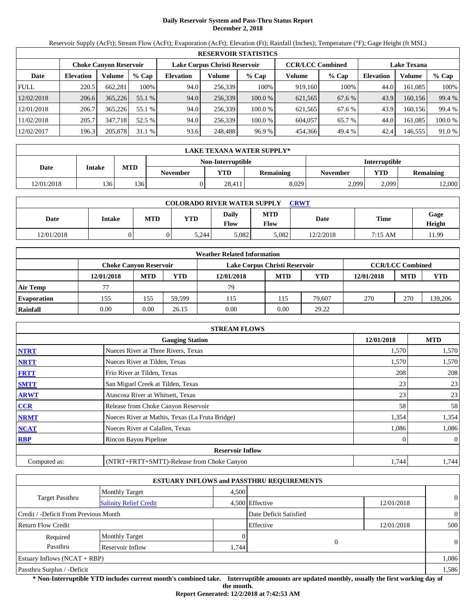# **Daily Reservoir System and Pass-Thru Status Report December 2, 2018**

Reservoir Supply (AcFt); Stream Flow (AcFt); Evaporation (AcFt); Elevation (Ft); Rainfall (Inches); Temperature (°F); Gage Height (ft MSL)

|             |                  |                               |         |                               |         | <b>RESERVOIR STATISTICS</b> |                         |         |                    |         |         |
|-------------|------------------|-------------------------------|---------|-------------------------------|---------|-----------------------------|-------------------------|---------|--------------------|---------|---------|
|             |                  | <b>Choke Canvon Reservoir</b> |         | Lake Corpus Christi Reservoir |         |                             | <b>CCR/LCC Combined</b> |         | <b>Lake Texana</b> |         |         |
| Date        | <b>Elevation</b> | Volume                        | $%$ Cap | <b>Elevation</b>              | Volume  | $%$ Cap                     | Volume                  | $%$ Cap | <b>Elevation</b>   | Volume  | % Cap   |
| <b>FULL</b> | 220.5            | 662.281                       | 100%    | 94.0                          | 256,339 | 100%                        | 919.160                 | 100%    | 44.0               | 161.085 | 100%    |
| 12/02/2018  | 206.6            | 365,226                       | 55.1 %  | 94.0                          | 256,339 | 100.0 %                     | 621,565                 | 67.6 %  | 43.9               | 160.156 | 99.4 %  |
| 12/01/2018  | 206.7            | 365.226                       | 55.1 %  | 94.0                          | 256,339 | 100.0 %                     | 621.565                 | 67.6 %  | 43.9               | 160.156 | 99.4 %  |
| 11/02/2018  | 205.7            | 347,718                       | 52.5 %  | 94.0                          | 256,339 | 100.0 %                     | 604,057                 | 65.7 %  | 44.0               | 161.085 | 100.0 % |
| 12/02/2017  | 196.3            | 205,878                       | 31.1%   | 93.6                          | 248,488 | 96.9 %                      | 454,366                 | 49.4 %  | 42.4               | 146.555 | 91.0 %  |

|            | LAKE TEXANA WATER SUPPLY* |            |                 |                   |                  |                      |            |                  |  |  |
|------------|---------------------------|------------|-----------------|-------------------|------------------|----------------------|------------|------------------|--|--|
|            |                           |            |                 | Non-Interruptible |                  | <b>Interruptible</b> |            |                  |  |  |
| Date       | <b>Intake</b>             | <b>MTD</b> | <b>November</b> | <b>YTD</b>        | <b>Remaining</b> | November             | <b>YTD</b> | <b>Remaining</b> |  |  |
| 12/01/2018 | 136                       | 136        |                 | 28.411            | 8,029            | 2,099                | 2.099      | 12,000           |  |  |

| <b>COLORADO RIVER WATER SUPPLY</b><br><b>CRWT</b> |        |     |       |               |                    |           |             |                |  |  |
|---------------------------------------------------|--------|-----|-------|---------------|--------------------|-----------|-------------|----------------|--|--|
| Date                                              | Intake | MTD | YTD   | Daily<br>Flow | <b>MTD</b><br>Flow | Date      | <b>Time</b> | Gage<br>Height |  |  |
| 12/01/2018                                        |        |     | 5.244 | 5.082         | 5.082              | 12/2/2018 | 7:15 AM     | 1.99           |  |  |

|                    |                        |            |        | <b>Weather Related Information</b> |            |            |            |                         |            |
|--------------------|------------------------|------------|--------|------------------------------------|------------|------------|------------|-------------------------|------------|
|                    | Choke Canvon Reservoir |            |        | Lake Corpus Christi Reservoir      |            |            |            | <b>CCR/LCC Combined</b> |            |
|                    | 12/01/2018             | <b>MTD</b> | YTD    | 12/01/2018                         | <b>MTD</b> | <b>YTD</b> | 12/01/2018 | <b>MTD</b>              | <b>YTD</b> |
| <b>Air Temp</b>    | 77                     |            |        | 79                                 |            |            |            |                         |            |
| <b>Evaporation</b> | 155                    | 155        | 59.599 | 115                                | 115        | 79.607     | 270        | 270                     | 139,206    |
| Rainfall           | 0.00                   | 0.00       | 26.15  | 0.00                               | 0.00       | 29.22      |            |                         |            |

|              | <b>STREAM FLOWS</b>                             |            |                |
|--------------|-------------------------------------------------|------------|----------------|
|              | <b>Gauging Station</b>                          | 12/01/2018 | <b>MTD</b>     |
| <b>NTRT</b>  | Nueces River at Three Rivers, Texas             | 1,570      | 1,570          |
| <b>NRTT</b>  | Nueces River at Tilden, Texas                   | 1,570      | 1,570          |
| <b>FRTT</b>  | Frio River at Tilden, Texas                     | 208        | 208            |
| <b>SMTT</b>  | San Miguel Creek at Tilden, Texas               | 23         | 23             |
| <b>ARWT</b>  | Atascosa River at Whitsett, Texas               | 23         | 23             |
| <b>CCR</b>   | Release from Choke Canyon Reservoir             | 58         | 58             |
| <b>NRMT</b>  | Nueces River at Mathis, Texas (La Fruta Bridge) | 1,354      | 1,354          |
| <b>NCAT</b>  | Nueces River at Calallen, Texas                 | 1,086      | 1,086          |
| <b>RBP</b>   | Rincon Bayou Pipeline                           | 0          | $\overline{0}$ |
|              | <b>Reservoir Inflow</b>                         |            |                |
| Computed as: | (NTRT+FRTT+SMTT)-Release from Choke Canyon      | 1,744      | 1,744          |

|                                       |                               |          | <b>ESTUARY INFLOWS and PASSTHRU REQUIREMENTS</b> |            |                |
|---------------------------------------|-------------------------------|----------|--------------------------------------------------|------------|----------------|
|                                       | <b>Monthly Target</b>         | 4.500    |                                                  |            |                |
| <b>Target Passthru</b>                | <b>Salinity Relief Credit</b> |          | 4,500 Effective                                  | 12/01/2018 | $\theta$       |
| Credit / -Deficit From Previous Month |                               |          | Date Deficit Satisfied                           |            | $\overline{0}$ |
| <b>Return Flow Credit</b>             |                               |          | Effective                                        | 12/01/2018 | 500            |
| Required                              | <b>Monthly Target</b>         | $\Omega$ |                                                  |            |                |
| Passthru                              | Reservoir Inflow              | .744     |                                                  |            | $\Omega$       |
| Estuary Inflows $(NCAT + RBP)$        |                               |          |                                                  |            | 1,086          |
| Passthru Surplus / -Deficit           |                               |          |                                                  |            | 1,586          |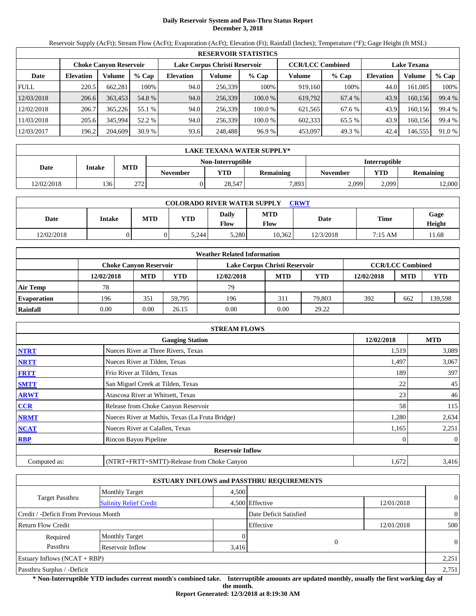# **Daily Reservoir System and Pass-Thru Status Report December 3, 2018**

Reservoir Supply (AcFt); Stream Flow (AcFt); Evaporation (AcFt); Elevation (Ft); Rainfall (Inches); Temperature (°F); Gage Height (ft MSL)

|             | <b>RESERVOIR STATISTICS</b> |                               |         |                               |         |         |                         |        |                    |         |        |  |
|-------------|-----------------------------|-------------------------------|---------|-------------------------------|---------|---------|-------------------------|--------|--------------------|---------|--------|--|
|             |                             | <b>Choke Canyon Reservoir</b> |         | Lake Corpus Christi Reservoir |         |         | <b>CCR/LCC Combined</b> |        | <b>Lake Texana</b> |         |        |  |
| Date        | <b>Elevation</b>            | Volume                        | $%$ Cap | <b>Elevation</b>              | Volume  | $%$ Cap | Volume                  | % Cap  | <b>Elevation</b>   | Volume  | % Cap  |  |
| <b>FULL</b> | 220.5                       | 662,281                       | 100%    | 94.0                          | 256.339 | 100%    | 919,160                 | 100%   | 44.0               | 161,085 | 100%   |  |
| 12/03/2018  | 206.6                       | 363,453                       | 54.8 %  | 94.0                          | 256,339 | 100.0 % | 619.792                 | 67.4 % | 43.9               | 160.156 | 99.4 % |  |
| 12/02/2018  | 206.7                       | 365,226                       | 55.1 %  | 94.0                          | 256.339 | 100.0 % | 621,565                 | 67.6 % | 43.9               | 160.156 | 99.4 % |  |
| 11/03/2018  | 205.6                       | 345.994                       | 52.2 %  | 94.0                          | 256.339 | 100.0 % | 602,333                 | 65.5 % | 43.9               | 160,156 | 99.4 % |  |
| 12/03/2017  | 196.2                       | 204,609                       | 30.9%   | 93.6                          | 248,488 | 96.9%   | 453,097                 | 49.3 % | 42.4               | 146,555 | 91.0 % |  |

|            | LAKE TEXANA WATER SUPPLY* |                                           |                 |            |                  |                 |       |           |  |  |  |
|------------|---------------------------|-------------------------------------------|-----------------|------------|------------------|-----------------|-------|-----------|--|--|--|
|            |                           | <b>Interruptible</b><br>Non-Interruptible |                 |            |                  |                 |       |           |  |  |  |
| Date       | <b>Intake</b>             | <b>MTD</b>                                | <b>November</b> | <b>YTD</b> | <b>Remaining</b> | <b>November</b> | YTD   | Remaining |  |  |  |
| 12/02/2018 | 136                       | 272                                       |                 | 28.547     | 7,893            | 2,099           | 2.099 | 12,000    |  |  |  |

| <b>COLORADO RIVER WATER SUPPLY</b><br><b>CRWT</b> |        |            |            |                      |                    |           |         |                |  |  |
|---------------------------------------------------|--------|------------|------------|----------------------|--------------------|-----------|---------|----------------|--|--|
| Date                                              | Intake | <b>MTD</b> | <b>YTD</b> | Daily<br><b>Flow</b> | <b>MTD</b><br>Flow | Date      | Time    | Gage<br>Height |  |  |
| 12/02/2018                                        |        |            | 5,244      | 5,280                | 10,362             | 12/3/2018 | 7:15 AM | 11.68          |  |  |

|                    |                        |            |        | <b>Weather Related Information</b> |            |        |            |                         |         |
|--------------------|------------------------|------------|--------|------------------------------------|------------|--------|------------|-------------------------|---------|
|                    | Choke Canvon Reservoir |            |        | Lake Corpus Christi Reservoir      |            |        |            | <b>CCR/LCC Combined</b> |         |
|                    | 12/02/2018             | <b>MTD</b> | YTD    | 12/02/2018                         | <b>MTD</b> | YTD    | 12/02/2018 | <b>MTD</b>              | YTD     |
| Air Temp           | 78                     |            |        | 79                                 |            |        |            |                         |         |
| <b>Evaporation</b> | 196                    | 351        | 59.795 | 196                                | 311        | 79.803 | 392        | 662                     | 139,598 |
| Rainfall           | 0.00                   | 0.00       | 26.15  | 0.00                               | 0.00       | 29.22  |            |                         |         |

|              | <b>STREAM FLOWS</b>                             |            |                  |
|--------------|-------------------------------------------------|------------|------------------|
|              | <b>Gauging Station</b>                          | 12/02/2018 | <b>MTD</b>       |
| <b>NTRT</b>  | Nueces River at Three Rivers, Texas             | 1,519      | 3,089            |
| <b>NRTT</b>  | Nueces River at Tilden, Texas                   | 1,497      | 3,067            |
| <b>FRTT</b>  | Frio River at Tilden, Texas                     | 189        | 397              |
| <b>SMTT</b>  | San Miguel Creek at Tilden, Texas               | 22         | 45               |
| <b>ARWT</b>  | Atascosa River at Whitsett, Texas               | 23         | 46               |
| CCR          | Release from Choke Canyon Reservoir             | 58         | 115              |
| <b>NRMT</b>  | Nueces River at Mathis, Texas (La Fruta Bridge) | 1,280      | 2,634            |
| <b>NCAT</b>  | Nueces River at Calallen, Texas                 | 1,165      | 2,251            |
| <b>RBP</b>   | Rincon Bayou Pipeline                           |            | $\boldsymbol{0}$ |
|              | <b>Reservoir Inflow</b>                         |            |                  |
| Computed as: | (NTRT+FRTT+SMTT)-Release from Choke Canyon      | 1,672      | 3,416            |

|                                       |                               |       | <b>ESTUARY INFLOWS and PASSTHRU REQUIREMENTS</b> |            |                |
|---------------------------------------|-------------------------------|-------|--------------------------------------------------|------------|----------------|
|                                       | <b>Monthly Target</b>         | 4,500 |                                                  |            |                |
| <b>Target Passthru</b>                | <b>Salinity Relief Credit</b> |       | 4,500 Effective                                  | 12/01/2018 | $\theta$       |
| Credit / -Deficit From Previous Month |                               |       | Date Deficit Satisfied                           |            | $\overline{0}$ |
| <b>Return Flow Credit</b>             |                               |       | Effective                                        | 12/01/2018 | 500            |
| Required                              | <b>Monthly Target</b>         |       |                                                  |            |                |
| Passthru                              | Reservoir Inflow              | 3,416 | $\Omega$                                         |            | $\theta$       |
| Estuary Inflows $(NCAT + RBP)$        |                               |       |                                                  |            | 2,251          |
| Passthru Surplus / -Deficit           |                               |       |                                                  |            | 2,751          |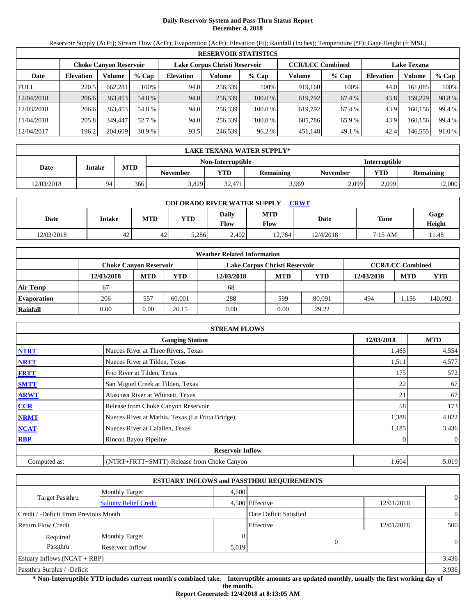# **Daily Reservoir System and Pass-Thru Status Report December 4, 2018**

Reservoir Supply (AcFt); Stream Flow (AcFt); Evaporation (AcFt); Elevation (Ft); Rainfall (Inches); Temperature (°F); Gage Height (ft MSL)

|             | <b>RESERVOIR STATISTICS</b> |                        |         |                               |         |         |                         |         |                    |         |        |  |  |
|-------------|-----------------------------|------------------------|---------|-------------------------------|---------|---------|-------------------------|---------|--------------------|---------|--------|--|--|
|             |                             | Choke Canvon Reservoir |         | Lake Corpus Christi Reservoir |         |         | <b>CCR/LCC Combined</b> |         | <b>Lake Texana</b> |         |        |  |  |
| Date        | <b>Elevation</b>            | Volume                 | $%$ Cap | <b>Elevation</b>              | Volume  | $%$ Cap | Volume                  | $%$ Cap | <b>Elevation</b>   | Volume  | % Cap  |  |  |
| <b>FULL</b> | 220.5                       | 662,281                | 100%    | 94.0                          | 256.339 | 100%    | 919.160                 | 100%    | 44.0               | 161.085 | 100%   |  |  |
| 12/04/2018  | 206.6                       | 363.453                | 54.8 %  | 94.0                          | 256,339 | 100.0 % | 619,792                 | 67.4 %  | 43.8               | 159,229 | 98.8%  |  |  |
| 12/03/2018  | 206.6                       | 363,453                | 54.8 %  | 94.0                          | 256.339 | 100.0 % | 619.792                 | 67.4 %  | 43.9               | 160,156 | 99.4 % |  |  |
| 11/04/2018  | 205.8                       | 349,447                | 52.7 %  | 94.0                          | 256.339 | 100.0 % | 605.786                 | 65.9 %  | 43.9               | 160.156 | 99.4 % |  |  |
| 12/04/2017  | 196.2                       | 204,609                | 30.9%   | 93.5                          | 246,539 | 96.2 %  | 451,148                 | 49.1 %  | 42.4               | 146,555 | 91.0 % |  |  |

|            | LAKE TEXANA WATER SUPPLY*                 |            |          |            |                  |                 |       |                  |  |  |  |
|------------|-------------------------------------------|------------|----------|------------|------------------|-----------------|-------|------------------|--|--|--|
|            | <b>Interruptible</b><br>Non-Interruptible |            |          |            |                  |                 |       |                  |  |  |  |
| Date       | <b>Intake</b>                             | <b>MTD</b> | November | <b>YTD</b> | <b>Remaining</b> | <b>November</b> | YTD   | <b>Remaining</b> |  |  |  |
| 12/03/2018 | 94                                        | 366        | 3.829    | 32.4711    | 3,969            | 2,099           | 2.099 | 12,000           |  |  |  |

| <b>COLORADO RIVER WATER SUPPLY</b><br>CRWT |                 |            |            |               |                    |           |         |                |  |  |
|--------------------------------------------|-----------------|------------|------------|---------------|--------------------|-----------|---------|----------------|--|--|
| Date                                       | Intake          | <b>MTD</b> | <b>YTD</b> | Daily<br>Flow | <b>MTD</b><br>Flow | Date      | Time    | Gage<br>Height |  |  |
| 12/03/2018                                 | $\Lambda$<br>44 | 42         | 5,286      | 2,402         | 12,764             | 12/4/2018 | 7:15 AM | '1.48          |  |  |

|                    |            |                               |        | <b>Weather Related Information</b> |            |            |            |                         |            |
|--------------------|------------|-------------------------------|--------|------------------------------------|------------|------------|------------|-------------------------|------------|
|                    |            | <b>Choke Canvon Reservoir</b> |        | Lake Corpus Christi Reservoir      |            |            |            | <b>CCR/LCC Combined</b> |            |
|                    | 12/03/2018 | <b>MTD</b>                    | YTD    | 12/03/2018                         | <b>MTD</b> | <b>YTD</b> | 12/03/2018 | <b>MTD</b>              | <b>YTD</b> |
| <b>Air Temp</b>    | 67         |                               |        | 68                                 |            |            |            |                         |            |
| <b>Evaporation</b> | 206        | 557                           | 60.001 | 288                                | 599        | 80.091     | 494        | 1,156                   | 140,092    |
| Rainfall           | 0.00       | 0.00                          | 26.15  | 0.00                               | 0.00       | 29.22      |            |                         |            |

|              | <b>STREAM FLOWS</b>                             |            |                |
|--------------|-------------------------------------------------|------------|----------------|
|              | <b>Gauging Station</b>                          | 12/03/2018 | <b>MTD</b>     |
| <b>NTRT</b>  | Nueces River at Three Rivers, Texas             | 1,465      | 4,554          |
| <b>NRTT</b>  | Nueces River at Tilden, Texas                   | 1,511      | 4,577          |
| <b>FRTT</b>  | Frio River at Tilden, Texas                     | 175        | 572            |
| <b>SMTT</b>  | San Miguel Creek at Tilden, Texas               | 22         | 67             |
| <b>ARWT</b>  | Atascosa River at Whitsett, Texas               | 21         | 67             |
| CCR          | Release from Choke Canyon Reservoir             | 58         | 173            |
| <b>NRMT</b>  | Nueces River at Mathis, Texas (La Fruta Bridge) | 1,388      | 4,022          |
| <b>NCAT</b>  | Nueces River at Calallen, Texas                 | 1,185      | 3,436          |
| <b>RBP</b>   | Rincon Bayou Pipeline                           | 0          | $\overline{0}$ |
|              | <b>Reservoir Inflow</b>                         |            |                |
| Computed as: | (NTRT+FRTT+SMTT)-Release from Choke Canyon      | 1,604      | 5,019          |

|                                                         |                       |       | <b>ESTUARY INFLOWS and PASSTHRU REQUIREMENTS</b> |            |                |  |
|---------------------------------------------------------|-----------------------|-------|--------------------------------------------------|------------|----------------|--|
|                                                         | <b>Monthly Target</b> | 4,500 |                                                  |            |                |  |
| <b>Target Passthru</b><br><b>Salinity Relief Credit</b> |                       |       | 4,500 Effective                                  | 12/01/2018 | $\overline{0}$ |  |
| Credit / -Deficit From Previous Month                   |                       |       | Date Deficit Satisfied                           |            | $\overline{0}$ |  |
| Return Flow Credit                                      |                       |       | Effective                                        | 12/01/2018 | 500            |  |
| Required                                                | <b>Monthly Target</b> |       |                                                  |            |                |  |
| Passthru                                                | Reservoir Inflow      | 5,019 | $\overline{0}$                                   |            | $\overline{0}$ |  |
| Estuary Inflows $(NCAT + RBP)$                          |                       |       |                                                  |            | 3,436          |  |
| Passthru Surplus / -Deficit                             |                       |       |                                                  |            | 3,936          |  |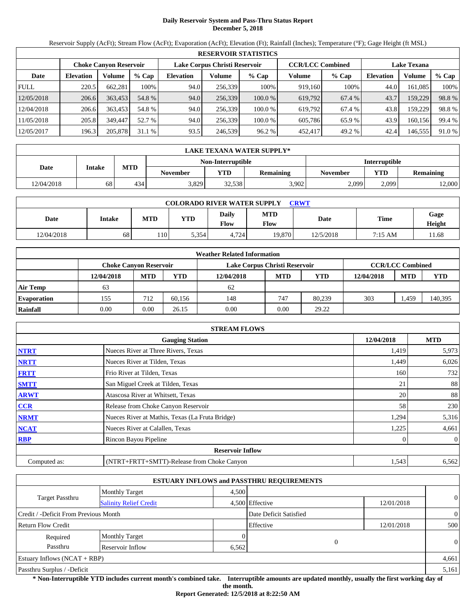# **Daily Reservoir System and Pass-Thru Status Report December 5, 2018**

Reservoir Supply (AcFt); Stream Flow (AcFt); Evaporation (AcFt); Elevation (Ft); Rainfall (Inches); Temperature (°F); Gage Height (ft MSL)

|             | <b>RESERVOIR STATISTICS</b> |                               |         |                  |                               |         |                         |        |                    |         |        |  |
|-------------|-----------------------------|-------------------------------|---------|------------------|-------------------------------|---------|-------------------------|--------|--------------------|---------|--------|--|
|             |                             | <b>Choke Canyon Reservoir</b> |         |                  | Lake Corpus Christi Reservoir |         | <b>CCR/LCC Combined</b> |        | <b>Lake Texana</b> |         |        |  |
| Date        | <b>Elevation</b>            | Volume                        | $%$ Cap | <b>Elevation</b> | Volume                        | $%$ Cap | Volume                  | % Cap  | <b>Elevation</b>   | Volume  | % Cap  |  |
| <b>FULL</b> | 220.5                       | 662,281                       | 100%    | 94.0             | 256.339                       | 100%    | 919,160                 | 100%   | 44.0               | 161,085 | 100%   |  |
| 12/05/2018  | 206.6                       | 363,453                       | 54.8 %  | 94.0             | 256,339                       | 100.0 % | 619.792                 | 67.4 % | 43.7               | 159,229 | 98.8%  |  |
| 12/04/2018  | 206.6                       | 363,453                       | 54.8 %  | 94.0             | 256.339                       | 100.0 % | 619.792                 | 67.4 % | 43.8               | 159,229 | 98.8%  |  |
| 11/05/2018  | 205.8                       | 349,447                       | 52.7 %  | 94.0             | 256.339                       | 100.0 % | 605.786                 | 65.9%  | 43.9               | 160,156 | 99.4 % |  |
| 12/05/2017  | 196.3                       | 205,878                       | 31.1%   | 93.5             | 246,539                       | 96.2 %  | 452,417                 | 49.2 % | 42.4               | 146,555 | 91.0 % |  |

|            | LAKE TEXANA WATER SUPPLY* |            |          |                   |                  |                      |       |                  |  |  |  |
|------------|---------------------------|------------|----------|-------------------|------------------|----------------------|-------|------------------|--|--|--|
|            |                           |            |          | Non-Interruptible |                  | <b>Interruptible</b> |       |                  |  |  |  |
| Date       | <b>Intake</b>             | <b>MTD</b> | November | <b>YTD</b>        | <b>Remaining</b> | <b>November</b>      | YTD   | <b>Remaining</b> |  |  |  |
| 12/04/2018 | 68                        | 434        | 3.829    | 32.538            | 3.902            | 2,099                | 2.099 | 12,000           |  |  |  |

| <b>COLORADO RIVER WATER SUPPLY</b><br>CRWT |        |            |            |                      |                    |           |         |                |  |  |
|--------------------------------------------|--------|------------|------------|----------------------|--------------------|-----------|---------|----------------|--|--|
| Date                                       | Intake | <b>MTD</b> | <b>YTD</b> | Daily<br><b>Flow</b> | <b>MTD</b><br>Flow | Date      | Time    | Gage<br>Height |  |  |
| 12/04/2018                                 | 68     | 110        | 5,354      | 4,724                | 19.870             | 12/5/2018 | 7:15 AM | 11.68          |  |  |

|                    |            |                               |        | <b>Weather Related Information</b> |            |            |            |                         |            |
|--------------------|------------|-------------------------------|--------|------------------------------------|------------|------------|------------|-------------------------|------------|
|                    |            | <b>Choke Canvon Reservoir</b> |        | Lake Corpus Christi Reservoir      |            |            |            | <b>CCR/LCC Combined</b> |            |
|                    | 12/04/2018 | <b>MTD</b>                    | YTD    | 12/04/2018                         | <b>MTD</b> | <b>YTD</b> | 12/04/2018 | <b>MTD</b>              | <b>YTD</b> |
| <b>Air Temp</b>    | 63         |                               |        | 62                                 |            |            |            |                         |            |
| <b>Evaporation</b> | 155        | 712                           | 60.156 | 148                                | 747        | 80.239     | 303        | . 459                   | 140,395    |
| Rainfall           | 0.00       | 0.00                          | 26.15  | 0.00                               | 0.00       | 29.22      |            |                         |            |

|              | <b>STREAM FLOWS</b>                             |            |                |
|--------------|-------------------------------------------------|------------|----------------|
|              | <b>Gauging Station</b>                          | 12/04/2018 | <b>MTD</b>     |
| <b>NTRT</b>  | Nueces River at Three Rivers, Texas             | 1,419      | 5,973          |
| <b>NRTT</b>  | Nueces River at Tilden, Texas                   | 1,449      | 6,026          |
| <b>FRTT</b>  | Frio River at Tilden, Texas                     | 160        | 732            |
| <b>SMTT</b>  | San Miguel Creek at Tilden, Texas               | 21         | 88             |
| <b>ARWT</b>  | Atascosa River at Whitsett, Texas               | 20         | 88             |
| <b>CCR</b>   | Release from Choke Canyon Reservoir             | 58         | 230            |
| <b>NRMT</b>  | Nueces River at Mathis, Texas (La Fruta Bridge) | 1,294      | 5,316          |
| <b>NCAT</b>  | Nueces River at Calallen, Texas                 | 1,225      | 4,661          |
| <b>RBP</b>   | Rincon Bayou Pipeline                           | 0          | $\overline{0}$ |
|              | <b>Reservoir Inflow</b>                         |            |                |
| Computed as: | (NTRT+FRTT+SMTT)-Release from Choke Canyon      | 1,543      | 6,562          |

|                                       |                               |          | <b>ESTUARY INFLOWS and PASSTHRU REQUIREMENTS</b> |            |                |
|---------------------------------------|-------------------------------|----------|--------------------------------------------------|------------|----------------|
|                                       | <b>Monthly Target</b>         | 4.500    |                                                  |            |                |
| <b>Target Passthru</b>                | <b>Salinity Relief Credit</b> |          | 4,500 Effective                                  | 12/01/2018 | $\theta$       |
| Credit / -Deficit From Previous Month |                               |          | Date Deficit Satisfied                           |            | $\overline{0}$ |
| <b>Return Flow Credit</b>             |                               |          | Effective                                        | 12/01/2018 | 500            |
| Required                              | <b>Monthly Target</b>         | $\Omega$ |                                                  |            |                |
| Passthru                              | Reservoir Inflow              | 6,562    |                                                  |            | $\Omega$       |
| Estuary Inflows $(NCAT + RBP)$        |                               |          |                                                  |            | 4,661          |
| Passthru Surplus / -Deficit           |                               |          |                                                  |            | 5,161          |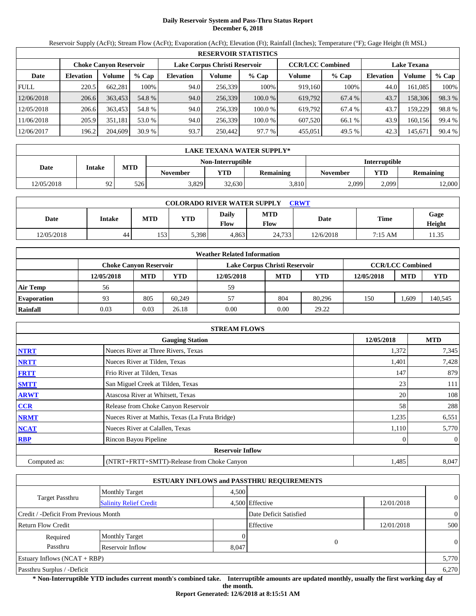# **Daily Reservoir System and Pass-Thru Status Report December 6, 2018**

Reservoir Supply (AcFt); Stream Flow (AcFt); Evaporation (AcFt); Elevation (Ft); Rainfall (Inches); Temperature (°F); Gage Height (ft MSL)

|             | <b>RESERVOIR STATISTICS</b> |                               |         |                               |         |         |                         |         |                    |         |        |  |
|-------------|-----------------------------|-------------------------------|---------|-------------------------------|---------|---------|-------------------------|---------|--------------------|---------|--------|--|
|             |                             | <b>Choke Canyon Reservoir</b> |         | Lake Corpus Christi Reservoir |         |         | <b>CCR/LCC Combined</b> |         | <b>Lake Texana</b> |         |        |  |
| Date        | <b>Elevation</b>            | Volume                        | $%$ Cap | <b>Elevation</b>              | Volume  | $%$ Cap | Volume                  | $%$ Cap | Elevation          | Volume  | % Cap  |  |
| <b>FULL</b> | 220.5                       | 662,281                       | 100%    | 94.0                          | 256,339 | 100%    | 919.160                 | 100%    | 44.0               | 161,085 | 100%   |  |
| 12/06/2018  | 206.6                       | 363,453                       | 54.8 %  | 94.0                          | 256,339 | 100.0 % | 619,792                 | 67.4 %  | 43.7               | 158,306 | 98.3 % |  |
| 12/05/2018  | 206.6                       | 363,453                       | 54.8 %  | 94.0                          | 256,339 | 100.0 % | 619.792                 | 67.4 %  | 43.7               | 159,229 | 98.8%  |  |
| 11/06/2018  | 205.9                       | 351,181                       | 53.0 %  | 94.0                          | 256,339 | 100.0 % | 607.520                 | 66.1 %  | 43.9               | 160,156 | 99.4 % |  |
| 12/06/2017  | 196.2                       | 204,609                       | 30.9%   | 93.7                          | 250,442 | 97.7 %  | 455,051                 | 49.5 %  | 42.3               | 145,671 | 90.4 % |  |

|            | LAKE TEXANA WATER SUPPLY* |            |                 |                   |                  |                      |            |                  |  |  |  |
|------------|---------------------------|------------|-----------------|-------------------|------------------|----------------------|------------|------------------|--|--|--|
|            |                           |            |                 | Non-Interruptible |                  | <b>Interruptible</b> |            |                  |  |  |  |
| Date       | <b>Intake</b>             | <b>MTD</b> | <b>November</b> | <b>VTD</b>        | <b>Remaining</b> | <b>November</b>      | <b>YTD</b> | <b>Remaining</b> |  |  |  |
| 12/05/2018 | 92                        | 526        | 3,829           | 32,630            | 3,810            | 2,099                | 2.099      | 12,000           |  |  |  |

| <b>COLORADO RIVER WATER SUPPLY</b><br>CRWT |        |            |            |                      |                    |           |         |                |  |  |
|--------------------------------------------|--------|------------|------------|----------------------|--------------------|-----------|---------|----------------|--|--|
| Date                                       | Intake | <b>MTD</b> | <b>YTD</b> | Daily<br><b>Flow</b> | <b>MTD</b><br>Flow | Date      | Time    | Gage<br>Height |  |  |
| 12/05/2018                                 | 44     | 153        | 5,398      | 4.863                | 24.733             | 12/6/2018 | 7:15 AM | 1.35           |  |  |

|                    |                               |            |        | <b>Weather Related Information</b> |            |            |            |                         |            |
|--------------------|-------------------------------|------------|--------|------------------------------------|------------|------------|------------|-------------------------|------------|
|                    | <b>Choke Canvon Reservoir</b> |            |        | Lake Corpus Christi Reservoir      |            |            |            | <b>CCR/LCC Combined</b> |            |
|                    | 12/05/2018                    | <b>MTD</b> | YTD    | 12/05/2018                         | <b>MTD</b> | <b>YTD</b> | 12/05/2018 | <b>MTD</b>              | <b>YTD</b> |
| <b>Air Temp</b>    | 56                            |            |        | 59                                 |            |            |            |                         |            |
| <b>Evaporation</b> | 93                            | 805        | 60.249 | 57                                 | 804        | 80.296     | 150        | . .609                  | 140,545    |
| Rainfall           | 0.03                          | 0.03       | 26.18  | 0.00                               | 0.00       | 29.22      |            |                         |            |

|              | <b>STREAM FLOWS</b>                             |            |                |
|--------------|-------------------------------------------------|------------|----------------|
|              | <b>Gauging Station</b>                          | 12/05/2018 | <b>MTD</b>     |
| <b>NTRT</b>  | Nueces River at Three Rivers, Texas             | 1,372      | 7,345          |
| <b>NRTT</b>  | Nueces River at Tilden, Texas                   | 1,401      | 7,428          |
| <b>FRTT</b>  | Frio River at Tilden, Texas                     | 147        | 879            |
| <b>SMTT</b>  | San Miguel Creek at Tilden, Texas               | 23         | 111            |
| <b>ARWT</b>  | Atascosa River at Whitsett, Texas               | 20         | 108            |
| CCR          | Release from Choke Canyon Reservoir             | 58         | 288            |
| <b>NRMT</b>  | Nueces River at Mathis, Texas (La Fruta Bridge) | 1,235      | 6,551          |
| <b>NCAT</b>  | Nueces River at Calallen, Texas                 | 1,110      | 5,770          |
| <b>RBP</b>   | Rincon Bayou Pipeline                           | 0          | $\overline{0}$ |
|              | <b>Reservoir Inflow</b>                         |            |                |
| Computed as: | (NTRT+FRTT+SMTT)-Release from Choke Canyon      | 1,485      | 8,047          |

|                                       |                               |       | <b>ESTUARY INFLOWS and PASSTHRU REQUIREMENTS</b> |            |                |
|---------------------------------------|-------------------------------|-------|--------------------------------------------------|------------|----------------|
|                                       | <b>Monthly Target</b>         | 4,500 |                                                  |            |                |
| <b>Target Passthru</b>                | <b>Salinity Relief Credit</b> |       | 4,500 Effective                                  | 12/01/2018 | $\overline{0}$ |
| Credit / -Deficit From Previous Month |                               |       | Date Deficit Satisfied                           |            | $\overline{0}$ |
| Return Flow Credit                    |                               |       | Effective                                        | 12/01/2018 | 500            |
| Required                              | <b>Monthly Target</b>         |       |                                                  |            |                |
| Passthru                              | Reservoir Inflow              | 8,047 | $\overline{0}$                                   |            | $\overline{0}$ |
| Estuary Inflows $(NCAT + RBP)$        |                               |       |                                                  |            | 5,770          |
| Passthru Surplus / -Deficit           |                               |       |                                                  |            | 6,270          |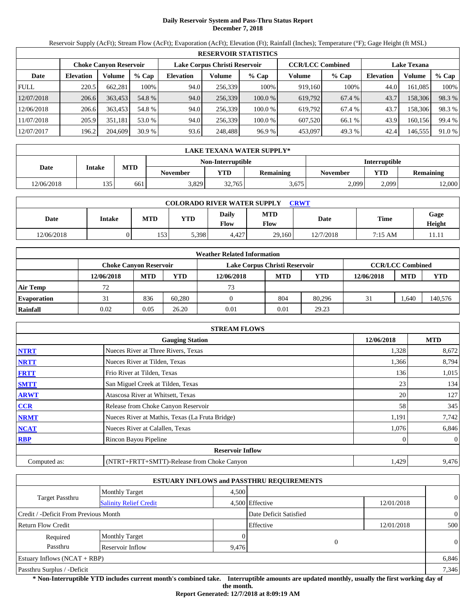# **Daily Reservoir System and Pass-Thru Status Report December 7, 2018**

Reservoir Supply (AcFt); Stream Flow (AcFt); Evaporation (AcFt); Elevation (Ft); Rainfall (Inches); Temperature (°F); Gage Height (ft MSL)

|             | <b>RESERVOIR STATISTICS</b> |                               |         |                               |         |         |                         |        |                    |         |        |  |
|-------------|-----------------------------|-------------------------------|---------|-------------------------------|---------|---------|-------------------------|--------|--------------------|---------|--------|--|
|             |                             | <b>Choke Canyon Reservoir</b> |         | Lake Corpus Christi Reservoir |         |         | <b>CCR/LCC Combined</b> |        | <b>Lake Texana</b> |         |        |  |
| Date        | <b>Elevation</b>            | Volume                        | $%$ Cap | <b>Elevation</b>              | Volume  | $%$ Cap | Volume                  | % Cap  | <b>Elevation</b>   | Volume  | % Cap  |  |
| <b>FULL</b> | 220.5                       | 662,281                       | 100%    | 94.0                          | 256.339 | 100%    | 919,160                 | 100%   | 44.0               | 161,085 | 100%   |  |
| 12/07/2018  | 206.6                       | 363,453                       | 54.8 %  | 94.0                          | 256,339 | 100.0 % | 619.792                 | 67.4 % | 43.7               | 158,306 | 98.3 % |  |
| 12/06/2018  | 206.6                       | 363,453                       | 54.8 %  | 94.0                          | 256.339 | 100.0 % | 619.792                 | 67.4 % | 43.7               | 158,306 | 98.3 % |  |
| 11/07/2018  | 205.9                       | 351.181                       | 53.0 %  | 94.0                          | 256.339 | 100.0 % | 607.520                 | 66.1 % | 43.9               | 160,156 | 99.4 % |  |
| 12/07/2017  | 196.2                       | 204,609                       | 30.9%   | 93.6                          | 248,488 | 96.9%   | 453,097                 | 49.3 % | 42.4               | 146,555 | 91.0 % |  |

|            | LAKE TEXANA WATER SUPPLY* |            |          |                   |                  |                      |       |                  |  |  |  |
|------------|---------------------------|------------|----------|-------------------|------------------|----------------------|-------|------------------|--|--|--|
|            |                           |            |          | Non-Interruptible |                  | <b>Interruptible</b> |       |                  |  |  |  |
| Date       | <b>Intake</b>             | <b>MTD</b> | November | <b>YTD</b>        | <b>Remaining</b> | <b>November</b>      | YTD   | <b>Remaining</b> |  |  |  |
| 12/06/2018 | 135                       | 661        | 3.829    | 32.765            | 3,675            | 2,099                | 2.099 | 12,000           |  |  |  |

| <b>COLORADO RIVER WATER SUPPLY</b><br>CRWT |        |            |            |                      |                    |           |         |                |  |  |
|--------------------------------------------|--------|------------|------------|----------------------|--------------------|-----------|---------|----------------|--|--|
| Date                                       | Intake | <b>MTD</b> | <b>YTD</b> | Daily<br><b>Flow</b> | <b>MTD</b><br>Flow | Date      | Time    | Gage<br>Height |  |  |
| 12/06/2018                                 |        | 153        | 5,398      | 4.427                | 29,160             | 12/7/2018 | 7:15 AM | 11.11          |  |  |

|                    | <b>Weather Related Information</b> |            |        |                               |            |            |            |                         |            |  |  |
|--------------------|------------------------------------|------------|--------|-------------------------------|------------|------------|------------|-------------------------|------------|--|--|
|                    | Choke Canvon Reservoir             |            |        | Lake Corpus Christi Reservoir |            |            |            | <b>CCR/LCC Combined</b> |            |  |  |
|                    | 12/06/2018                         | <b>MTD</b> | YTD    | 12/06/2018                    | <b>MTD</b> | <b>YTD</b> | 12/06/2018 | <b>MTD</b>              | <b>YTD</b> |  |  |
| <b>Air Temp</b>    | 72                                 |            |        | 73                            |            |            |            |                         |            |  |  |
| <b>Evaporation</b> | 31                                 | 836        | 60.280 |                               | 804        | 80.296     | 31         | .,640                   | 140,576    |  |  |
| Rainfall           | 0.02                               | 0.05       | 26.20  | 0.01                          | 0.01       | 29.23      |            |                         |            |  |  |

|              | <b>STREAM FLOWS</b>                             |            |              |
|--------------|-------------------------------------------------|------------|--------------|
|              | <b>Gauging Station</b>                          | 12/06/2018 | <b>MTD</b>   |
| <b>NTRT</b>  | Nueces River at Three Rivers, Texas             | 1,328      | 8,672        |
| <b>NRTT</b>  | Nueces River at Tilden, Texas                   | 1,366      | 8,794        |
| <b>FRTT</b>  | Frio River at Tilden, Texas                     | 136        | 1,015        |
| <b>SMTT</b>  | San Miguel Creek at Tilden, Texas               | 23         | 134          |
| <b>ARWT</b>  | Atascosa River at Whitsett, Texas               | 20         | 127          |
| CCR          | Release from Choke Canyon Reservoir             | 58         | 345          |
| <b>NRMT</b>  | Nueces River at Mathis, Texas (La Fruta Bridge) | 1,191      | 7,742        |
| <b>NCAT</b>  | Nueces River at Calallen, Texas                 | 1,076      | 6,846        |
| <b>RBP</b>   | Rincon Bayou Pipeline                           |            | $\mathbf{0}$ |
|              | <b>Reservoir Inflow</b>                         |            |              |
| Computed as: | (NTRT+FRTT+SMTT)-Release from Choke Canyon      | 1,429      | 9,476        |

|                                       |                               |       | <b>ESTUARY INFLOWS and PASSTHRU REQUIREMENTS</b> |            |                |
|---------------------------------------|-------------------------------|-------|--------------------------------------------------|------------|----------------|
|                                       | <b>Monthly Target</b>         | 4.500 |                                                  |            |                |
| <b>Target Passthru</b>                | <b>Salinity Relief Credit</b> |       | 4,500 Effective                                  | 12/01/2018 | $\overline{0}$ |
| Credit / -Deficit From Previous Month |                               |       | Date Deficit Satisfied                           |            | $\overline{0}$ |
| <b>Return Flow Credit</b>             |                               |       | Effective                                        | 12/01/2018 | 500            |
| Required                              | <b>Monthly Target</b>         |       |                                                  |            |                |
| Passthru                              | Reservoir Inflow              | 9,476 | 0                                                |            | $\Omega$       |
| Estuary Inflows $(NCAT + RBP)$        |                               |       |                                                  |            | 6,846          |
| Passthru Surplus / -Deficit           |                               |       |                                                  |            | 7,346          |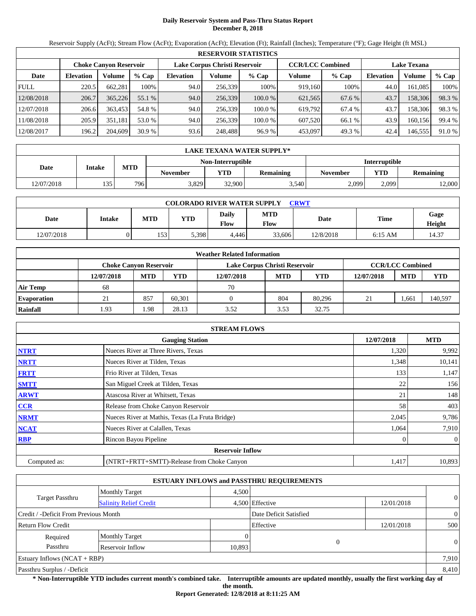# **Daily Reservoir System and Pass-Thru Status Report December 8, 2018**

Reservoir Supply (AcFt); Stream Flow (AcFt); Evaporation (AcFt); Elevation (Ft); Rainfall (Inches); Temperature (°F); Gage Height (ft MSL)

|             | <b>RESERVOIR STATISTICS</b> |                               |         |                               |         |         |                         |         |                    |         |        |  |
|-------------|-----------------------------|-------------------------------|---------|-------------------------------|---------|---------|-------------------------|---------|--------------------|---------|--------|--|
|             |                             | <b>Choke Canyon Reservoir</b> |         | Lake Corpus Christi Reservoir |         |         | <b>CCR/LCC Combined</b> |         | <b>Lake Texana</b> |         |        |  |
| Date        | <b>Elevation</b>            | Volume                        | $%$ Cap | <b>Elevation</b>              | Volume  | $%$ Cap | Volume                  | $%$ Cap | <b>Elevation</b>   | Volume  | % Cap  |  |
| <b>FULL</b> | 220.5                       | 662,281                       | 100%    | 94.0                          | 256,339 | 100%    | 919,160                 | 100%    | 44.0               | 161.085 | 100%   |  |
| 12/08/2018  | 206.7                       | 365,226                       | 55.1 %  | 94.0                          | 256,339 | 100.0 % | 621,565                 | 67.6 %  | 43.7               | 158,306 | 98.3%  |  |
| 12/07/2018  | 206.6                       | 363.453                       | 54.8 %  | 94.0                          | 256.339 | 100.0 % | 619.792                 | 67.4 %  | 43.7               | 158,306 | 98.3 % |  |
| 11/08/2018  | 205.9                       | 351.181                       | 53.0 %  | 94.0                          | 256,339 | 100.0%  | 607,520                 | 66.1 %  | 43.9               | 160.156 | 99.4 % |  |
| 12/08/2017  | 196.2                       | 204,609                       | 30.9%   | 93.6                          | 248,488 | 96.9%   | 453,097                 | 49.3 %  | 42.4               | 146,555 | 91.0 % |  |

|            | LAKE TEXANA WATER SUPPLY* |            |          |                   |                  |                      |       |                  |  |  |  |
|------------|---------------------------|------------|----------|-------------------|------------------|----------------------|-------|------------------|--|--|--|
|            |                           |            |          | Non-Interruptible |                  | <b>Interruptible</b> |       |                  |  |  |  |
| Date       | <b>Intake</b>             | <b>MTD</b> | November | <b>YTD</b>        | <b>Remaining</b> | <b>November</b>      | YTD   | <b>Remaining</b> |  |  |  |
| 12/07/2018 | 135                       | 796        | 3.829    | 32,900            | 3,540            | 2,099                | 2.099 | 12,000           |  |  |  |

| <b>COLORADO RIVER WATER SUPPLY</b><br>CRWT |        |            |            |                      |                    |           |           |                |  |  |
|--------------------------------------------|--------|------------|------------|----------------------|--------------------|-----------|-----------|----------------|--|--|
| Date                                       | Intake | <b>MTD</b> | <b>YTD</b> | Daily<br><b>Flow</b> | <b>MTD</b><br>Flow | Date      | Time      | Gage<br>Height |  |  |
| 12/07/2018                                 |        | 153        | 5,398      | 4.446                | 33,606             | 12/8/2018 | $6:15$ AM | 14.37          |  |  |

|                    |                               |            |        | <b>Weather Related Information</b> |            |            |            |                         |            |
|--------------------|-------------------------------|------------|--------|------------------------------------|------------|------------|------------|-------------------------|------------|
|                    | <b>Choke Canvon Reservoir</b> |            |        | Lake Corpus Christi Reservoir      |            |            |            | <b>CCR/LCC Combined</b> |            |
|                    | 12/07/2018                    | <b>MTD</b> | YTD    | 12/07/2018                         | <b>MTD</b> | <b>YTD</b> | 12/07/2018 | <b>MTD</b>              | <b>YTD</b> |
| <b>Air Temp</b>    | 68                            |            |        | 70                                 |            |            |            |                         |            |
| <b>Evaporation</b> | 21                            | 857        | 60.301 |                                    | 804        | 80.296     | 21         | . 661                   | 140,597    |
| Rainfall           | . 93                          | . 98       | 28.13  | 3.52                               | 3.53       | 32.75      |            |                         |            |

|              | <b>STREAM FLOWS</b>                             |            |              |
|--------------|-------------------------------------------------|------------|--------------|
|              | <b>Gauging Station</b>                          | 12/07/2018 | <b>MTD</b>   |
| <b>NTRT</b>  | Nueces River at Three Rivers, Texas             | 1,320      | 9,992        |
| <b>NRTT</b>  | Nueces River at Tilden, Texas                   | 1,348      | 10,141       |
| <b>FRTT</b>  | Frio River at Tilden, Texas                     | 133        | 1,147        |
| <b>SMTT</b>  | San Miguel Creek at Tilden, Texas               | 22         | 156          |
| <b>ARWT</b>  | Atascosa River at Whitsett, Texas               | 21         | 148          |
| CCR          | Release from Choke Canyon Reservoir             | 58         | 403          |
| <b>NRMT</b>  | Nueces River at Mathis, Texas (La Fruta Bridge) | 2,045      | 9,786        |
| <b>NCAT</b>  | Nueces River at Calallen, Texas                 | 1,064      | 7,910        |
| <b>RBP</b>   | Rincon Bayou Pipeline                           |            | $\mathbf{0}$ |
|              | <b>Reservoir Inflow</b>                         |            |              |
| Computed as: | (NTRT+FRTT+SMTT)-Release from Choke Canyon      | 1,417      | 10,893       |

|                                       |                               |        | <b>ESTUARY INFLOWS and PASSTHRU REQUIREMENTS</b> |            |                |
|---------------------------------------|-------------------------------|--------|--------------------------------------------------|------------|----------------|
|                                       | <b>Monthly Target</b>         | 4.500  |                                                  |            |                |
| Target Passthru                       | <b>Salinity Relief Credit</b> |        | 4,500 Effective                                  | 12/01/2018 | $\overline{0}$ |
| Credit / -Deficit From Previous Month |                               |        | Date Deficit Satisfied                           |            | $\overline{0}$ |
| <b>Return Flow Credit</b>             |                               |        | Effective                                        | 12/01/2018 | 500            |
| Required                              | <b>Monthly Target</b>         |        |                                                  |            |                |
| Passthru                              | Reservoir Inflow              | 10,893 |                                                  |            | $\Omega$       |
| Estuary Inflows $(NCAT + RBP)$        |                               |        |                                                  |            | 7,910          |
| Passthru Surplus / -Deficit           |                               |        |                                                  |            | 8.410          |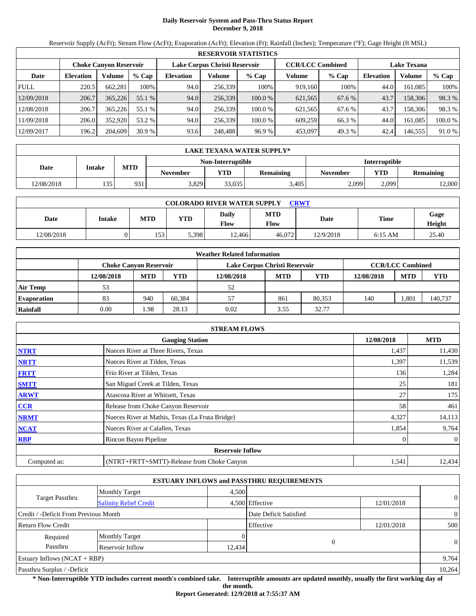# **Daily Reservoir System and Pass-Thru Status Report December 9, 2018**

Reservoir Supply (AcFt); Stream Flow (AcFt); Evaporation (AcFt); Elevation (Ft); Rainfall (Inches); Temperature (°F); Gage Height (ft MSL)

|             |                  |                               |         |                               |         | <b>RESERVOIR STATISTICS</b> |                         |         |                    |         |         |
|-------------|------------------|-------------------------------|---------|-------------------------------|---------|-----------------------------|-------------------------|---------|--------------------|---------|---------|
|             |                  | <b>Choke Canvon Reservoir</b> |         | Lake Corpus Christi Reservoir |         |                             | <b>CCR/LCC Combined</b> |         | <b>Lake Texana</b> |         |         |
| Date        | <b>Elevation</b> | Volume                        | $%$ Cap | <b>Elevation</b>              | Volume  | $%$ Cap                     | Volume                  | $%$ Cap | <b>Elevation</b>   | Volume  | % Cap   |
| <b>FULL</b> | 220.5            | 662.281                       | 100%    | 94.0                          | 256.339 | 100%                        | 919.160                 | 100%    | 44.0               | 161.085 | 100%    |
| 12/09/2018  | 206.7            | 365,226                       | 55.1 %  | 94.0                          | 256,339 | 100.0%                      | 621,565                 | 67.6 %  | 43.7               | 158,306 | 98.3 %  |
| 12/08/2018  | 206.7            | 365,226                       | 55.1 %  | 94.0                          | 256.339 | 100.0 %                     | 621,565                 | 67.6 %  | 43.7               | 158.306 | 98.3 %  |
| 11/09/2018  | 206.0            | 352,920                       | 53.2 %  | 94.0                          | 256,339 | 100.0 %                     | 609.259                 | 66.3%   | 44.0               | 161.085 | 100.0 % |
| 12/09/2017  | 196.2            | 204,609                       | 30.9%   | 93.6                          | 248,488 | 96.9%                       | 453,097                 | 49.3 %  | 42.4               | 146,555 | 91.0 %  |

|            | LAKE TEXANA WATER SUPPLY* |            |                 |            |           |                 |            |                      |  |  |
|------------|---------------------------|------------|-----------------|------------|-----------|-----------------|------------|----------------------|--|--|
|            | Non-Interruptible         |            |                 |            |           |                 |            | <b>Interruptible</b> |  |  |
| Date       | <b>Intake</b>             | <b>MTD</b> | <b>November</b> | <b>YTD</b> | Remaining | <b>November</b> | <b>YTD</b> | <b>Remaining</b>     |  |  |
| 12/08/2018 | 135                       | 931        | 3,829           | 33,035     | 3,405     | 2,099           | 2.099      | 12,000               |  |  |

| <b>COLORADO RIVER WATER SUPPLY</b><br>CRWT |        |            |       |               |                             |           |           |                |  |  |
|--------------------------------------------|--------|------------|-------|---------------|-----------------------------|-----------|-----------|----------------|--|--|
| Date                                       | Intake | <b>MTD</b> | YTD   | Daily<br>Flow | <b>MTD</b><br>$F_{\rm low}$ | Date      | Time      | Gage<br>Height |  |  |
| 12/08/2018                                 |        | 153        | 5.398 | 12,466        | 46.072                      | 12/9/2018 | $6:15$ AM | 25.40          |  |  |

|                    |                        |            |        | <b>Weather Related Information</b> |                         |            |            |            |            |
|--------------------|------------------------|------------|--------|------------------------------------|-------------------------|------------|------------|------------|------------|
|                    | Choke Canvon Reservoir |            |        | Lake Corpus Christi Reservoir      | <b>CCR/LCC Combined</b> |            |            |            |            |
|                    | 12/08/2018             | <b>MTD</b> | YTD    | 12/08/2018                         | <b>MTD</b>              | <b>YTD</b> | 12/08/2018 | <b>MTD</b> | <b>YTD</b> |
| <b>Air Temp</b>    | 53                     |            |        | 52                                 |                         |            |            |            |            |
| <b>Evaporation</b> | 83                     | 940        | 60.384 | 57                                 | 861                     | 80.353     | 140        | .801       | 140,737    |
| Rainfall           | 0.00                   | .98        | 28.13  | 0.02                               | 3.55                    | 32.77      |            |            |            |

|              | <b>STREAM FLOWS</b>                             |            |                |
|--------------|-------------------------------------------------|------------|----------------|
|              | <b>Gauging Station</b>                          | 12/08/2018 | <b>MTD</b>     |
| <b>NTRT</b>  | Nueces River at Three Rivers, Texas             | 1,437      | 11,430         |
| <b>NRTT</b>  | Nueces River at Tilden, Texas                   | 1,397      | 11,539         |
| <b>FRTT</b>  | Frio River at Tilden, Texas                     | 136        | 1,284          |
| <b>SMTT</b>  | San Miguel Creek at Tilden, Texas               | 25         | 181            |
| <b>ARWT</b>  | Atascosa River at Whitsett, Texas               | 27         | 175            |
| <b>CCR</b>   | Release from Choke Canyon Reservoir             | 58         | 461            |
| <b>NRMT</b>  | Nueces River at Mathis, Texas (La Fruta Bridge) | 4,327      | 14,113         |
| <b>NCAT</b>  | Nueces River at Calallen, Texas                 | 1,854      | 9,764          |
| <b>RBP</b>   | Rincon Bayou Pipeline                           |            | $\overline{0}$ |
|              | <b>Reservoir Inflow</b>                         |            |                |
| Computed as: | (NTRT+FRTT+SMTT)-Release from Choke Canyon      | 1,541      | 12,434         |

|                                       |                               |       | <b>ESTUARY INFLOWS and PASSTHRU REQUIREMENTS</b> |            |                |
|---------------------------------------|-------------------------------|-------|--------------------------------------------------|------------|----------------|
|                                       | <b>Monthly Target</b>         | 4.500 |                                                  |            |                |
| Target Passthru                       | <b>Salinity Relief Credit</b> |       | 4,500 Effective                                  | 12/01/2018 | $\overline{0}$ |
| Credit / -Deficit From Previous Month |                               |       | Date Deficit Satisfied                           |            | $\overline{0}$ |
| <b>Return Flow Credit</b>             |                               |       | Effective                                        | 12/01/2018 | 500            |
| Required                              | <b>Monthly Target</b>         |       |                                                  |            |                |
| Passthru<br>Reservoir Inflow          |                               |       | 12,434                                           | $\Omega$   | $\theta$       |
| Estuary Inflows $(NCAT + RBP)$        |                               |       |                                                  |            | 9,764          |
| Passthru Surplus / -Deficit           |                               |       |                                                  |            | 10,264         |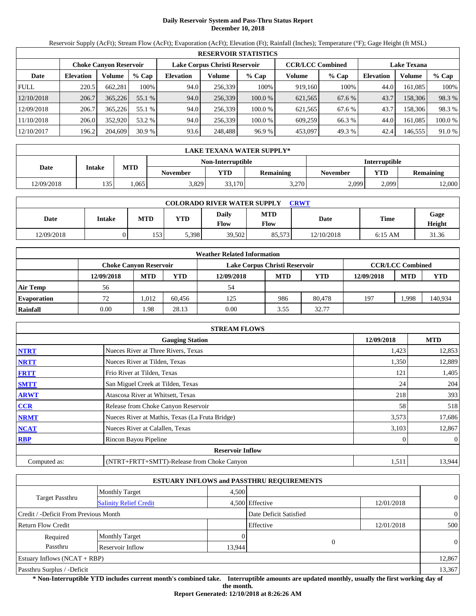# **Daily Reservoir System and Pass-Thru Status Report December 10, 2018**

Reservoir Supply (AcFt); Stream Flow (AcFt); Evaporation (AcFt); Elevation (Ft); Rainfall (Inches); Temperature (°F); Gage Height (ft MSL)

|             |                  |                               |         |                  |                               | <b>RESERVOIR STATISTICS</b> |                         |         |                    |         |         |
|-------------|------------------|-------------------------------|---------|------------------|-------------------------------|-----------------------------|-------------------------|---------|--------------------|---------|---------|
|             |                  | <b>Choke Canvon Reservoir</b> |         |                  | Lake Corpus Christi Reservoir |                             | <b>CCR/LCC Combined</b> |         | <b>Lake Texana</b> |         |         |
| Date        | <b>Elevation</b> | Volume                        | $%$ Cap | <b>Elevation</b> | Volume                        | $%$ Cap                     | Volume                  | $%$ Cap | <b>Elevation</b>   | Volume  | % Cap   |
| <b>FULL</b> | 220.5            | 662.281                       | 100%    | 94.0             | 256.339                       | 100%                        | 919.160                 | 100%    | 44.0               | 161.085 | 100%    |
| 12/10/2018  | 206.7            | 365,226                       | 55.1 %  | 94.0             | 256,339                       | 100.0%                      | 621,565                 | 67.6 %  | 43.7               | 158,306 | 98.3 %  |
| 12/09/2018  | 206.7            | 365,226                       | 55.1 %  | 94.0             | 256.339                       | 100.0 %                     | 621,565                 | 67.6 %  | 43.7               | 158.306 | 98.3 %  |
| 11/10/2018  | 206.0            | 352,920                       | 53.2 %  | 94.0             | 256,339                       | 100.0 %                     | 609.259                 | 66.3%   | 44.0               | 161.085 | 100.0 % |
| 12/10/2017  | 196.2            | 204,609                       | 30.9%   | 93.6             | 248,488                       | 96.9 %                      | 453,097                 | 49.3 %  | 42.4               | 146,555 | 91.0 %  |

|            | LAKE TEXANA WATER SUPPLY* |            |                 |                                           |                  |          |            |                  |  |  |
|------------|---------------------------|------------|-----------------|-------------------------------------------|------------------|----------|------------|------------------|--|--|
|            |                           |            |                 | <b>Interruptible</b><br>Non-Interruptible |                  |          |            |                  |  |  |
| Date       | <b>Intake</b>             | <b>MTD</b> | <b>November</b> | VTD                                       | <b>Remaining</b> | November | <b>YTD</b> | <b>Remaining</b> |  |  |
| 12/09/2018 | 135                       | .065       | 3,829           | 33.170                                    | 3,270            | 2,099    | 2.099      | 12,000           |  |  |

| <b>COLORADO RIVER WATER SUPPLY</b><br>CRWT |        |            |            |               |                    |            |           |                |  |  |
|--------------------------------------------|--------|------------|------------|---------------|--------------------|------------|-----------|----------------|--|--|
| Date                                       | Intake | <b>MTD</b> | <b>YTD</b> | Daily<br>Flow | <b>MTD</b><br>Flow | Date       | Time      | Gage<br>Height |  |  |
| 12/09/2018                                 |        | 153        | 5.398      | 39,502        | 85.573             | 12/10/2018 | $6:15$ AM | 31.36          |  |  |

|                    |                        |            |        | <b>Weather Related Information</b> |                         |            |            |            |            |
|--------------------|------------------------|------------|--------|------------------------------------|-------------------------|------------|------------|------------|------------|
|                    | Choke Canvon Reservoir |            |        | Lake Corpus Christi Reservoir      | <b>CCR/LCC Combined</b> |            |            |            |            |
|                    | 12/09/2018             | <b>MTD</b> | YTD    | 12/09/2018                         | <b>MTD</b>              | <b>YTD</b> | 12/09/2018 | <b>MTD</b> | <b>YTD</b> |
| <b>Air Temp</b>    | 56                     |            |        | 54                                 |                         |            |            |            |            |
| <b>Evaporation</b> | 72                     | 1.012      | 60.456 | 125                                | 986                     | 80,478     | 197        | .998       | 140,934    |
| Rainfall           | 0.00                   | . 98       | 28.13  | 0.00                               | 3.55                    | 32.77      |            |            |            |

|              | <b>STREAM FLOWS</b>                             |            |                |
|--------------|-------------------------------------------------|------------|----------------|
|              | <b>Gauging Station</b>                          | 12/09/2018 | <b>MTD</b>     |
| <b>NTRT</b>  | Nueces River at Three Rivers, Texas             | 1,423      | 12,853         |
| <b>NRTT</b>  | Nueces River at Tilden, Texas                   | 1,350      | 12,889         |
| <b>FRTT</b>  | Frio River at Tilden, Texas                     | 121        | 1,405          |
| <b>SMTT</b>  | San Miguel Creek at Tilden, Texas               | 24         | 204            |
| <b>ARWT</b>  | Atascosa River at Whitsett, Texas               | 218        | 393            |
| <b>CCR</b>   | Release from Choke Canyon Reservoir             | 58         | 518            |
| <b>NRMT</b>  | Nueces River at Mathis, Texas (La Fruta Bridge) | 3,573      | 17,686         |
| <b>NCAT</b>  | Nueces River at Calallen, Texas                 | 3,103      | 12,867         |
| <b>RBP</b>   | Rincon Bayou Pipeline                           |            | $\overline{0}$ |
|              | <b>Reservoir Inflow</b>                         |            |                |
| Computed as: | (NTRT+FRTT+SMTT)-Release from Choke Canyon      | 1,511      | 13,944         |

|                                       |                               |                 | <b>ESTUARY INFLOWS and PASSTHRU REQUIREMENTS</b> |            |                |
|---------------------------------------|-------------------------------|-----------------|--------------------------------------------------|------------|----------------|
|                                       | <b>Monthly Target</b>         | 4,500           |                                                  |            |                |
| Target Passthru                       | <b>Salinity Relief Credit</b> | 4,500 Effective |                                                  | 12/01/2018 | $\overline{0}$ |
| Credit / -Deficit From Previous Month |                               |                 | Date Deficit Satisfied                           |            | $\overline{0}$ |
| <b>Return Flow Credit</b>             |                               |                 | Effective                                        | 12/01/2018 | 500            |
| Required                              | <b>Monthly Target</b>         |                 |                                                  |            |                |
| Passthru                              | <b>Reservoir Inflow</b>       | 13,944          |                                                  | $\theta$   | $\Omega$       |
| Estuary Inflows $(NCAT + RBP)$        |                               |                 |                                                  |            | 12,867         |
| Passthru Surplus / -Deficit           |                               |                 |                                                  |            | 13,367         |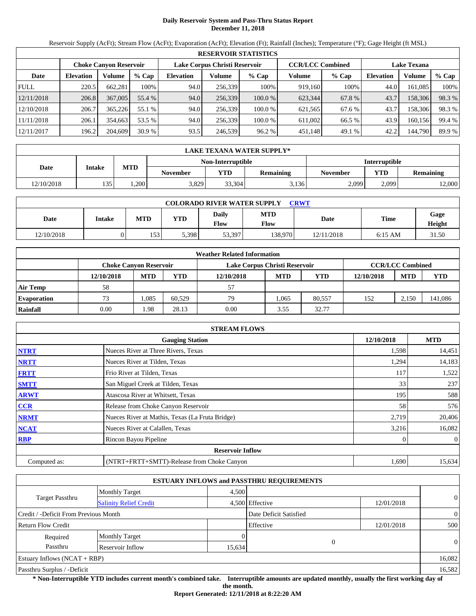# **Daily Reservoir System and Pass-Thru Status Report December 11, 2018**

Reservoir Supply (AcFt); Stream Flow (AcFt); Evaporation (AcFt); Elevation (Ft); Rainfall (Inches); Temperature (°F); Gage Height (ft MSL)

|             | <b>RESERVOIR STATISTICS</b> |                               |         |                               |         |         |                         |         |                    |         |        |  |
|-------------|-----------------------------|-------------------------------|---------|-------------------------------|---------|---------|-------------------------|---------|--------------------|---------|--------|--|
|             |                             | <b>Choke Canyon Reservoir</b> |         | Lake Corpus Christi Reservoir |         |         | <b>CCR/LCC Combined</b> |         | <b>Lake Texana</b> |         |        |  |
| Date        | <b>Elevation</b>            | Volume                        | $%$ Cap | <b>Elevation</b>              | Volume  | $%$ Cap | Volume                  | $%$ Cap | <b>Elevation</b>   | Volume  | % Cap  |  |
| <b>FULL</b> | 220.5                       | 662.281                       | 100%    | 94.0                          | 256,339 | 100%    | 919,160                 | 100%    | 44.0               | 161.085 | 100%   |  |
| 12/11/2018  | 206.8                       | 367,005                       | 55.4 %  | 94.0                          | 256,339 | 100.0%  | 623,344                 | 67.8 %  | 43.7               | 158,306 | 98.3%  |  |
| 12/10/2018  | 206.7                       | 365,226                       | 55.1 %  | 94.0                          | 256.339 | 100.0 % | 621.565                 | 67.6 %  | 43.7               | 158.306 | 98.3%  |  |
| 11/11/2018  | 206.1                       | 354.663                       | 53.5 %  | 94.0                          | 256.339 | 100.0 % | 611.002                 | 66.5 %  | 43.9               | 160.156 | 99.4 % |  |
| 12/11/2017  | 196.2                       | 204,609                       | 30.9%   | 93.5                          | 246,539 | 96.2%   | 451,148                 | 49.1 %  | 42.2               | 144,790 | 89.9 % |  |

|            | <b>LAKE TEXANA WATER SUPPLY*</b> |                                           |                 |        |                  |          |            |           |  |  |
|------------|----------------------------------|-------------------------------------------|-----------------|--------|------------------|----------|------------|-----------|--|--|
|            |                                  | <b>Interruptible</b><br>Non-Interruptible |                 |        |                  |          |            |           |  |  |
| Date       | <b>Intake</b>                    | <b>MTD</b>                                | <b>November</b> | VTD    | <b>Remaining</b> | November | <b>YTD</b> | Remaining |  |  |
| 12/10/2018 | 135                              | ,200                                      | 3,829           | 33,304 | 3,136            | 2,099    | 2.099      | 12,000    |  |  |

| <b>COLORADO RIVER WATER SUPPLY</b><br><b>CRWT</b> |        |            |       |                             |                           |             |             |                |  |  |
|---------------------------------------------------|--------|------------|-------|-----------------------------|---------------------------|-------------|-------------|----------------|--|--|
| Date                                              | Intake | <b>MTD</b> | YTD   | <b>Daily</b><br><b>Flow</b> | <b>MTD</b><br><b>Flow</b> | <b>Date</b> | <b>Time</b> | Gage<br>Height |  |  |
| 12/10/2018                                        |        | 153        | 5,398 | 53,397                      | 38,970                    | 12/11/2018  | $6:15$ AM   | 31.50          |  |  |

|                    |            |                               |        | <b>Weather Related Information</b> |                         |            |            |            |            |
|--------------------|------------|-------------------------------|--------|------------------------------------|-------------------------|------------|------------|------------|------------|
|                    |            | <b>Choke Canvon Reservoir</b> |        | Lake Corpus Christi Reservoir      | <b>CCR/LCC Combined</b> |            |            |            |            |
|                    | 12/10/2018 | <b>MTD</b>                    | YTD    | 12/10/2018                         | <b>MTD</b>              | <b>YTD</b> | 12/10/2018 | <b>MTD</b> | <b>YTD</b> |
| <b>Air Temp</b>    | 58         |                               |        | 57                                 |                         |            |            |            |            |
| <b>Evaporation</b> | 73         | .085                          | 60.529 | 79                                 | 1.065                   | 80.557     | 152        | 2.150      | 141,086    |
| Rainfall           | 0.00       | .98                           | 28.13  | 0.00                               | 3.55                    | 32.77      |            |            |            |

|              | <b>STREAM FLOWS</b>                             |       |                |  |  |  |  |
|--------------|-------------------------------------------------|-------|----------------|--|--|--|--|
|              | <b>Gauging Station</b>                          |       |                |  |  |  |  |
| <b>NTRT</b>  | Nueces River at Three Rivers, Texas             | 1,598 | 14,451         |  |  |  |  |
| <b>NRTT</b>  | Nueces River at Tilden, Texas                   | 1,294 | 14,183         |  |  |  |  |
| <b>FRTT</b>  | Frio River at Tilden, Texas                     | 117   | 1,522          |  |  |  |  |
| <b>SMTT</b>  | San Miguel Creek at Tilden, Texas               | 33    | 237            |  |  |  |  |
| <b>ARWT</b>  | Atascosa River at Whitsett, Texas               | 195   | 588            |  |  |  |  |
| CCR          | Release from Choke Canyon Reservoir             | 58    | 576            |  |  |  |  |
| <b>NRMT</b>  | Nueces River at Mathis, Texas (La Fruta Bridge) | 2,719 | 20,406         |  |  |  |  |
| <b>NCAT</b>  | Nueces River at Calallen, Texas                 | 3,216 | 16,082         |  |  |  |  |
| <b>RBP</b>   | Rincon Bayou Pipeline                           |       | $\overline{0}$ |  |  |  |  |
|              | <b>Reservoir Inflow</b>                         |       |                |  |  |  |  |
| Computed as: | (NTRT+FRTT+SMTT)-Release from Choke Canyon      | 1,690 | 15,634         |  |  |  |  |

|                                                  |                       |        | <b>ESTUARY INFLOWS and PASSTHRU REQUIREMENTS</b> |            |                |  |
|--------------------------------------------------|-----------------------|--------|--------------------------------------------------|------------|----------------|--|
|                                                  | <b>Monthly Target</b> | 4,500  |                                                  |            |                |  |
| Target Passthru<br><b>Salinity Relief Credit</b> |                       |        | 4,500 Effective                                  | 12/01/2018 | $\overline{0}$ |  |
| Credit / -Deficit From Previous Month            |                       |        | Date Deficit Satisfied                           |            | $\overline{0}$ |  |
| <b>Return Flow Credit</b>                        |                       |        | Effective                                        | 12/01/2018 | 500            |  |
| Required                                         | <b>Monthly Target</b> |        |                                                  |            |                |  |
| Passthru                                         | Reservoir Inflow      | 15,634 | $\Omega$                                         |            | $\theta$       |  |
| Estuary Inflows $(NCAT + RBP)$                   |                       |        |                                                  |            | 16,082         |  |
| Passthru Surplus / -Deficit                      |                       |        |                                                  |            | 16,582         |  |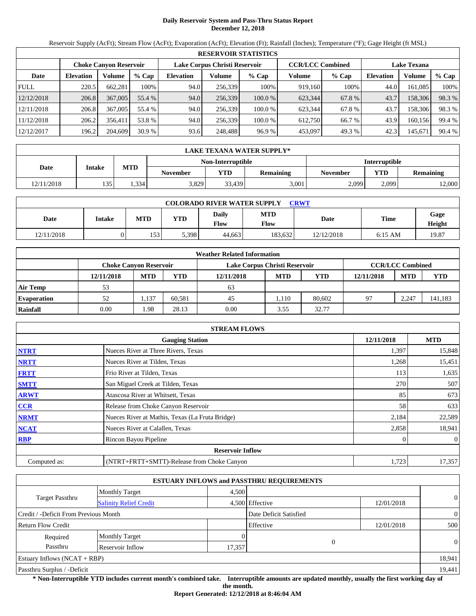# **Daily Reservoir System and Pass-Thru Status Report December 12, 2018**

Reservoir Supply (AcFt); Stream Flow (AcFt); Evaporation (AcFt); Elevation (Ft); Rainfall (Inches); Temperature (°F); Gage Height (ft MSL)

|             | <b>RESERVOIR STATISTICS</b> |                               |         |                               |         |         |                         |         |                    |         |        |  |
|-------------|-----------------------------|-------------------------------|---------|-------------------------------|---------|---------|-------------------------|---------|--------------------|---------|--------|--|
|             |                             | <b>Choke Canyon Reservoir</b> |         | Lake Corpus Christi Reservoir |         |         | <b>CCR/LCC Combined</b> |         | <b>Lake Texana</b> |         |        |  |
| Date        | <b>Elevation</b>            | Volume                        | $%$ Cap | <b>Elevation</b>              | Volume  | $%$ Cap | Volume                  | $%$ Cap | <b>Elevation</b>   | Volume  | % Cap  |  |
| <b>FULL</b> | 220.5                       | 662,281                       | 100%    | 94.0                          | 256,339 | 100%    | 919,160                 | 100%    | 44.0               | 161.085 | 100%   |  |
| 12/12/2018  | 206.8                       | 367,005                       | 55.4 %  | 94.0                          | 256,339 | 100.0 % | 623,344                 | 67.8 %  | 43.7               | 158,306 | 98.3 % |  |
| 12/11/2018  | 206.8                       | 367,005                       | 55.4 %  | 94.0                          | 256.339 | 100.0 % | 623.344                 | 67.8 %  | 43.7               | 158,306 | 98.3 % |  |
| 11/12/2018  | 206.2                       | 356.411                       | 53.8 %  | 94.0                          | 256.339 | 100.0 % | 612.750                 | 66.7 %  | 43.9               | 160,156 | 99.4 % |  |
| 12/12/2017  | 196.2                       | 204,609                       | 30.9%   | 93.6                          | 248,488 | 96.9%   | 453,097                 | 49.3 %  | 42.3               | 145,671 | 90.4 % |  |

|            | LAKE TEXANA WATER SUPPLY* |            |                                           |        |                  |                 |            |           |  |  |
|------------|---------------------------|------------|-------------------------------------------|--------|------------------|-----------------|------------|-----------|--|--|
|            |                           |            | <b>Interruptible</b><br>Non-Interruptible |        |                  |                 |            |           |  |  |
| Date       | <b>Intake</b>             | <b>MTD</b> | <b>November</b>                           | VTD    | <b>Remaining</b> | <b>November</b> | <b>YTD</b> | Remaining |  |  |
| 12/11/2018 | 135                       | .334       | 3,829                                     | 33,439 | 3,001            | 2,099           | 2.099      | 12,000    |  |  |

| <b>COLORADO RIVER WATER SUPPLY</b><br>CRWT |               |            |       |               |                           |             |             |                |  |  |
|--------------------------------------------|---------------|------------|-------|---------------|---------------------------|-------------|-------------|----------------|--|--|
| Date                                       | <b>Intake</b> | <b>MTD</b> | YTD   | Daily<br>Flow | <b>MTD</b><br><b>Flow</b> | <b>Date</b> | <b>Time</b> | Gage<br>Height |  |  |
| 12/11/2018                                 |               | 153        | 5,398 | 44.663        | 183.632                   | 12/12/2018  | $6:15$ AM   | 19.87          |  |  |

|                    |                        |            |        | <b>Weather Related Information</b> |                         |            |            |            |            |
|--------------------|------------------------|------------|--------|------------------------------------|-------------------------|------------|------------|------------|------------|
|                    | Choke Canvon Reservoir |            |        | Lake Corpus Christi Reservoir      | <b>CCR/LCC Combined</b> |            |            |            |            |
|                    | 12/11/2018             | <b>MTD</b> | YTD    | 12/11/2018                         | <b>MTD</b>              | <b>YTD</b> | 12/11/2018 | <b>MTD</b> | <b>YTD</b> |
| <b>Air Temp</b>    | 53                     |            |        | 63                                 |                         |            |            |            |            |
| <b>Evaporation</b> | 52                     | 1,137      | 60.581 | 45                                 | 1.110                   | 80.602     | 97         | 2,247      | 141,183    |
| Rainfall           | 0.00                   | .98        | 28.13  | 0.00                               | 3.55                    | 32.77      |            |            |            |

|              | <b>STREAM FLOWS</b>                             |       |                |  |  |  |  |
|--------------|-------------------------------------------------|-------|----------------|--|--|--|--|
|              | <b>Gauging Station</b>                          |       |                |  |  |  |  |
| <b>NTRT</b>  | Nueces River at Three Rivers, Texas             | 1,397 | 15,848         |  |  |  |  |
| <b>NRTT</b>  | Nueces River at Tilden, Texas                   | 1,268 | 15,451         |  |  |  |  |
| <b>FRTT</b>  | Frio River at Tilden, Texas                     | 113   | 1,635          |  |  |  |  |
| <b>SMTT</b>  | San Miguel Creek at Tilden, Texas               | 270   | 507            |  |  |  |  |
| <b>ARWT</b>  | Atascosa River at Whitsett, Texas               | 85    | 673            |  |  |  |  |
| CCR          | Release from Choke Canyon Reservoir             | 58    | 633            |  |  |  |  |
| <b>NRMT</b>  | Nueces River at Mathis, Texas (La Fruta Bridge) | 2,184 | 22,589         |  |  |  |  |
| <b>NCAT</b>  | Nueces River at Calallen, Texas                 | 2,858 | 18,941         |  |  |  |  |
| <b>RBP</b>   | Rincon Bayou Pipeline                           |       | $\overline{0}$ |  |  |  |  |
|              | <b>Reservoir Inflow</b>                         |       |                |  |  |  |  |
| Computed as: | (NTRT+FRTT+SMTT)-Release from Choke Canyon      | 1,723 | 17,357         |  |  |  |  |

|                                       |                               |        | <b>ESTUARY INFLOWS and PASSTHRU REQUIREMENTS</b> |            |                |
|---------------------------------------|-------------------------------|--------|--------------------------------------------------|------------|----------------|
|                                       | <b>Monthly Target</b>         | 4,500  |                                                  |            |                |
| Target Passthru                       | <b>Salinity Relief Credit</b> |        | 4,500 Effective                                  | 12/01/2018 | $\overline{0}$ |
| Credit / -Deficit From Previous Month |                               |        | Date Deficit Satisfied                           |            | $\overline{0}$ |
| <b>Return Flow Credit</b>             |                               |        | Effective                                        | 12/01/2018 | 500            |
| Required                              | <b>Monthly Target</b>         |        |                                                  |            |                |
| Passthru                              | Reservoir Inflow              | 17,357 | $\Omega$                                         |            | $\theta$       |
| Estuary Inflows $(NCAT + RBP)$        |                               |        |                                                  |            | 18,941         |
| Passthru Surplus / -Deficit           |                               |        |                                                  |            | 19,441         |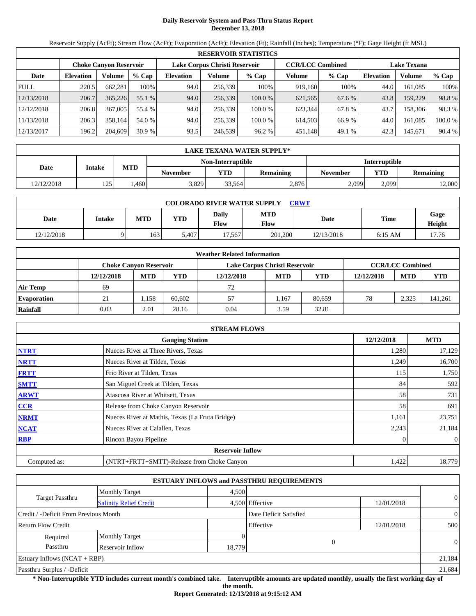# **Daily Reservoir System and Pass-Thru Status Report December 13, 2018**

Reservoir Supply (AcFt); Stream Flow (AcFt); Evaporation (AcFt); Elevation (Ft); Rainfall (Inches); Temperature (°F); Gage Height (ft MSL)

|             |                               |         |         |                  |                               | <b>RESERVOIR STATISTICS</b> |                         |         |                    |         |        |
|-------------|-------------------------------|---------|---------|------------------|-------------------------------|-----------------------------|-------------------------|---------|--------------------|---------|--------|
|             | <b>Choke Canvon Reservoir</b> |         |         |                  | Lake Corpus Christi Reservoir |                             | <b>CCR/LCC Combined</b> |         | <b>Lake Texana</b> |         |        |
| Date        | <b>Elevation</b>              | Volume  | $%$ Cap | <b>Elevation</b> | Volume                        | $%$ Cap                     | Volume                  | $%$ Cap | <b>Elevation</b>   | Volume  | % Cap  |
| <b>FULL</b> | 220.5                         | 662.281 | 100%    | 94.0             | 256.339                       | 100%                        | 919.160                 | 100%    | 44.0               | 161.085 | 100%   |
| 12/13/2018  | 206.7                         | 365,226 | 55.1 %  | 94.0             | 256,339                       | 100.0%                      | 621,565                 | 67.6 %  | 43.8               | 159.229 | 98.8%  |
| 12/12/2018  | 206.8                         | 367,005 | 55.4 %  | 94.0             | 256.339                       | 100.0 %                     | 623.344                 | 67.8 %  | 43.7               | 158.306 | 98.3 % |
| 11/13/2018  | 206.3                         | 358.164 | 54.0 %  | 94.0             | 256,339                       | 100.0 %                     | 614,503                 | 66.9 %  | 44.0               | 161.085 | 100.0% |
| 12/13/2017  | 196.2                         | 204,609 | 30.9%   | 93.5             | 246,539                       | 96.2 %                      | 451,148                 | 49.1 %  | 42.3               | 145,671 | 90.4 % |

|            | LAKE TEXANA WATER SUPPLY* |                   |                 |                   |                  |                      |            |                  |  |  |
|------------|---------------------------|-------------------|-----------------|-------------------|------------------|----------------------|------------|------------------|--|--|
|            |                           |                   |                 | Non-Interruptible |                  | <b>Interruptible</b> |            |                  |  |  |
| Date       | <b>Intake</b>             | <b>MTD</b>        | <b>November</b> | VTD               | <b>Remaining</b> | November             | <b>YTD</b> | <b>Remaining</b> |  |  |
| 12/12/2018 | 125'                      | .460 <sup>1</sup> | 3,829           | 33.564            | 2.876            | 2,099                | 2.099      | 12,000           |  |  |

| <b>COLORADO RIVER WATER SUPPLY</b><br><b>CRWT</b> |        |            |       |                             |                           |            |           |                       |  |  |
|---------------------------------------------------|--------|------------|-------|-----------------------------|---------------------------|------------|-----------|-----------------------|--|--|
| Date                                              | Intake | <b>MTD</b> | YTD   | <b>Daily</b><br><b>Flow</b> | <b>MTD</b><br><b>Flow</b> | Date       | Time      | Gage<br><b>Height</b> |  |  |
| 12/12/2018                                        |        | 163        | 5.407 | 17.567                      | 201,200                   | 12/13/2018 | $6:15$ AM | 17.76                 |  |  |

|                    |                               |            |        | <b>Weather Related Information</b> |            |        |            |                         |            |
|--------------------|-------------------------------|------------|--------|------------------------------------|------------|--------|------------|-------------------------|------------|
|                    | <b>Choke Canvon Reservoir</b> |            |        | Lake Corpus Christi Reservoir      |            |        |            | <b>CCR/LCC Combined</b> |            |
|                    | 12/12/2018                    | <b>MTD</b> | YTD    | 12/12/2018                         | <b>MTD</b> | YTD    | 12/12/2018 | <b>MTD</b>              | <b>YTD</b> |
| <b>Air Temp</b>    | 69                            |            |        | 72                                 |            |        |            |                         |            |
| <b>Evaporation</b> | 21                            | 1,158      | 60.602 | 57                                 | l.167      | 80.659 | 78         | 2,325                   | 141,261    |
| Rainfall           | 0.03                          | 2.01       | 28.16  | 0.04                               | 3.59       | 32.81  |            |                         |            |

|              | <b>STREAM FLOWS</b>                             |            |                |
|--------------|-------------------------------------------------|------------|----------------|
|              | <b>Gauging Station</b>                          | 12/12/2018 | <b>MTD</b>     |
| <b>NTRT</b>  | Nueces River at Three Rivers, Texas             | 1,280      | 17,129         |
| <b>NRTT</b>  | Nueces River at Tilden, Texas                   | 1,249      | 16,700         |
| <b>FRTT</b>  | Frio River at Tilden, Texas                     | 115        | 1,750          |
| <b>SMTT</b>  | San Miguel Creek at Tilden, Texas               | 84         | 592            |
| <b>ARWT</b>  | Atascosa River at Whitsett, Texas               | 58         | 731            |
| <b>CCR</b>   | Release from Choke Canyon Reservoir             | 58         | 691            |
| <b>NRMT</b>  | Nueces River at Mathis, Texas (La Fruta Bridge) | 1,161      | 23,751         |
| <b>NCAT</b>  | Nueces River at Calallen, Texas                 | 2,243      | 21,184         |
| <b>RBP</b>   | Rincon Bayou Pipeline                           |            | $\overline{0}$ |
|              | <b>Reservoir Inflow</b>                         |            |                |
| Computed as: | (NTRT+FRTT+SMTT)-Release from Choke Canyon      | 1,422      | 18,779         |

|                                       |                               |        | <b>ESTUARY INFLOWS and PASSTHRU REQUIREMENTS</b> |            |                |  |
|---------------------------------------|-------------------------------|--------|--------------------------------------------------|------------|----------------|--|
|                                       | <b>Monthly Target</b>         | 4.500  |                                                  |            |                |  |
| Target Passthru                       | <b>Salinity Relief Credit</b> |        | 4,500 Effective                                  | 12/01/2018 | $\overline{0}$ |  |
| Credit / -Deficit From Previous Month |                               |        | Date Deficit Satisfied                           |            | $\overline{0}$ |  |
| <b>Return Flow Credit</b>             |                               |        | Effective                                        | 12/01/2018 | 500            |  |
| Required                              | <b>Monthly Target</b>         |        |                                                  |            |                |  |
| Passthru                              | Reservoir Inflow              | 18,779 |                                                  | $\Omega$   | $\theta$       |  |
| Estuary Inflows $(NCAT + RBP)$        |                               |        |                                                  |            | 21,184         |  |
| Passthru Surplus / -Deficit           |                               |        |                                                  |            | 21,684         |  |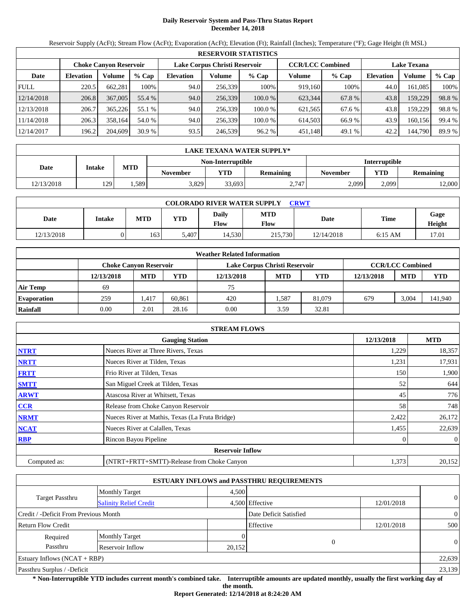# **Daily Reservoir System and Pass-Thru Status Report December 14, 2018**

Reservoir Supply (AcFt); Stream Flow (AcFt); Evaporation (AcFt); Elevation (Ft); Rainfall (Inches); Temperature (°F); Gage Height (ft MSL)

|             |                               |         |         |                               |         | <b>RESERVOIR STATISTICS</b> |                         |        |                    |         |        |
|-------------|-------------------------------|---------|---------|-------------------------------|---------|-----------------------------|-------------------------|--------|--------------------|---------|--------|
|             | <b>Choke Canyon Reservoir</b> |         |         | Lake Corpus Christi Reservoir |         |                             | <b>CCR/LCC Combined</b> |        | <b>Lake Texana</b> |         |        |
| Date        | <b>Elevation</b>              | Volume  | $%$ Cap | <b>Elevation</b>              | Volume  | $%$ Cap                     | Volume                  | % Cap  | <b>Elevation</b>   | Volume  | % Cap  |
| <b>FULL</b> | 220.5                         | 662,281 | 100%    | 94.0                          | 256.339 | 100%                        | 919,160                 | 100%   | 44.0               | 161,085 | 100%   |
| 12/14/2018  | 206.8                         | 367,005 | 55.4 %  | 94.0                          | 256,339 | 100.0 %                     | 623,344                 | 67.8 % | 43.8               | 159,229 | 98.8%  |
| 12/13/2018  | 206.7                         | 365,226 | 55.1 %  | 94.0                          | 256.339 | 100.0 %                     | 621,565                 | 67.6 % | 43.8               | 159,229 | 98.8%  |
| 11/14/2018  | 206.3                         | 358.164 | 54.0 %  | 94.0                          | 256.339 | 100.0 %                     | 614.503                 | 66.9%  | 43.9               | 160,156 | 99.4 % |
| 12/14/2017  | 196.2                         | 204,609 | 30.9%   | 93.5                          | 246,539 | 96.2 %                      | 451,148                 | 49.1 % | 42.2               | 144,790 | 89.9 % |

|            | LAKE TEXANA WATER SUPPLY* |            |                 |                   |                 |                 |                      |                  |  |  |
|------------|---------------------------|------------|-----------------|-------------------|-----------------|-----------------|----------------------|------------------|--|--|
|            |                           |            |                 | Non-Interruptible |                 |                 | <b>Interruptible</b> |                  |  |  |
| Date       | <b>Intake</b>             | <b>MTD</b> | <b>November</b> | YTD               | Remaining       | <b>November</b> | <b>YTD</b>           | <b>Remaining</b> |  |  |
| 12/13/2018 | 129                       | .589       | 3,829           | 33,693            | 2.747<br>، و سه | 2,099           | 2.099                | 12,000           |  |  |

| <b>COLORADO RIVER WATER SUPPLY</b><br><b>CRWT</b> |               |            |            |               |                    |            |             |                |  |  |
|---------------------------------------------------|---------------|------------|------------|---------------|--------------------|------------|-------------|----------------|--|--|
| Date                                              | <b>Intake</b> | <b>MTD</b> | <b>YTD</b> | Daily<br>Flow | <b>MTD</b><br>Flow | Date       | <b>Time</b> | Gage<br>Height |  |  |
| 12/13/2018                                        | )             | 163        | 5.407      | 14.530        | 215,730            | 12/14/2018 | $6:15$ AM   | 17.01          |  |  |

|                    |            |                               |        | <b>Weather Related Information</b> |            |            |            |                         |            |
|--------------------|------------|-------------------------------|--------|------------------------------------|------------|------------|------------|-------------------------|------------|
|                    |            | <b>Choke Canvon Reservoir</b> |        | Lake Corpus Christi Reservoir      |            |            |            | <b>CCR/LCC Combined</b> |            |
|                    | 12/13/2018 | <b>MTD</b>                    | YTD    | 12/13/2018                         | <b>MTD</b> | <b>YTD</b> | 12/13/2018 | <b>MTD</b>              | <b>YTD</b> |
| <b>Air Temp</b>    | 69         |                               |        | 75                                 |            |            |            |                         |            |
| <b>Evaporation</b> | 259        | .417                          | 60.861 | 420                                | .587       | 81,079     | 679        | 3.004                   | 141,940    |
| Rainfall           | 0.00       | 2.01                          | 28.16  | 0.00                               | 3.59       | 32.81      |            |                         |            |

|              | <b>STREAM FLOWS</b>                             |            |                |
|--------------|-------------------------------------------------|------------|----------------|
|              | <b>Gauging Station</b>                          | 12/13/2018 | <b>MTD</b>     |
| <b>NTRT</b>  | Nueces River at Three Rivers, Texas             | 1,229      | 18,357         |
| <b>NRTT</b>  | Nueces River at Tilden, Texas                   | 1,231      | 17,931         |
| <b>FRTT</b>  | Frio River at Tilden, Texas                     | 150        | 1,900          |
| <b>SMTT</b>  | San Miguel Creek at Tilden, Texas               | 52         | 644            |
| <b>ARWT</b>  | Atascosa River at Whitsett, Texas               | 45         | 776            |
| <b>CCR</b>   | Release from Choke Canyon Reservoir             | 58         | 748            |
| <b>NRMT</b>  | Nueces River at Mathis, Texas (La Fruta Bridge) | 2,422      | 26,172         |
| <b>NCAT</b>  | Nueces River at Calallen, Texas                 | 1,455      | 22,639         |
| <b>RBP</b>   | Rincon Bayou Pipeline                           |            | $\overline{0}$ |
|              | <b>Reservoir Inflow</b>                         |            |                |
| Computed as: | (NTRT+FRTT+SMTT)-Release from Choke Canyon      | 1,373      | 20,152         |

|                                       |                               |        | <b>ESTUARY INFLOWS and PASSTHRU REQUIREMENTS</b> |            |                |
|---------------------------------------|-------------------------------|--------|--------------------------------------------------|------------|----------------|
|                                       | <b>Monthly Target</b>         | 4.500  |                                                  |            |                |
| Target Passthru                       | <b>Salinity Relief Credit</b> |        | 4,500 Effective                                  | 12/01/2018 | $\overline{0}$ |
| Credit / -Deficit From Previous Month |                               |        | Date Deficit Satisfied                           |            | $\overline{0}$ |
| <b>Return Flow Credit</b>             |                               |        | Effective                                        | 12/01/2018 | 500            |
| Required                              | <b>Monthly Target</b>         |        |                                                  |            |                |
| Passthru                              | Reservoir Inflow              | 20,152 |                                                  |            | $\theta$       |
| Estuary Inflows $(NCAT + RBP)$        |                               |        |                                                  |            | 22,639         |
| Passthru Surplus / -Deficit           |                               |        |                                                  |            | 23,139         |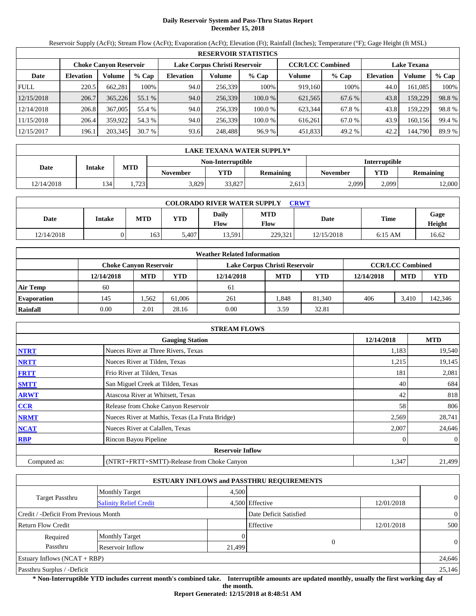# **Daily Reservoir System and Pass-Thru Status Report December 15, 2018**

Reservoir Supply (AcFt); Stream Flow (AcFt); Evaporation (AcFt); Elevation (Ft); Rainfall (Inches); Temperature (°F); Gage Height (ft MSL)

|             | <b>RESERVOIR STATISTICS</b> |                               |         |                               |         |         |                         |         |                    |         |        |  |  |
|-------------|-----------------------------|-------------------------------|---------|-------------------------------|---------|---------|-------------------------|---------|--------------------|---------|--------|--|--|
|             |                             | <b>Choke Canyon Reservoir</b> |         | Lake Corpus Christi Reservoir |         |         | <b>CCR/LCC Combined</b> |         | <b>Lake Texana</b> |         |        |  |  |
| Date        | <b>Elevation</b>            | Volume                        | $%$ Cap | <b>Elevation</b>              | Volume  | $%$ Cap | Volume                  | $%$ Cap | <b>Elevation</b>   | Volume  | % Cap  |  |  |
| <b>FULL</b> | 220.5                       | 662.281                       | 100%    | 94.0                          | 256,339 | 100%    | 919,160                 | 100%    | 44.0               | 161.085 | 100%   |  |  |
| 12/15/2018  | 206.7                       | 365,226                       | 55.1 %  | 94.0                          | 256,339 | 100.0%  | 621,565                 | 67.6 %  | 43.8               | 159,229 | 98.8%  |  |  |
| 12/14/2018  | 206.8                       | 367,005                       | 55.4 %  | 94.0                          | 256.339 | 100.0 % | 623.344                 | 67.8%   | 43.8               | 159.229 | 98.8%  |  |  |
| 11/15/2018  | 206.4                       | 359,922                       | 54.3 %  | 94.0                          | 256.339 | 100.0 % | 616.261                 | 67.0 %  | 43.9               | 160.156 | 99.4 % |  |  |
| 12/15/2017  | 196.1                       | 203,345                       | 30.7%   | 93.6                          | 248,488 | 96.9 %  | 451,833                 | 49.2 %  | 42.2               | 144,790 | 89.9 % |  |  |

|            | <b>LAKE TEXANA WATER SUPPLY*</b> |                                           |                 |        |                  |                 |            |           |  |  |
|------------|----------------------------------|-------------------------------------------|-----------------|--------|------------------|-----------------|------------|-----------|--|--|
|            |                                  | <b>Interruptible</b><br>Non-Interruptible |                 |        |                  |                 |            |           |  |  |
| Date       | <b>Intake</b>                    | <b>MTD</b>                                | <b>November</b> | VTD    | <b>Remaining</b> | <b>November</b> | <b>YTD</b> | Remaining |  |  |
| 12/14/2018 | 134                              | 1.723                                     | 3,829           | 33.827 | 2,613            | 2,099           | 2.099      | 12,000    |  |  |

| <b>COLORADO RIVER WATER SUPPLY</b><br><b>CRWT</b> |        |            |       |                             |                           |             |             |                |  |  |
|---------------------------------------------------|--------|------------|-------|-----------------------------|---------------------------|-------------|-------------|----------------|--|--|
| Date                                              | Intake | <b>MTD</b> | YTD   | <b>Daily</b><br><b>Flow</b> | <b>MTD</b><br><b>Flow</b> | <b>Date</b> | <b>Time</b> | Gage<br>Height |  |  |
| 12/14/2018                                        |        | 163        | 5.407 | 13,591                      | 229.321                   | 12/15/2018  | $6:15$ AM   | 16.62          |  |  |

|                    |                        |            |        | <b>Weather Related Information</b> |                         |            |            |            |            |
|--------------------|------------------------|------------|--------|------------------------------------|-------------------------|------------|------------|------------|------------|
|                    | Choke Canvon Reservoir |            |        | Lake Corpus Christi Reservoir      | <b>CCR/LCC Combined</b> |            |            |            |            |
|                    | 12/14/2018             | <b>MTD</b> | YTD    | 12/14/2018                         | <b>MTD</b>              | <b>YTD</b> | 12/14/2018 | <b>MTD</b> | <b>YTD</b> |
| <b>Air Temp</b>    | 60                     |            |        | 61                                 |                         |            |            |            |            |
| <b>Evaporation</b> | 145                    | .562       | 61.006 | 261                                | .848                    | 81,340     | 406        | 3.410      | 142,346    |
| Rainfall           | 0.00                   | 2.01       | 28.16  | 0.00                               | 3.59                    | 32.81      |            |            |            |

|              | <b>STREAM FLOWS</b>                             |            |                |
|--------------|-------------------------------------------------|------------|----------------|
|              | <b>Gauging Station</b>                          | 12/14/2018 | <b>MTD</b>     |
| <b>NTRT</b>  | Nueces River at Three Rivers, Texas             | 1,183      | 19,540         |
| <b>NRTT</b>  | Nueces River at Tilden, Texas                   | 1,215      | 19,145         |
| <b>FRTT</b>  | Frio River at Tilden, Texas                     | 181        | 2,081          |
| <b>SMTT</b>  | San Miguel Creek at Tilden, Texas               | 40         | 684            |
| <b>ARWT</b>  | Atascosa River at Whitsett, Texas               | 42         | 818            |
| <b>CCR</b>   | Release from Choke Canyon Reservoir             | 58         | 806            |
| <b>NRMT</b>  | Nueces River at Mathis, Texas (La Fruta Bridge) | 2,569      | 28,741         |
| <b>NCAT</b>  | Nueces River at Calallen, Texas                 | 2,007      | 24,646         |
| <b>RBP</b>   | Rincon Bayou Pipeline                           |            | $\overline{0}$ |
|              | <b>Reservoir Inflow</b>                         |            |                |
| Computed as: | (NTRT+FRTT+SMTT)-Release from Choke Canyon      | 1,347      | 21,499         |

|                                                  |                       |        | <b>ESTUARY INFLOWS and PASSTHRU REQUIREMENTS</b> |            |                |
|--------------------------------------------------|-----------------------|--------|--------------------------------------------------|------------|----------------|
|                                                  | <b>Monthly Target</b> | 4.500  |                                                  |            |                |
| Target Passthru<br><b>Salinity Relief Credit</b> |                       |        | 4,500 Effective                                  | 12/01/2018 | $\overline{0}$ |
| Credit / -Deficit From Previous Month            |                       |        | Date Deficit Satisfied                           |            | $\overline{0}$ |
| <b>Return Flow Credit</b>                        |                       |        | Effective                                        | 12/01/2018 | 500            |
| Required                                         | <b>Monthly Target</b> |        |                                                  |            |                |
| Passthru                                         | Reservoir Inflow      | 21,499 |                                                  | $\Omega$   | $\theta$       |
| Estuary Inflows $(NCAT + RBP)$                   |                       |        |                                                  |            | 24,646         |
| Passthru Surplus / -Deficit                      |                       |        |                                                  |            | 25,146         |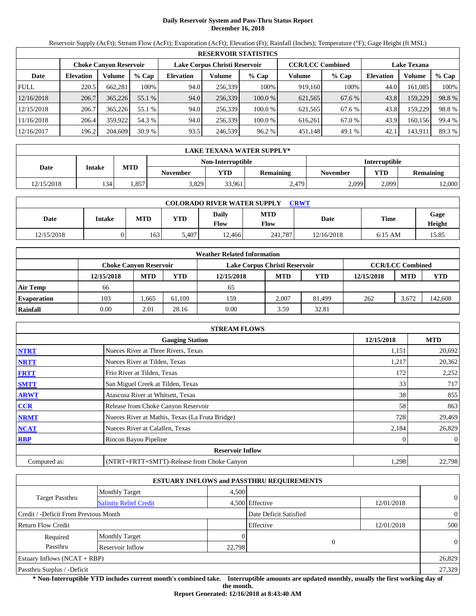# **Daily Reservoir System and Pass-Thru Status Report December 16, 2018**

Reservoir Supply (AcFt); Stream Flow (AcFt); Evaporation (AcFt); Elevation (Ft); Rainfall (Inches); Temperature (°F); Gage Height (ft MSL)

|             | <b>RESERVOIR STATISTICS</b> |                               |         |                               |         |         |                         |         |                    |         |        |  |  |
|-------------|-----------------------------|-------------------------------|---------|-------------------------------|---------|---------|-------------------------|---------|--------------------|---------|--------|--|--|
|             |                             | <b>Choke Canyon Reservoir</b> |         | Lake Corpus Christi Reservoir |         |         | <b>CCR/LCC Combined</b> |         | <b>Lake Texana</b> |         |        |  |  |
| Date        | <b>Elevation</b>            | Volume                        | $%$ Cap | <b>Elevation</b>              | Volume  | $%$ Cap | Volume                  | $%$ Cap | <b>Elevation</b>   | Volume  | % Cap  |  |  |
| <b>FULL</b> | 220.5                       | 662,281                       | 100%    | 94.0                          | 256,339 | 100%    | 919.160                 | 100%    | 44.0               | 161,085 | 100%   |  |  |
| 12/16/2018  | 206.7                       | 365,226                       | 55.1 %  | 94.0                          | 256.339 | 100.0 % | 621,565                 | 67.6 %  | 43.8               | 159,229 | 98.8%  |  |  |
| 12/15/2018  | 206.7                       | 365.226                       | 55.1 %  | 94.0                          | 256,339 | 100.0 % | 621,565                 | 67.6 %  | 43.8               | 159.229 | 98.8%  |  |  |
| 11/16/2018  | 206.4                       | 359,922                       | 54.3 %  | 94.0                          | 256.339 | 100.0 % | 616.261                 | 67.0 %  | 43.9               | 160.156 | 99.4 % |  |  |
| 12/16/2017  | 196.2                       | 204,609                       | 30.9%   | 93.5                          | 246,539 | 96.2 %  | 451,148                 | 49.1 %  | 42.1               | 143,911 | 89.3 % |  |  |

|            | LAKE TEXANA WATER SUPPLY* |            |                 |                   |           |                      |            |                  |  |  |
|------------|---------------------------|------------|-----------------|-------------------|-----------|----------------------|------------|------------------|--|--|
|            |                           |            |                 | Non-Interruptible |           | <b>Interruptible</b> |            |                  |  |  |
| Date       | <b>Intake</b>             | <b>MTD</b> | <b>November</b> | YTD               | Remaining | <b>November</b>      | <b>YTD</b> | <b>Remaining</b> |  |  |
| 12/15/2018 | 134                       | .857       | 3,829           | 33.961            | 2,479     | 2,099                | 2.099      | 12,000           |  |  |

| <b>COLORADO RIVER WATER SUPPLY</b><br>CRWT |               |            |            |               |                    |            |             |                |  |  |
|--------------------------------------------|---------------|------------|------------|---------------|--------------------|------------|-------------|----------------|--|--|
| Date                                       | <b>Intake</b> | <b>MTD</b> | <b>YTD</b> | Daily<br>Flow | <b>MTD</b><br>Flow | Date       | <b>Time</b> | Gage<br>Height |  |  |
| 12/15/2018                                 | ΩI            | 163        | 5.407      | 12.466        | 241.787            | 12/16/2018 | $6:15$ AM   | 15.85          |  |  |

|                    |                               |            |        | <b>Weather Related Information</b> |            |            |            |                         |            |
|--------------------|-------------------------------|------------|--------|------------------------------------|------------|------------|------------|-------------------------|------------|
|                    | <b>Choke Canvon Reservoir</b> |            |        | Lake Corpus Christi Reservoir      |            |            |            | <b>CCR/LCC Combined</b> |            |
|                    | 12/15/2018                    | <b>MTD</b> | YTD    | 12/15/2018                         | <b>MTD</b> | <b>YTD</b> | 12/15/2018 | <b>MTD</b>              | <b>YTD</b> |
| <b>Air Temp</b>    | 66                            |            |        | 65                                 |            |            |            |                         |            |
| <b>Evaporation</b> | 103                           | .665       | 61.109 | 159                                | 2.007      | 81.499     | 262        | 3.672                   | 142,608    |
| Rainfall           | 0.00                          | 2.01       | 28.16  | 0.00                               | 3.59       | 32.81      |            |                         |            |

|              | <b>STREAM FLOWS</b>                             |            |                |
|--------------|-------------------------------------------------|------------|----------------|
|              | <b>Gauging Station</b>                          | 12/15/2018 | <b>MTD</b>     |
| <b>NTRT</b>  | Nueces River at Three Rivers, Texas             | 1,151      | 20,692         |
| <b>NRTT</b>  | Nueces River at Tilden, Texas                   | 1,217      | 20,362         |
| <b>FRTT</b>  | Frio River at Tilden, Texas                     | 172        | 2,252          |
| <b>SMTT</b>  | San Miguel Creek at Tilden, Texas               | 33         | 717            |
| <b>ARWT</b>  | Atascosa River at Whitsett, Texas               | 38         | 855            |
| CCR          | Release from Choke Canyon Reservoir             | 58         | 863            |
| <b>NRMT</b>  | Nueces River at Mathis, Texas (La Fruta Bridge) | 728        | 29,469         |
| <b>NCAT</b>  | Nueces River at Calallen, Texas                 | 2,184      | 26,829         |
| <b>RBP</b>   | Rincon Bayou Pipeline                           |            | $\overline{0}$ |
|              | <b>Reservoir Inflow</b>                         |            |                |
| Computed as: | (NTRT+FRTT+SMTT)-Release from Choke Canyon      | 1,298      | 22,798         |

|                                                  |                       |        | <b>ESTUARY INFLOWS and PASSTHRU REQUIREMENTS</b> |            |                |  |
|--------------------------------------------------|-----------------------|--------|--------------------------------------------------|------------|----------------|--|
|                                                  | <b>Monthly Target</b> | 4.500  |                                                  |            |                |  |
| Target Passthru<br><b>Salinity Relief Credit</b> |                       |        | 4,500 Effective                                  | 12/01/2018 | $\overline{0}$ |  |
| Credit / -Deficit From Previous Month            |                       |        | Date Deficit Satisfied                           |            | $\overline{0}$ |  |
| <b>Return Flow Credit</b>                        |                       |        | Effective                                        | 12/01/2018 | 500            |  |
| Required                                         | <b>Monthly Target</b> |        |                                                  |            |                |  |
| Passthru                                         | Reservoir Inflow      | 22,798 |                                                  |            | $\theta$       |  |
| Estuary Inflows $(NCAT + RBP)$                   |                       |        |                                                  |            | 26,829         |  |
| Passthru Surplus / -Deficit                      |                       |        |                                                  |            | 27,329         |  |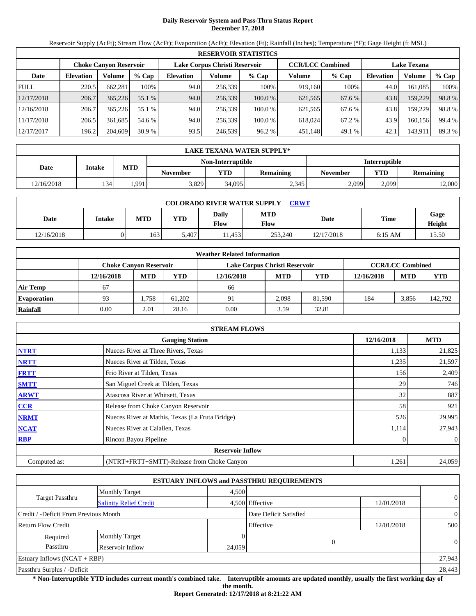# **Daily Reservoir System and Pass-Thru Status Report December 17, 2018**

Reservoir Supply (AcFt); Stream Flow (AcFt); Evaporation (AcFt); Elevation (Ft); Rainfall (Inches); Temperature (°F); Gage Height (ft MSL)

|             | <b>RESERVOIR STATISTICS</b> |                               |         |                               |         |         |                         |         |                    |         |        |  |  |
|-------------|-----------------------------|-------------------------------|---------|-------------------------------|---------|---------|-------------------------|---------|--------------------|---------|--------|--|--|
|             |                             | <b>Choke Canyon Reservoir</b> |         | Lake Corpus Christi Reservoir |         |         | <b>CCR/LCC Combined</b> |         | <b>Lake Texana</b> |         |        |  |  |
| Date        | <b>Elevation</b>            | Volume                        | $%$ Cap | <b>Elevation</b>              | Volume  | $%$ Cap | Volume                  | $%$ Cap | <b>Elevation</b>   | Volume  | % Cap  |  |  |
| <b>FULL</b> | 220.5                       | 662,281                       | 100%    | 94.0                          | 256,339 | 100%    | 919.160                 | 100%    | 44.0               | 161,085 | 100%   |  |  |
| 12/17/2018  | 206.7                       | 365,226                       | 55.1 %  | 94.0                          | 256.339 | 100.0 % | 621,565                 | 67.6 %  | 43.8               | 159,229 | 98.8%  |  |  |
| 12/16/2018  | 206.7                       | 365.226                       | 55.1 %  | 94.0                          | 256,339 | 100.0 % | 621,565                 | 67.6 %  | 43.8               | 159.229 | 98.8%  |  |  |
| 11/17/2018  | 206.5                       | 361.685                       | 54.6 %  | 94.0                          | 256.339 | 100.0 % | 618,024                 | 67.2 %  | 43.9               | 160.156 | 99.4 % |  |  |
| 12/17/2017  | 196.2                       | 204,609                       | 30.9%   | 93.5                          | 246,539 | 96.2 %  | 451,148                 | 49.1 %  | 42.1               | 143,911 | 89.3 % |  |  |

|            | LAKE TEXANA WATER SUPPLY* |            |                 |                   |           |                      |            |           |  |  |  |
|------------|---------------------------|------------|-----------------|-------------------|-----------|----------------------|------------|-----------|--|--|--|
|            |                           |            |                 | Non-Interruptible |           | <b>Interruptible</b> |            |           |  |  |  |
| Date       | <b>Intake</b>             | <b>MTD</b> | <b>November</b> | <b>YTD</b>        | Remaining | <b>November</b>      | <b>YTD</b> | Remaining |  |  |  |
| 12/16/2018 | 134                       | 1,991      | 3,829           | 34.095            | 2,345     | 2,099                | 2.099      | 12,000    |  |  |  |

| <b>COLORADO RIVER WATER SUPPLY</b><br><b>CRWT</b> |               |            |       |               |                    |            |             |                |  |  |
|---------------------------------------------------|---------------|------------|-------|---------------|--------------------|------------|-------------|----------------|--|--|
| Date                                              | <b>Intake</b> | <b>MTD</b> | YTD   | Daily<br>Flow | <b>MTD</b><br>Flow | Date       | <b>Time</b> | Gage<br>Height |  |  |
| 12/16/2018                                        | )             | 163        | 5.407 | 1.453         | 253,240            | 12/17/2018 | $6:15$ AM   | 15.50          |  |  |

|                    |                               |            |        | <b>Weather Related Information</b> |            |            |            |                         |            |
|--------------------|-------------------------------|------------|--------|------------------------------------|------------|------------|------------|-------------------------|------------|
|                    | <b>Choke Canvon Reservoir</b> |            |        | Lake Corpus Christi Reservoir      |            |            |            | <b>CCR/LCC Combined</b> |            |
|                    | 12/16/2018                    | <b>MTD</b> | YTD    | 12/16/2018                         | <b>MTD</b> | <b>YTD</b> | 12/16/2018 | <b>MTD</b>              | <b>YTD</b> |
| <b>Air Temp</b>    | 67                            |            |        | 66                                 |            |            |            |                         |            |
| <b>Evaporation</b> | 93                            | 1.758      | 61.202 | 91                                 | 2.098      | 81.590     | 184        | 3.856                   | 142.792    |
| Rainfall           | 0.00                          | 2.01       | 28.16  | 0.00                               | 3.59       | 32.81      |            |                         |            |

|              | <b>STREAM FLOWS</b>                             |            |                |
|--------------|-------------------------------------------------|------------|----------------|
|              | <b>Gauging Station</b>                          | 12/16/2018 | <b>MTD</b>     |
| <b>NTRT</b>  | Nueces River at Three Rivers, Texas             | 1,133      | 21,825         |
| <b>NRTT</b>  | Nueces River at Tilden, Texas                   | 1,235      | 21,597         |
| <b>FRTT</b>  | Frio River at Tilden, Texas                     | 156        | 2,409          |
| <b>SMTT</b>  | San Miguel Creek at Tilden, Texas               | 29         | 746            |
| <b>ARWT</b>  | Atascosa River at Whitsett, Texas               | 32         | 887            |
| <b>CCR</b>   | Release from Choke Canyon Reservoir             | 58         | 921            |
| <b>NRMT</b>  | Nueces River at Mathis, Texas (La Fruta Bridge) | 526        | 29,995         |
| <b>NCAT</b>  | Nueces River at Calallen, Texas                 | 1,114      | 27,943         |
| <b>RBP</b>   | Rincon Bayou Pipeline                           |            | $\overline{0}$ |
|              | <b>Reservoir Inflow</b>                         |            |                |
| Computed as: | (NTRT+FRTT+SMTT)-Release from Choke Canyon      | 1,261      | 24,059         |

|                                       |                               |        | <b>ESTUARY INFLOWS and PASSTHRU REQUIREMENTS</b> |            |                |
|---------------------------------------|-------------------------------|--------|--------------------------------------------------|------------|----------------|
|                                       | <b>Monthly Target</b>         | 4.500  |                                                  |            |                |
| Target Passthru                       | <b>Salinity Relief Credit</b> |        | 4,500 Effective                                  | 12/01/2018 | $\overline{0}$ |
| Credit / -Deficit From Previous Month |                               |        | Date Deficit Satisfied                           |            | $\overline{0}$ |
| <b>Return Flow Credit</b>             |                               |        | Effective                                        | 12/01/2018 | 500            |
| Required                              | <b>Monthly Target</b>         |        |                                                  |            |                |
| Passthru                              | Reservoir Inflow              | 24,059 |                                                  |            | $\theta$       |
| Estuary Inflows $(NCAT + RBP)$        |                               |        |                                                  |            | 27,943         |
| Passthru Surplus / -Deficit           |                               |        |                                                  |            | 28,443         |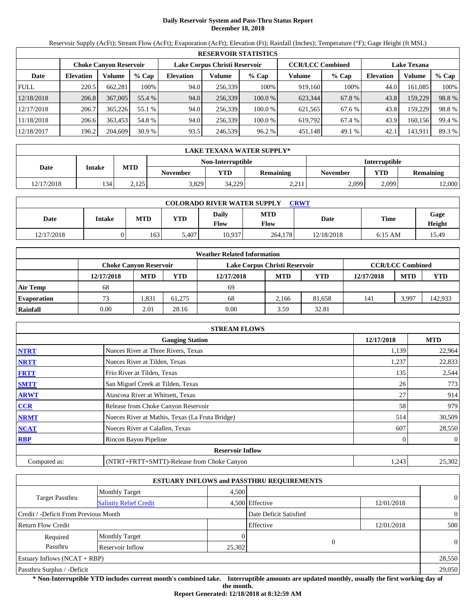# **Daily Reservoir System and Pass-Thru Status Report December 18, 2018**

Reservoir Supply (AcFt); Stream Flow (AcFt); Evaporation (AcFt); Elevation (Ft); Rainfall (Inches); Temperature (°F); Gage Height (ft MSL)

|             | <b>RESERVOIR STATISTICS</b> |                               |         |                               |         |         |                         |         |                    |         |        |  |  |
|-------------|-----------------------------|-------------------------------|---------|-------------------------------|---------|---------|-------------------------|---------|--------------------|---------|--------|--|--|
|             |                             | <b>Choke Canyon Reservoir</b> |         | Lake Corpus Christi Reservoir |         |         | <b>CCR/LCC Combined</b> |         | <b>Lake Texana</b> |         |        |  |  |
| Date        | <b>Elevation</b>            | Volume                        | $%$ Cap | <b>Elevation</b>              | Volume  | $%$ Cap | Volume                  | $%$ Cap | <b>Elevation</b>   | Volume  | % Cap  |  |  |
| <b>FULL</b> | 220.5                       | 662,281                       | 100%    | 94.0                          | 256,339 | 100%    | 919.160                 | 100%    | 44.0               | 161,085 | 100%   |  |  |
| 12/18/2018  | 206.8                       | 367,005                       | 55.4 %  | 94.0                          | 256.339 | 100.0 % | 623.344                 | 67.8 %  | 43.8               | 159,229 | 98.8%  |  |  |
| 12/17/2018  | 206.7                       | 365.226                       | 55.1 %  | 94.0                          | 256,339 | 100.0 % | 621,565                 | 67.6 %  | 43.8               | 159.229 | 98.8%  |  |  |
| 11/18/2018  | 206.6                       | 363,453                       | 54.8 %  | 94.0                          | 256.339 | 100.0 % | 619.792                 | 67.4%   | 43.9               | 160.156 | 99.4 % |  |  |
| 12/18/2017  | 196.2                       | 204,609                       | 30.9%   | 93.5                          | 246,539 | 96.2 %  | 451,148                 | 49.1 %  | 42.1               | 143,911 | 89.3 % |  |  |

|            | LAKE TEXANA WATER SUPPLY* |            |                 |                   |                  |                      |            |                  |  |  |  |
|------------|---------------------------|------------|-----------------|-------------------|------------------|----------------------|------------|------------------|--|--|--|
|            |                           |            |                 | Non-Interruptible |                  | <b>Interruptible</b> |            |                  |  |  |  |
| Date       | <b>Intake</b>             | <b>MTD</b> | <b>November</b> | VTD               | <b>Remaining</b> | November             | <b>YTD</b> | <b>Remaining</b> |  |  |  |
| 12/17/2018 | 134                       | 2.125      | 3,829           | 34.229            | 2.21<br>$-1$     | 2,099                | 2.099      | 12,000           |  |  |  |

| <b>COLORADO RIVER WATER SUPPLY</b><br><b>CRWT</b> |               |            |            |               |                    |            |             |                |  |  |  |
|---------------------------------------------------|---------------|------------|------------|---------------|--------------------|------------|-------------|----------------|--|--|--|
| Date                                              | <b>Intake</b> | <b>MTD</b> | <b>YTD</b> | Daily<br>Flow | <b>MTD</b><br>Flow | Date       | <b>Time</b> | Gage<br>Height |  |  |  |
| 12/17/2018                                        | ΩI            | 163        | 5.407      | 10,937        | 264,178            | 12/18/2018 | $6:15$ AM   | 15.49          |  |  |  |

|                    |                        |            |        | <b>Weather Related Information</b> |            |            |                         |            |            |  |  |
|--------------------|------------------------|------------|--------|------------------------------------|------------|------------|-------------------------|------------|------------|--|--|
|                    | Choke Canvon Reservoir |            |        | Lake Corpus Christi Reservoir      |            |            | <b>CCR/LCC Combined</b> |            |            |  |  |
|                    | 12/17/2018             | <b>MTD</b> | YTD    | 12/17/2018                         | <b>MTD</b> | <b>YTD</b> | 12/17/2018              | <b>MTD</b> | <b>YTD</b> |  |  |
| <b>Air Temp</b>    | 68                     |            |        | 69                                 |            |            |                         |            |            |  |  |
| <b>Evaporation</b> | 73                     | .331       | 61.275 | 68                                 | 2.166      | 81.658     | 141                     | 3,997      | 142,933    |  |  |
| Rainfall           | 0.00                   | 2.01       | 28.16  | 0.00                               | 3.59       | 32.81      |                         |            |            |  |  |

|              | <b>STREAM FLOWS</b>                             |            |                |
|--------------|-------------------------------------------------|------------|----------------|
|              | <b>Gauging Station</b>                          | 12/17/2018 | <b>MTD</b>     |
| <b>NTRT</b>  | Nueces River at Three Rivers, Texas             | 1,139      | 22,964         |
| <b>NRTT</b>  | Nueces River at Tilden, Texas                   | 1,237      | 22,833         |
| <b>FRTT</b>  | Frio River at Tilden, Texas                     | 135        | 2,544          |
| <b>SMTT</b>  | San Miguel Creek at Tilden, Texas               | 26         | 773            |
| <b>ARWT</b>  | Atascosa River at Whitsett, Texas               | 27         | 914            |
| CCR          | Release from Choke Canyon Reservoir             | 58         | 979            |
| <b>NRMT</b>  | Nueces River at Mathis, Texas (La Fruta Bridge) | 514        | 30,509         |
| <b>NCAT</b>  | Nueces River at Calallen, Texas                 | 607        | 28,550         |
| <b>RBP</b>   | Rincon Bayou Pipeline                           |            | $\overline{0}$ |
|              | <b>Reservoir Inflow</b>                         |            |                |
| Computed as: | (NTRT+FRTT+SMTT)-Release from Choke Canyon      | 1,243      | 25,302         |

|                                       |                               |        | <b>ESTUARY INFLOWS and PASSTHRU REQUIREMENTS</b> |            |                |
|---------------------------------------|-------------------------------|--------|--------------------------------------------------|------------|----------------|
|                                       | <b>Monthly Target</b>         | 4.500  |                                                  |            |                |
| Target Passthru                       | <b>Salinity Relief Credit</b> |        | 4,500 Effective                                  | 12/01/2018 | $\overline{0}$ |
| Credit / -Deficit From Previous Month |                               |        | Date Deficit Satisfied                           |            | $\overline{0}$ |
| <b>Return Flow Credit</b>             |                               |        | Effective                                        | 12/01/2018 | 500            |
| Required                              | <b>Monthly Target</b>         |        |                                                  |            |                |
| Passthru                              | Reservoir Inflow              | 25,302 | $\theta$                                         |            | $\Omega$       |
| Estuary Inflows $(NCAT + RBP)$        |                               |        |                                                  |            | 28,550         |
| Passthru Surplus / -Deficit           |                               |        |                                                  |            | 29,050         |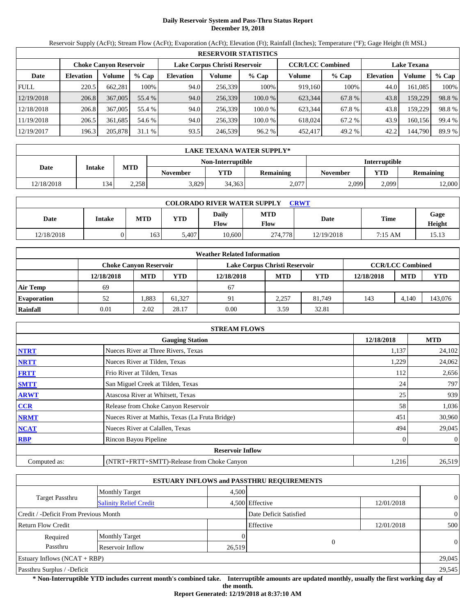# **Daily Reservoir System and Pass-Thru Status Report December 19, 2018**

Reservoir Supply (AcFt); Stream Flow (AcFt); Evaporation (AcFt); Elevation (Ft); Rainfall (Inches); Temperature (°F); Gage Height (ft MSL)

|             | <b>RESERVOIR STATISTICS</b> |                               |         |                               |         |         |                         |         |                    |         |        |  |
|-------------|-----------------------------|-------------------------------|---------|-------------------------------|---------|---------|-------------------------|---------|--------------------|---------|--------|--|
|             |                             | <b>Choke Canyon Reservoir</b> |         | Lake Corpus Christi Reservoir |         |         | <b>CCR/LCC Combined</b> |         | <b>Lake Texana</b> |         |        |  |
| Date        | <b>Elevation</b>            | Volume                        | $%$ Cap | <b>Elevation</b>              | Volume  | $%$ Cap | Volume                  | $%$ Cap | Elevation          | Volume  | % Cap  |  |
| <b>FULL</b> | 220.5                       | 662,281                       | 100%    | 94.0                          | 256,339 | 100%    | 919.160                 | 100%    | 44.0               | 161,085 | 100%   |  |
| 12/19/2018  | 206.8                       | 367,005                       | 55.4 %  | 94.0                          | 256,339 | 100.0 % | 623,344                 | 67.8 %  | 43.8               | 159,229 | 98.8%  |  |
| 12/18/2018  | 206.8                       | 367,005                       | 55.4 %  | 94.0                          | 256,339 | 100.0 % | 623.344                 | 67.8%   | 43.8               | 159,229 | 98.8%  |  |
| 11/19/2018  | 206.5                       | 361,685                       | 54.6 %  | 94.0                          | 256,339 | 100.0 % | 618,024                 | 67.2 %  | 43.9               | 160,156 | 99.4 % |  |
| 12/19/2017  | 196.3                       | 205,878                       | 31.1%   | 93.5                          | 246,539 | 96.2 %  | 452,417                 | 49.2 %  | 42.2               | 144,790 | 89.9 % |  |

|            | LAKE TEXANA WATER SUPPLY* |            |                 |                   |           |                      |            |           |  |  |  |
|------------|---------------------------|------------|-----------------|-------------------|-----------|----------------------|------------|-----------|--|--|--|
|            |                           |            |                 | Non-Interruptible |           | <b>Interruptible</b> |            |           |  |  |  |
| Date       | <b>Intake</b>             | <b>MTD</b> | <b>November</b> | YTD               | Remaining | <b>November</b>      | <b>YTD</b> | Remaining |  |  |  |
| 12/18/2018 | 134                       | 2,258      | 3,829           | 34,363            | 2,077     | 2,099                | 2.099      | 12,000    |  |  |  |

| <b>COLORADO RIVER WATER SUPPLY</b><br>CRWT |               |            |            |               |                    |            |             |                |  |  |
|--------------------------------------------|---------------|------------|------------|---------------|--------------------|------------|-------------|----------------|--|--|
| Date                                       | <b>Intake</b> | <b>MTD</b> | <b>YTD</b> | Daily<br>Flow | <b>MTD</b><br>Flow | Date       | <b>Time</b> | Gage<br>Height |  |  |
| 12/18/2018                                 | ΩI            | 163        | 5.407      | 10,600        | 274,778            | 12/19/2018 | 7:15 AM     | 15.13          |  |  |

|                    |            |                               |        | <b>Weather Related Information</b> |            |            |            |                         |            |
|--------------------|------------|-------------------------------|--------|------------------------------------|------------|------------|------------|-------------------------|------------|
|                    |            | <b>Choke Canvon Reservoir</b> |        | Lake Corpus Christi Reservoir      |            |            |            | <b>CCR/LCC Combined</b> |            |
|                    | 12/18/2018 | <b>MTD</b>                    | YTD    | 12/18/2018                         | <b>MTD</b> | <b>YTD</b> | 12/18/2018 | <b>MTD</b>              | <b>YTD</b> |
| <b>Air Temp</b>    | 69         |                               |        | 67                                 |            |            |            |                         |            |
| <b>Evaporation</b> | 52         | .883                          | 61.327 | 91                                 | 2.257      | 81.749     | 143        | 4.140                   | 143,076    |
| Rainfall           | 0.01       | 2.02                          | 28.17  | 0.00                               | 3.59       | 32.81      |            |                         |            |

|              | <b>STREAM FLOWS</b>                             |            |                |
|--------------|-------------------------------------------------|------------|----------------|
|              | <b>Gauging Station</b>                          | 12/18/2018 | <b>MTD</b>     |
| <b>NTRT</b>  | Nueces River at Three Rivers, Texas             | 1,137      | 24,102         |
| <b>NRTT</b>  | Nueces River at Tilden, Texas                   | 1,229      | 24,062         |
| <b>FRTT</b>  | Frio River at Tilden, Texas                     | 112        | 2,656          |
| <b>SMTT</b>  | San Miguel Creek at Tilden, Texas               | 24         | 797            |
| <b>ARWT</b>  | Atascosa River at Whitsett, Texas               | 25         | 939            |
| <b>CCR</b>   | Release from Choke Canyon Reservoir             | 58         | 1,036          |
| <b>NRMT</b>  | Nueces River at Mathis, Texas (La Fruta Bridge) | 451        | 30,960         |
| <b>NCAT</b>  | Nueces River at Calallen, Texas                 | 494        | 29,045         |
| <b>RBP</b>   | Rincon Bayou Pipeline                           |            | $\overline{0}$ |
|              | <b>Reservoir Inflow</b>                         |            |                |
| Computed as: | (NTRT+FRTT+SMTT)-Release from Choke Canyon      | 1,216      | 26,519         |

|                                       |                               |        | <b>ESTUARY INFLOWS and PASSTHRU REQUIREMENTS</b> |            |                |
|---------------------------------------|-------------------------------|--------|--------------------------------------------------|------------|----------------|
|                                       | <b>Monthly Target</b>         | 4.500  |                                                  |            |                |
| Target Passthru                       | <b>Salinity Relief Credit</b> |        | 4,500 Effective                                  | 12/01/2018 | $\overline{0}$ |
| Credit / -Deficit From Previous Month |                               |        | Date Deficit Satisfied                           |            | $\overline{0}$ |
| <b>Return Flow Credit</b>             |                               |        | Effective                                        | 12/01/2018 | 500            |
| Required                              | <b>Monthly Target</b>         |        |                                                  |            |                |
| Passthru                              | Reservoir Inflow              | 26,519 |                                                  |            | $\theta$       |
| Estuary Inflows $(NCAT + RBP)$        |                               |        |                                                  |            | 29,045         |
| Passthru Surplus / -Deficit           |                               |        |                                                  |            | 29,545         |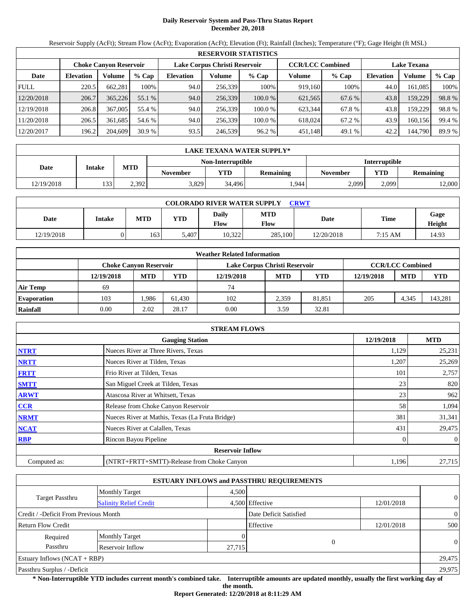# **Daily Reservoir System and Pass-Thru Status Report December 20, 2018**

Reservoir Supply (AcFt); Stream Flow (AcFt); Evaporation (AcFt); Elevation (Ft); Rainfall (Inches); Temperature (°F); Gage Height (ft MSL)

|             | <b>RESERVOIR STATISTICS</b> |                               |         |                               |         |         |                         |         |                    |         |        |  |
|-------------|-----------------------------|-------------------------------|---------|-------------------------------|---------|---------|-------------------------|---------|--------------------|---------|--------|--|
|             |                             | <b>Choke Canyon Reservoir</b> |         | Lake Corpus Christi Reservoir |         |         | <b>CCR/LCC Combined</b> |         | <b>Lake Texana</b> |         |        |  |
| Date        | <b>Elevation</b>            | Volume                        | $%$ Cap | <b>Elevation</b>              | Volume  | $%$ Cap | Volume                  | $%$ Cap | <b>Elevation</b>   | Volume  | % Cap  |  |
| <b>FULL</b> | 220.5                       | 662,281                       | 100%    | 94.0                          | 256,339 | 100%    | 919,160                 | 100%    | 44.0               | 161.085 | 100%   |  |
| 12/20/2018  | 206.7                       | 365,226                       | 55.1 %  | 94.0                          | 256,339 | 100.0 % | 621,565                 | 67.6 %  | 43.8               | 159,229 | 98.8%  |  |
| 12/19/2018  | 206.8                       | 367,005                       | 55.4 %  | 94.0                          | 256.339 | 100.0 % | 623.344                 | 67.8 %  | 43.8               | 159,229 | 98.8%  |  |
| 11/20/2018  | 206.5                       | 361.685                       | 54.6 %  | 94.0                          | 256.339 | 100.0 % | 618,024                 | 67.2 %  | 43.9               | 160,156 | 99.4 % |  |
| 12/20/2017  | 196.2                       | 204,609                       | 30.9%   | 93.5                          | 246,539 | 96.2 %  | 451,148                 | 49.1 %  | 42.2               | 144,790 | 89.9 % |  |

|            | LAKE TEXANA WATER SUPPLY* |            |                 |                   |                  |                      |            |                  |  |  |  |
|------------|---------------------------|------------|-----------------|-------------------|------------------|----------------------|------------|------------------|--|--|--|
|            |                           |            |                 | Non-Interruptible |                  | <b>Interruptible</b> |            |                  |  |  |  |
| Date       | <b>Intake</b>             | <b>MTD</b> | <b>November</b> | VTD               | <b>Remaining</b> | November             | <b>YTD</b> | <b>Remaining</b> |  |  |  |
| 12/19/2018 | 133                       | 2.392      | 3,829           | 34.496            | 1.944            | 2,099                | 2.099      | 12,000           |  |  |  |

| <b>COLORADO RIVER WATER SUPPLY</b><br>CRWT |               |            |            |               |                    |            |             |                |  |  |
|--------------------------------------------|---------------|------------|------------|---------------|--------------------|------------|-------------|----------------|--|--|
| Date                                       | <b>Intake</b> | <b>MTD</b> | <b>YTD</b> | Daily<br>Flow | <b>MTD</b><br>Flow | Date       | <b>Time</b> | Gage<br>Height |  |  |
| 12/19/2018                                 | )             | 163        | 5.407      | 10.322        | 285,100            | 12/20/2018 | 7:15 AM     | 14.93          |  |  |

|                    |                        |            |        | <b>Weather Related Information</b> |                         |            |            |            |            |
|--------------------|------------------------|------------|--------|------------------------------------|-------------------------|------------|------------|------------|------------|
|                    | Choke Canvon Reservoir |            |        | Lake Corpus Christi Reservoir      | <b>CCR/LCC Combined</b> |            |            |            |            |
|                    | 12/19/2018             | <b>MTD</b> | YTD    | 12/19/2018                         | <b>MTD</b>              | <b>YTD</b> | 12/19/2018 | <b>MTD</b> | <b>YTD</b> |
| <b>Air Temp</b>    | 69                     |            |        | 74                                 |                         |            |            |            |            |
| <b>Evaporation</b> | 103                    | .986       | 61.430 | 102                                | 2.359                   | 81.851     | 205        | 4,345      | 143,281    |
| Rainfall           | 0.00                   | 2.02       | 28.17  | 0.00                               | 3.59                    | 32.81      |            |            |            |

|              | <b>STREAM FLOWS</b>                             |            |                |
|--------------|-------------------------------------------------|------------|----------------|
|              | <b>Gauging Station</b>                          | 12/19/2018 | <b>MTD</b>     |
| <b>NTRT</b>  | Nueces River at Three Rivers, Texas             | 1,129      | 25,231         |
| <b>NRTT</b>  | Nueces River at Tilden, Texas                   | 1,207      | 25,269         |
| <b>FRTT</b>  | Frio River at Tilden, Texas                     | 101        | 2,757          |
| <b>SMTT</b>  | San Miguel Creek at Tilden, Texas               | 23         | 820            |
| <b>ARWT</b>  | Atascosa River at Whitsett, Texas               | 23         | 962            |
| <b>CCR</b>   | Release from Choke Canyon Reservoir             | 58         | 1,094          |
| <b>NRMT</b>  | Nueces River at Mathis, Texas (La Fruta Bridge) | 381        | 31,341         |
| <b>NCAT</b>  | Nueces River at Calallen, Texas                 | 431        | 29,475         |
| <b>RBP</b>   | Rincon Bayou Pipeline                           |            | $\overline{0}$ |
|              | <b>Reservoir Inflow</b>                         |            |                |
| Computed as: | (NTRT+FRTT+SMTT)-Release from Choke Canyon      | 1,196      | 27,715         |

|                                       |                               |        | <b>ESTUARY INFLOWS and PASSTHRU REQUIREMENTS</b> |            |                |
|---------------------------------------|-------------------------------|--------|--------------------------------------------------|------------|----------------|
|                                       | <b>Monthly Target</b>         | 4.500  |                                                  |            |                |
| Target Passthru                       | <b>Salinity Relief Credit</b> |        | 4,500 Effective                                  | 12/01/2018 | $\overline{0}$ |
| Credit / -Deficit From Previous Month |                               |        | Date Deficit Satisfied                           |            | $\overline{0}$ |
| <b>Return Flow Credit</b>             |                               |        | Effective                                        | 12/01/2018 | 500            |
| Required                              | <b>Monthly Target</b>         |        |                                                  |            |                |
| Passthru                              | Reservoir Inflow              | 27,715 |                                                  |            | $\theta$       |
| Estuary Inflows $(NCAT + RBP)$        |                               |        |                                                  |            | 29,475         |
| Passthru Surplus / -Deficit           |                               |        |                                                  |            | 29,975         |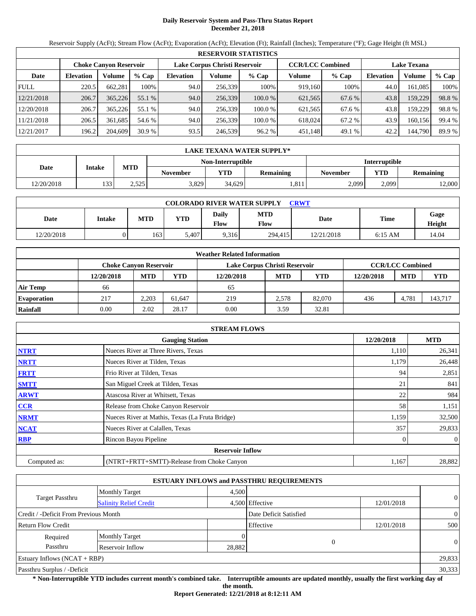# **Daily Reservoir System and Pass-Thru Status Report December 21, 2018**

Reservoir Supply (AcFt); Stream Flow (AcFt); Evaporation (AcFt); Elevation (Ft); Rainfall (Inches); Temperature (°F); Gage Height (ft MSL)

|             | <b>RESERVOIR STATISTICS</b> |                               |         |                               |         |         |                         |         |                    |         |        |  |  |
|-------------|-----------------------------|-------------------------------|---------|-------------------------------|---------|---------|-------------------------|---------|--------------------|---------|--------|--|--|
|             |                             | <b>Choke Canyon Reservoir</b> |         | Lake Corpus Christi Reservoir |         |         | <b>CCR/LCC Combined</b> |         | <b>Lake Texana</b> |         |        |  |  |
| Date        | <b>Elevation</b>            | Volume                        | $%$ Cap | <b>Elevation</b>              | Volume  | $%$ Cap | Volume                  | $%$ Cap | <b>Elevation</b>   | Volume  | % Cap  |  |  |
| <b>FULL</b> | 220.5                       | 662.281                       | 100%    | 94.0                          | 256,339 | 100%    | 919,160                 | 100%    | 44.0               | 161.085 | 100%   |  |  |
| 12/21/2018  | 206.7                       | 365,226                       | 55.1 %  | 94.0                          | 256,339 | 100.0%  | 621,565                 | 67.6 %  | 43.8               | 159,229 | 98.8%  |  |  |
| 12/20/2018  | 206.7                       | 365,226                       | 55.1 %  | 94.0                          | 256.339 | 100.0 % | 621.565                 | 67.6 %  | 43.8               | 159.229 | 98.8%  |  |  |
| 11/21/2018  | 206.5                       | 361.685                       | 54.6 %  | 94.0                          | 256.339 | 100.0 % | 618,024                 | 67.2 %  | 43.9               | 160.156 | 99.4 % |  |  |
| 12/21/2017  | 196.2                       | 204,609                       | 30.9%   | 93.5                          | 246,539 | 96.2%   | 451,148                 | 49.1 %  | 42.2               | 144,790 | 89.9 % |  |  |

|            | LAKE TEXANA WATER SUPPLY*   |       |                 |        |                  |                 |                      |           |  |  |
|------------|-----------------------------|-------|-----------------|--------|------------------|-----------------|----------------------|-----------|--|--|
|            | Non-Interruptible           |       |                 |        |                  |                 | <b>Interruptible</b> |           |  |  |
| Date       | <b>MTD</b><br><b>Intake</b> |       | <b>November</b> | VTD    | <b>Remaining</b> | <b>November</b> | <b>YTD</b>           | Remaining |  |  |
| 12/20/2018 | 133                         | 2,525 | 3,829           | 34.629 | 1.811            | 2,099           | 2.099                | 12,000    |  |  |

| <b>COLORADO RIVER WATER SUPPLY</b><br>CRWT |        |            |            |               |                    |             |           |                |  |  |
|--------------------------------------------|--------|------------|------------|---------------|--------------------|-------------|-----------|----------------|--|--|
| Date                                       | Intake | <b>MTD</b> | <b>YTD</b> | Daily<br>Flow | <b>MTD</b><br>Flow | <b>Date</b> | Time      | Gage<br>Height |  |  |
| 12/20/2018                                 |        | 1631       | 5.407      | 9.316         | 294.415            | 12/21/2018  | $6:15$ AM | 14.04          |  |  |

|                    |                        |            |        | <b>Weather Related Information</b> |            |            |            |                         |            |
|--------------------|------------------------|------------|--------|------------------------------------|------------|------------|------------|-------------------------|------------|
|                    | Choke Canvon Reservoir |            |        | Lake Corpus Christi Reservoir      |            |            |            | <b>CCR/LCC Combined</b> |            |
|                    | 12/20/2018             | <b>MTD</b> | YTD    | 12/20/2018                         | <b>MTD</b> | <b>YTD</b> | 12/20/2018 | <b>MTD</b>              | <b>YTD</b> |
| <b>Air Temp</b>    | 66                     |            |        | 65                                 |            |            |            |                         |            |
| <b>Evaporation</b> | 217                    | 2.203      | 61.647 | 219                                | 2.578      | 82,070     | 436        | 4.781                   | 143,717    |
| Rainfall           | 0.00                   | 2.02       | 28.17  | 0.00                               | 3.59       | 32.81      |            |                         |            |

|              | <b>STREAM FLOWS</b>                             |            |                |
|--------------|-------------------------------------------------|------------|----------------|
|              | <b>Gauging Station</b>                          | 12/20/2018 | <b>MTD</b>     |
| <b>NTRT</b>  | Nueces River at Three Rivers, Texas             | 1,110      | 26,341         |
| <b>NRTT</b>  | Nueces River at Tilden, Texas                   | 1,179      | 26,448         |
| <b>FRTT</b>  | Frio River at Tilden, Texas                     | 94         | 2,851          |
| <b>SMTT</b>  | San Miguel Creek at Tilden, Texas               | 21         | 841            |
| <b>ARWT</b>  | Atascosa River at Whitsett, Texas               | 22         | 984            |
| <b>CCR</b>   | Release from Choke Canyon Reservoir             | 58         | 1,151          |
| <b>NRMT</b>  | Nueces River at Mathis, Texas (La Fruta Bridge) | 1,159      | 32,500         |
| <b>NCAT</b>  | Nueces River at Calallen, Texas                 | 357        | 29,833         |
| <b>RBP</b>   | Rincon Bayou Pipeline                           |            | $\overline{0}$ |
|              | <b>Reservoir Inflow</b>                         |            |                |
| Computed as: | (NTRT+FRTT+SMTT)-Release from Choke Canyon      | 1,167      | 28,882         |

|                                       |                               |        | <b>ESTUARY INFLOWS and PASSTHRU REQUIREMENTS</b> |            |                |
|---------------------------------------|-------------------------------|--------|--------------------------------------------------|------------|----------------|
|                                       | <b>Monthly Target</b>         | 4.500  |                                                  |            |                |
| Target Passthru                       | <b>Salinity Relief Credit</b> |        | 4,500 Effective                                  | 12/01/2018 | $\overline{0}$ |
| Credit / -Deficit From Previous Month |                               |        | Date Deficit Satisfied                           |            | $\overline{0}$ |
| <b>Return Flow Credit</b>             |                               |        | Effective                                        | 12/01/2018 | 500            |
| Required                              | <b>Monthly Target</b>         |        |                                                  |            |                |
| Passthru                              | Reservoir Inflow              | 28,882 | $\theta$                                         |            | $\Omega$       |
| Estuary Inflows $(NCAT + RBP)$        |                               |        |                                                  |            | 29,833         |
| Passthru Surplus / -Deficit           |                               |        |                                                  |            | 30,333         |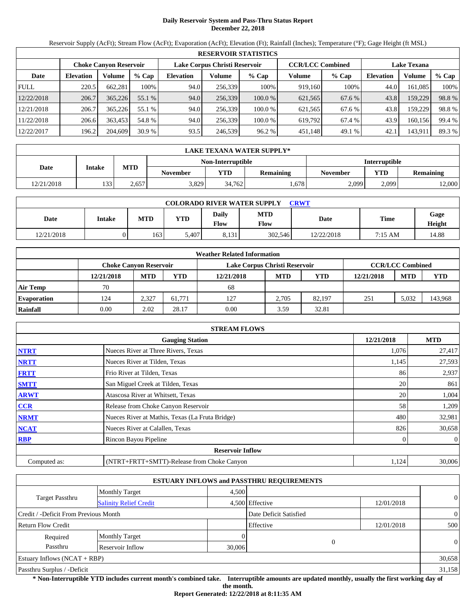# **Daily Reservoir System and Pass-Thru Status Report December 22, 2018**

Reservoir Supply (AcFt); Stream Flow (AcFt); Evaporation (AcFt); Elevation (Ft); Rainfall (Inches); Temperature (°F); Gage Height (ft MSL)

|             |                               |         |         |                  |                               | <b>RESERVOIR STATISTICS</b> |         |                         |                    |         |        |
|-------------|-------------------------------|---------|---------|------------------|-------------------------------|-----------------------------|---------|-------------------------|--------------------|---------|--------|
|             | <b>Choke Canyon Reservoir</b> |         |         |                  | Lake Corpus Christi Reservoir |                             |         | <b>CCR/LCC Combined</b> | <b>Lake Texana</b> |         |        |
| Date        | <b>Elevation</b>              | Volume  | $%$ Cap | <b>Elevation</b> | Volume                        | $%$ Cap                     | Volume  | % Cap                   | <b>Elevation</b>   | Volume  | % Cap  |
| <b>FULL</b> | 220.5                         | 662,281 | 100%    | 94.0             | 256.339                       | 100%                        | 919,160 | 100%                    | 44.0               | 161,085 | 100%   |
| 12/22/2018  | 206.7                         | 365,226 | 55.1 %  | 94.0             | 256,339                       | 100.0 %                     | 621,565 | 67.6 %                  | 43.8               | 159,229 | 98.8%  |
| 12/21/2018  | 206.7                         | 365,226 | 55.1 %  | 94.0             | 256.339                       | 100.0 %                     | 621,565 | 67.6 %                  | 43.8               | 159,229 | 98.8%  |
| 11/22/2018  | 206.6                         | 363.453 | 54.8 %  | 94.0             | 256.339                       | 100.0 %                     | 619.792 | 67.4 %                  | 43.9               | 160,156 | 99.4 % |
| 12/22/2017  | 196.2                         | 204,609 | 30.9%   | 93.5             | 246,539                       | 96.2 %                      | 451,148 | 49.1 %                  | 42.1               | 143,911 | 89.3 % |

|            | LAKE TEXANA WATER SUPPLY*   |                                           |                 |            |                  |                 |            |           |  |  |
|------------|-----------------------------|-------------------------------------------|-----------------|------------|------------------|-----------------|------------|-----------|--|--|
|            |                             | <b>Interruptible</b><br>Non-Interruptible |                 |            |                  |                 |            |           |  |  |
| Date       | <b>MTD</b><br><b>Intake</b> |                                           | <b>November</b> | <b>VTD</b> | <b>Remaining</b> | <b>November</b> | <b>YTD</b> | Remaining |  |  |
| 12/21/2018 | 133                         | 2,657                                     | 3,829           | 34,762     | 0.678            | 2,099           | 2.099      | 12,000    |  |  |

| <b>COLORADO RIVER WATER SUPPLY</b><br>CRWT |        |            |            |               |                    |             |         |                |  |  |
|--------------------------------------------|--------|------------|------------|---------------|--------------------|-------------|---------|----------------|--|--|
| Date                                       | Intake | <b>MTD</b> | <b>YTD</b> | Daily<br>Flow | <b>MTD</b><br>Flow | <b>Date</b> | Time    | Gage<br>Height |  |  |
| 12/21/2018                                 |        | 163        | 5,407      | 8,131         | 302.546            | 12/22/2018  | 7:15 AM | 14.88          |  |  |

|                    |                        |            |        | <b>Weather Related Information</b> |            |            |            |                         |            |
|--------------------|------------------------|------------|--------|------------------------------------|------------|------------|------------|-------------------------|------------|
|                    | Choke Canvon Reservoir |            |        | Lake Corpus Christi Reservoir      |            |            |            | <b>CCR/LCC Combined</b> |            |
|                    | 12/21/2018             | <b>MTD</b> | YTD    | 12/21/2018                         | <b>MTD</b> | <b>YTD</b> | 12/21/2018 | <b>MTD</b>              | <b>YTD</b> |
| <b>Air Temp</b>    | 70                     |            |        | 68                                 |            |            |            |                         |            |
| <b>Evaporation</b> | 124                    | 2.327      | 61.771 | 127                                | 2.705      | 82,197     | 251        | 5.032                   | 143,968    |
| Rainfall           | 0.00                   | 2.02       | 28.17  | 0.00                               | 3.59       | 32.81      |            |                         |            |

|              | <b>STREAM FLOWS</b>                             |            |                |
|--------------|-------------------------------------------------|------------|----------------|
|              | <b>Gauging Station</b>                          | 12/21/2018 | <b>MTD</b>     |
| <b>NTRT</b>  | Nueces River at Three Rivers, Texas             | 1,076      | 27,417         |
| <b>NRTT</b>  | Nueces River at Tilden, Texas                   | 1,145      | 27,593         |
| <b>FRTT</b>  | Frio River at Tilden, Texas                     | 86         | 2,937          |
| <b>SMTT</b>  | San Miguel Creek at Tilden, Texas               | 20         | 861            |
| <b>ARWT</b>  | Atascosa River at Whitsett, Texas               | 20         | 1,004          |
| <b>CCR</b>   | Release from Choke Canyon Reservoir             | 58         | 1,209          |
| <b>NRMT</b>  | Nueces River at Mathis, Texas (La Fruta Bridge) | 480        | 32,981         |
| <b>NCAT</b>  | Nueces River at Calallen, Texas                 | 826        | 30,658         |
| <b>RBP</b>   | Rincon Bayou Pipeline                           |            | $\overline{0}$ |
|              | <b>Reservoir Inflow</b>                         |            |                |
| Computed as: | (NTRT+FRTT+SMTT)-Release from Choke Canyon      | 1,124      | 30,006         |

|                                       |                               |        | <b>ESTUARY INFLOWS and PASSTHRU REQUIREMENTS</b> |            |                |
|---------------------------------------|-------------------------------|--------|--------------------------------------------------|------------|----------------|
|                                       | <b>Monthly Target</b>         | 4.500  |                                                  |            |                |
| Target Passthru                       | <b>Salinity Relief Credit</b> |        | 4,500 Effective                                  | 12/01/2018 | $\overline{0}$ |
| Credit / -Deficit From Previous Month |                               |        | Date Deficit Satisfied                           |            | $\theta$       |
| <b>Return Flow Credit</b>             |                               |        | Effective                                        | 12/01/2018 | 500            |
| Required                              | <b>Monthly Target</b>         |        |                                                  |            |                |
| Passthru                              | Reservoir Inflow              | 30,006 | $\theta$                                         |            | $\Omega$       |
| Estuary Inflows $(NCAT + RBP)$        |                               |        |                                                  |            | 30,658         |
| Passthru Surplus / -Deficit           |                               |        |                                                  |            | 31,158         |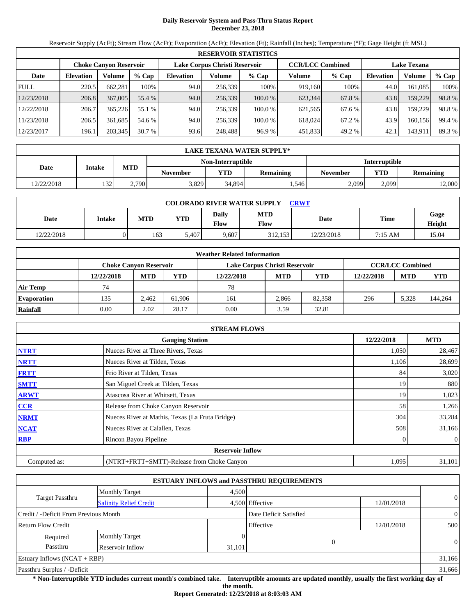# **Daily Reservoir System and Pass-Thru Status Report December 23, 2018**

Reservoir Supply (AcFt); Stream Flow (AcFt); Evaporation (AcFt); Elevation (Ft); Rainfall (Inches); Temperature (°F); Gage Height (ft MSL)

|             | <b>RESERVOIR STATISTICS</b> |                               |         |                               |         |         |                         |         |                    |         |        |  |
|-------------|-----------------------------|-------------------------------|---------|-------------------------------|---------|---------|-------------------------|---------|--------------------|---------|--------|--|
|             |                             | <b>Choke Canyon Reservoir</b> |         | Lake Corpus Christi Reservoir |         |         | <b>CCR/LCC Combined</b> |         | <b>Lake Texana</b> |         |        |  |
| Date        | <b>Elevation</b>            | Volume                        | $%$ Cap | <b>Elevation</b>              | Volume  | $%$ Cap | Volume                  | $%$ Cap | <b>Elevation</b>   | Volume  | % Cap  |  |
| <b>FULL</b> | 220.5                       | 662,281                       | 100%    | 94.0                          | 256,339 | 100%    | 919,160                 | 100%    | 44.0               | 161.085 | 100%   |  |
| 12/23/2018  | 206.8                       | 367,005                       | 55.4 %  | 94.0                          | 256,339 | 100.0 % | 623,344                 | 67.8 %  | 43.8               | 159,229 | 98.8%  |  |
| 12/22/2018  | 206.7                       | 365,226                       | 55.1 %  | 94.0                          | 256.339 | 100.0 % | 621.565                 | 67.6 %  | 43.8               | 159,229 | 98.8%  |  |
| 11/23/2018  | 206.5                       | 361.685                       | 54.6 %  | 94.0                          | 256.339 | 100.0 % | 618,024                 | 67.2 %  | 43.9               | 160,156 | 99.4 % |  |
| 12/23/2017  | 196.1                       | 203,345                       | 30.7%   | 93.6                          | 248,488 | 96.9%   | 451,833                 | 49.2 %  | 42.1               | 143,911 | 89.3 % |  |

|            | <b>LAKE TEXANA WATER SUPPLY*</b> |            |                 |            |                                           |                                            |       |        |  |  |  |
|------------|----------------------------------|------------|-----------------|------------|-------------------------------------------|--------------------------------------------|-------|--------|--|--|--|
|            |                                  |            |                 |            | <b>Interruptible</b><br>Non-Interruptible |                                            |       |        |  |  |  |
| Date       | <b>Intake</b>                    | <b>MTD</b> | <b>November</b> | <b>VTD</b> | <b>Remaining</b>                          | <b>YTD</b><br>Remaining<br><b>November</b> |       |        |  |  |  |
| 12/22/2018 | 132                              | 2,790      | 3,829           | 34,894     | . . 546                                   | 2,099                                      | 2.099 | 12,000 |  |  |  |

| <b>COLORADO RIVER WATER SUPPLY</b><br><b>CRWT</b> |        |            |            |               |             |            |         |                |  |  |
|---------------------------------------------------|--------|------------|------------|---------------|-------------|------------|---------|----------------|--|--|
| Date                                              | Intake | <b>MTD</b> | <b>YTD</b> | Daily<br>Flow | MTD<br>Flow | Date       | Time    | Gage<br>Height |  |  |
| 12/22/2018                                        |        | 163        | 5.407      | 9,607         | 312.153     | 12/23/2018 | 7:15 AM | 15.04          |  |  |

|                    | <b>Weather Related Information</b> |                               |        |                               |                         |            |            |            |            |  |  |  |
|--------------------|------------------------------------|-------------------------------|--------|-------------------------------|-------------------------|------------|------------|------------|------------|--|--|--|
|                    |                                    | <b>Choke Canvon Reservoir</b> |        | Lake Corpus Christi Reservoir | <b>CCR/LCC Combined</b> |            |            |            |            |  |  |  |
|                    | 12/22/2018                         | <b>MTD</b>                    | YTD    | 12/22/2018                    | <b>MTD</b>              | <b>YTD</b> | 12/22/2018 | <b>MTD</b> | <b>YTD</b> |  |  |  |
| <b>Air Temp</b>    | 74                                 |                               |        | 78                            |                         |            |            |            |            |  |  |  |
| <b>Evaporation</b> | 135                                | 2.462                         | 61.906 | 161                           | 2.866                   | 82.358     | 296        | 5.328      | 144,264    |  |  |  |
| Rainfall           | 0.00                               | 2.02                          | 28.17  | 0.00                          | 3.59                    | 32.81      |            |            |            |  |  |  |

|              | <b>STREAM FLOWS</b>                             |            |                |
|--------------|-------------------------------------------------|------------|----------------|
|              | <b>Gauging Station</b>                          | 12/22/2018 | <b>MTD</b>     |
| <b>NTRT</b>  | Nueces River at Three Rivers, Texas             | 1,050      | 28,467         |
| <b>NRTT</b>  | Nueces River at Tilden, Texas                   | 1,106      | 28,699         |
| <b>FRTT</b>  | Frio River at Tilden, Texas                     | 84         | 3,020          |
| <b>SMTT</b>  | San Miguel Creek at Tilden, Texas               | 19         | 880            |
| <b>ARWT</b>  | Atascosa River at Whitsett, Texas               | 19         | 1,023          |
| <b>CCR</b>   | Release from Choke Canyon Reservoir             | 58         | 1,266          |
| <b>NRMT</b>  | Nueces River at Mathis, Texas (La Fruta Bridge) | 304        | 33,284         |
| <b>NCAT</b>  | Nueces River at Calallen, Texas                 | 508        | 31,166         |
| <b>RBP</b>   | Rincon Bayou Pipeline                           |            | $\overline{0}$ |
|              | <b>Reservoir Inflow</b>                         |            |                |
| Computed as: | (NTRT+FRTT+SMTT)-Release from Choke Canyon      | 1,095      | 31,101         |

|                                       |                               |        | <b>ESTUARY INFLOWS and PASSTHRU REQUIREMENTS</b> |            |                |
|---------------------------------------|-------------------------------|--------|--------------------------------------------------|------------|----------------|
|                                       | <b>Monthly Target</b>         | 4.500  |                                                  |            |                |
| Target Passthru                       | <b>Salinity Relief Credit</b> |        | 4,500 Effective                                  | 12/01/2018 | $\overline{0}$ |
| Credit / -Deficit From Previous Month |                               |        | Date Deficit Satisfied                           |            | $\overline{0}$ |
| <b>Return Flow Credit</b>             |                               |        | Effective                                        | 12/01/2018 | 500            |
| Required                              | <b>Monthly Target</b>         |        |                                                  |            |                |
| Passthru                              | Reservoir Inflow              | 31,101 |                                                  |            | $\theta$       |
| Estuary Inflows $(NCAT + RBP)$        |                               |        |                                                  |            | 31,166         |
| Passthru Surplus / -Deficit           |                               |        |                                                  |            | 31,666         |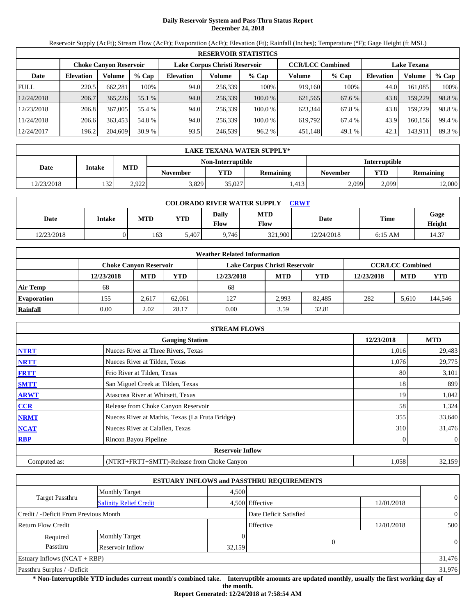# **Daily Reservoir System and Pass-Thru Status Report December 24, 2018**

Reservoir Supply (AcFt); Stream Flow (AcFt); Evaporation (AcFt); Elevation (Ft); Rainfall (Inches); Temperature (°F); Gage Height (ft MSL)

|             | <b>RESERVOIR STATISTICS</b> |                               |         |                               |         |         |                         |         |                    |         |        |  |  |
|-------------|-----------------------------|-------------------------------|---------|-------------------------------|---------|---------|-------------------------|---------|--------------------|---------|--------|--|--|
|             |                             | <b>Choke Canyon Reservoir</b> |         | Lake Corpus Christi Reservoir |         |         | <b>CCR/LCC Combined</b> |         | <b>Lake Texana</b> |         |        |  |  |
| Date        | <b>Elevation</b>            | Volume                        | $%$ Cap | <b>Elevation</b>              | Volume  | $%$ Cap | Volume                  | $%$ Cap | <b>Elevation</b>   | Volume  | % Cap  |  |  |
| <b>FULL</b> | 220.5                       | 662.281                       | 100%    | 94.0                          | 256,339 | 100%    | 919,160                 | 100%    | 44.0               | 161.085 | 100%   |  |  |
| 12/24/2018  | 206.7                       | 365,226                       | 55.1 %  | 94.0                          | 256,339 | 100.0%  | 621,565                 | 67.6 %  | 43.8               | 159,229 | 98.8%  |  |  |
| 12/23/2018  | 206.8                       | 367,005                       | 55.4 %  | 94.0                          | 256.339 | 100.0 % | 623.344                 | 67.8%   | 43.8               | 159.229 | 98.8%  |  |  |
| 11/24/2018  | 206.6                       | 363,453                       | 54.8 %  | 94.0                          | 256.339 | 100.0 % | 619.792                 | 67.4 %  | 43.9               | 160.156 | 99.4 % |  |  |
| 12/24/2017  | 196.2                       | 204,609                       | 30.9%   | 93.5                          | 246,539 | 96.2%   | 451,148                 | 49.1 %  | 42.1               | 143,911 | 89.3 % |  |  |

|            | <b>LAKE TEXANA WATER SUPPLY*</b> |            |                   |                      |                  |                                            |       |        |  |  |  |
|------------|----------------------------------|------------|-------------------|----------------------|------------------|--------------------------------------------|-------|--------|--|--|--|
|            |                                  |            | Non-Interruptible | <b>Interruptible</b> |                  |                                            |       |        |  |  |  |
| Date       | <b>Intake</b>                    | <b>MTD</b> | <b>November</b>   | <b>VTD</b>           | <b>Remaining</b> | <b>YTD</b><br>Remaining<br><b>November</b> |       |        |  |  |  |
| 12/23/2018 | 132                              | 2.922      | 3,829             | 35,027               | 413 <sup>1</sup> | 2,099                                      | 2.099 | 12,000 |  |  |  |

| <b>COLORADO RIVER WATER SUPPLY</b><br>CRWT |        |            |            |               |                    |             |           |                |  |  |
|--------------------------------------------|--------|------------|------------|---------------|--------------------|-------------|-----------|----------------|--|--|
| Date                                       | Intake | <b>MTD</b> | <b>YTD</b> | Daily<br>Flow | <b>MTD</b><br>Flow | <b>Date</b> | Time      | Gage<br>Height |  |  |
| 12/23/2018                                 |        | 1631       | 5.407      | 9.746         | 321,900            | 12/24/2018  | $6:15$ AM | 14.37          |  |  |

|                    | <b>Weather Related Information</b> |            |        |                               |                         |            |            |            |            |  |  |
|--------------------|------------------------------------|------------|--------|-------------------------------|-------------------------|------------|------------|------------|------------|--|--|
|                    | Choke Canvon Reservoir             |            |        | Lake Corpus Christi Reservoir | <b>CCR/LCC Combined</b> |            |            |            |            |  |  |
|                    | 12/23/2018                         | <b>MTD</b> | YTD    | 12/23/2018                    | <b>MTD</b>              | <b>YTD</b> | 12/23/2018 | <b>MTD</b> | <b>YTD</b> |  |  |
| <b>Air Temp</b>    | 68                                 |            |        | 68                            |                         |            |            |            |            |  |  |
| <b>Evaporation</b> | 155                                | 2.617      | 62.061 | 127                           | 2.993                   | 82,485     | 282        | 5.610      | 144,546    |  |  |
| Rainfall           | 0.00                               | 2.02       | 28.17  | 0.00                          | 3.59                    | 32.81      |            |            |            |  |  |

|              | <b>STREAM FLOWS</b>                             |            |                |
|--------------|-------------------------------------------------|------------|----------------|
|              | <b>Gauging Station</b>                          | 12/23/2018 | <b>MTD</b>     |
| <b>NTRT</b>  | Nueces River at Three Rivers, Texas             | 1,016      | 29,483         |
| <b>NRTT</b>  | Nueces River at Tilden, Texas                   | 1,076      | 29,775         |
| <b>FRTT</b>  | Frio River at Tilden, Texas                     | 80         | 3,101          |
| <b>SMTT</b>  | San Miguel Creek at Tilden, Texas               | 18         | 899            |
| <b>ARWT</b>  | Atascosa River at Whitsett, Texas               | 19         | 1,042          |
| <b>CCR</b>   | Release from Choke Canyon Reservoir             | 58         | 1,324          |
| <b>NRMT</b>  | Nueces River at Mathis, Texas (La Fruta Bridge) | 355        | 33,640         |
| <b>NCAT</b>  | Nueces River at Calallen, Texas                 | 310        | 31,476         |
| <b>RBP</b>   | Rincon Bayou Pipeline                           |            | $\overline{0}$ |
|              | <b>Reservoir Inflow</b>                         |            |                |
| Computed as: | (NTRT+FRTT+SMTT)-Release from Choke Canyon      | 1,058      | 32,159         |

|                                       |                               |        | <b>ESTUARY INFLOWS and PASSTHRU REQUIREMENTS</b> |            |                |
|---------------------------------------|-------------------------------|--------|--------------------------------------------------|------------|----------------|
|                                       | <b>Monthly Target</b>         | 4,500  |                                                  |            |                |
| Target Passthru                       | <b>Salinity Relief Credit</b> |        | 4,500 Effective                                  | 12/01/2018 | $\overline{0}$ |
| Credit / -Deficit From Previous Month |                               |        | Date Deficit Satisfied                           |            | $\overline{0}$ |
| <b>Return Flow Credit</b>             |                               |        | Effective                                        | 12/01/2018 | 500            |
| Required                              | <b>Monthly Target</b>         |        |                                                  |            |                |
| Passthru                              | Reservoir Inflow              | 32,159 |                                                  | $\theta$   | $\overline{0}$ |
| Estuary Inflows $(NCAT + RBP)$        |                               |        |                                                  |            | 31,476         |
| Passthru Surplus / -Deficit           |                               |        |                                                  |            | 31,976         |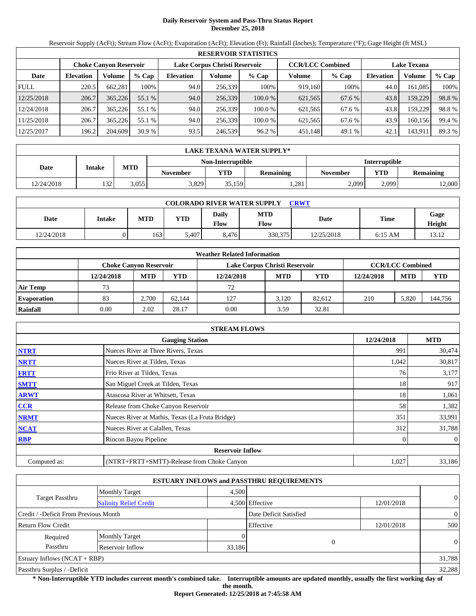# **Daily Reservoir System and Pass-Thru Status Report December 25, 2018**

Reservoir Supply (AcFt); Stream Flow (AcFt); Evaporation (AcFt); Elevation (Ft); Rainfall (Inches); Temperature (°F); Gage Height (ft MSL)

|             | <b>RESERVOIR STATISTICS</b> |                               |                                                                                |                  |         |         |         |         |                  |         |        |  |
|-------------|-----------------------------|-------------------------------|--------------------------------------------------------------------------------|------------------|---------|---------|---------|---------|------------------|---------|--------|--|
|             |                             | <b>Choke Canyon Reservoir</b> | <b>CCR/LCC Combined</b><br>Lake Corpus Christi Reservoir<br><b>Lake Texana</b> |                  |         |         |         |         |                  |         |        |  |
| Date        | <b>Elevation</b>            | Volume                        | $%$ Cap                                                                        | <b>Elevation</b> | Volume  | $%$ Cap | Volume  | $%$ Cap | <b>Elevation</b> | Volume  | % Cap  |  |
| <b>FULL</b> | 220.5                       | 662.281                       | 100%                                                                           | 94.0             | 256,339 | 100%    | 919,160 | 100%    | 44.0             | 161.085 | 100%   |  |
| 12/25/2018  | 206.7                       | 365,226                       | 55.1 %                                                                         | 94.0             | 256,339 | 100.0%  | 621,565 | 67.6 %  | 43.8             | 159,229 | 98.8%  |  |
| 12/24/2018  | 206.7                       | 365,226                       | 55.1 %                                                                         | 94.0             | 256.339 | 100.0 % | 621.565 | 67.6 %  | 43.8             | 159.229 | 98.8%  |  |
| 11/25/2018  | 206.7                       | 365,226                       | 55.1 %                                                                         | 94.0             | 256.339 | 100.0 % | 621,565 | 67.6 %  | 43.9             | 160.156 | 99.4 % |  |
| 12/25/2017  | 196.2                       | 204,609                       | 30.9%                                                                          | 93.5             | 246,539 | 96.2%   | 451,148 | 49.1 %  | 42.1             | 143,911 | 89.3 % |  |

|            | <b>LAKE TEXANA WATER SUPPLY*</b> |            |                 |                   |                  |                      |            |           |  |  |
|------------|----------------------------------|------------|-----------------|-------------------|------------------|----------------------|------------|-----------|--|--|
|            |                                  |            |                 | Non-Interruptible |                  | <b>Interruptible</b> |            |           |  |  |
| Date       | <b>Intake</b>                    | <b>MTD</b> | <b>November</b> | VTD               | <b>Remaining</b> | <b>November</b>      | <b>YTD</b> | Remaining |  |  |
| 12/24/2018 | 132                              | 3,055      | 3,829           | 35,159            | 1,281            | 2,099                | 2.099      | 12,000    |  |  |

| <b>COLORADO RIVER WATER SUPPLY</b><br>CRWT |        |            |            |               |                    |             |           |                |  |  |  |
|--------------------------------------------|--------|------------|------------|---------------|--------------------|-------------|-----------|----------------|--|--|--|
| Date                                       | Intake | <b>MTD</b> | <b>YTD</b> | Daily<br>Flow | <b>MTD</b><br>Flow | <b>Date</b> | Time      | Gage<br>Height |  |  |  |
| 12/24/2018                                 |        | 1631       | 5.407      | 8.476         | 330,375            | 12/25/2018  | $6:15$ AM | 13.12          |  |  |  |

|                    |            |                               |        | <b>Weather Related Information</b> |            |            |            |                         |            |
|--------------------|------------|-------------------------------|--------|------------------------------------|------------|------------|------------|-------------------------|------------|
|                    |            | <b>Choke Canvon Reservoir</b> |        | Lake Corpus Christi Reservoir      |            |            |            | <b>CCR/LCC Combined</b> |            |
|                    | 12/24/2018 | <b>MTD</b>                    | YTD    | 12/24/2018                         | <b>MTD</b> | <b>YTD</b> | 12/24/2018 | <b>MTD</b>              | <b>YTD</b> |
| <b>Air Temp</b>    | 73         |                               |        | 72                                 |            |            |            |                         |            |
| <b>Evaporation</b> | 83         | 2.700                         | 62.144 | 127                                | 3.120      | 82.612     | 210        | 5.820                   | 144,756    |
| Rainfall           | 0.00       | 2.02                          | 28.17  | 0.00                               | 3.59       | 32.81      |            |                         |            |

|              | <b>STREAM FLOWS</b>                             |            |                  |
|--------------|-------------------------------------------------|------------|------------------|
|              | <b>Gauging Station</b>                          | 12/24/2018 | <b>MTD</b>       |
| <b>NTRT</b>  | Nueces River at Three Rivers, Texas             | 991        | 30,474           |
| <b>NRTT</b>  | Nueces River at Tilden, Texas                   | 1,042      | 30,817           |
| <b>FRTT</b>  | Frio River at Tilden, Texas                     | 76         | 3,177            |
| <b>SMTT</b>  | San Miguel Creek at Tilden, Texas               | 18         | 917              |
| <b>ARWT</b>  | Atascosa River at Whitsett, Texas               | 18         | 1,061            |
| CCR          | Release from Choke Canyon Reservoir             | 58         | 1,382            |
| <b>NRMT</b>  | Nueces River at Mathis, Texas (La Fruta Bridge) | 351        | 33,991           |
| <b>NCAT</b>  | Nueces River at Calallen, Texas                 | 312        | 31,788           |
| <b>RBP</b>   | Rincon Bayou Pipeline                           |            | $\boldsymbol{0}$ |
|              | <b>Reservoir Inflow</b>                         |            |                  |
| Computed as: | (NTRT+FRTT+SMTT)-Release from Choke Canyon      | 1,027      | 33,186           |

|                                       |                               |        | <b>ESTUARY INFLOWS and PASSTHRU REQUIREMENTS</b> |            |                |
|---------------------------------------|-------------------------------|--------|--------------------------------------------------|------------|----------------|
|                                       | <b>Monthly Target</b>         | 4.500  |                                                  |            |                |
| Target Passthru                       | <b>Salinity Relief Credit</b> |        | 4,500 Effective                                  | 12/01/2018 | $\overline{0}$ |
| Credit / -Deficit From Previous Month |                               |        | Date Deficit Satisfied                           |            | $\overline{0}$ |
| <b>Return Flow Credit</b>             |                               |        | Effective                                        | 12/01/2018 | 500            |
| Required                              | <b>Monthly Target</b>         |        |                                                  |            |                |
| Passthru                              | Reservoir Inflow              | 33,186 |                                                  | $\Omega$   | $\theta$       |
| Estuary Inflows $(NCAT + RBP)$        |                               |        |                                                  |            | 31,788         |
| Passthru Surplus / -Deficit           |                               |        |                                                  |            | 32,288         |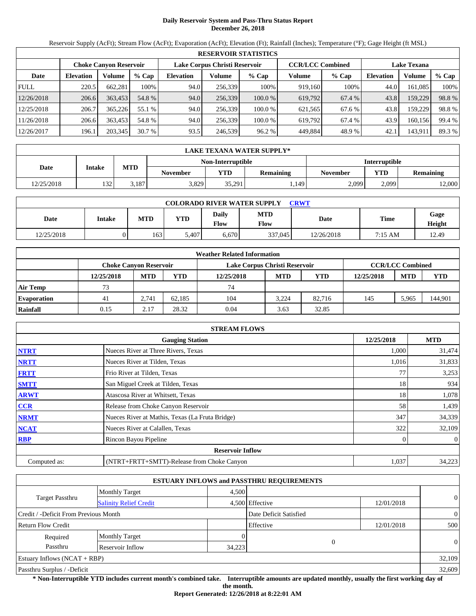# **Daily Reservoir System and Pass-Thru Status Report December 26, 2018**

Reservoir Supply (AcFt); Stream Flow (AcFt); Evaporation (AcFt); Elevation (Ft); Rainfall (Inches); Temperature (°F); Gage Height (ft MSL)

|             | <b>RESERVOIR STATISTICS</b> |                               |         |                                                                                |         |         |         |         |                  |         |        |  |
|-------------|-----------------------------|-------------------------------|---------|--------------------------------------------------------------------------------|---------|---------|---------|---------|------------------|---------|--------|--|
|             |                             | <b>Choke Canyon Reservoir</b> |         | Lake Corpus Christi Reservoir<br><b>CCR/LCC Combined</b><br><b>Lake Texana</b> |         |         |         |         |                  |         |        |  |
| Date        | <b>Elevation</b>            | Volume                        | $%$ Cap | <b>Elevation</b>                                                               | Volume  | $%$ Cap | Volume  | $%$ Cap | <b>Elevation</b> | Volume  | % Cap  |  |
| <b>FULL</b> | 220.5                       | 662,281                       | 100%    | 94.0                                                                           | 256,339 | 100%    | 919.160 | 100%    | 44.0             | 161,085 | 100%   |  |
| 12/26/2018  | 206.6                       | 363,453                       | 54.8 %  | 94.0                                                                           | 256.339 | 100.0 % | 619.792 | 67.4 %  | 43.8             | 159,229 | 98.8%  |  |
| 12/25/2018  | 206.7                       | 365.226                       | 55.1 %  | 94.0                                                                           | 256,339 | 100.0 % | 621,565 | 67.6 %  | 43.8             | 159.229 | 98.8%  |  |
| 11/26/2018  | 206.6                       | 363,453                       | 54.8 %  | 94.0                                                                           | 256.339 | 100.0 % | 619.792 | 67.4%   | 43.9             | 160.156 | 99.4 % |  |
| 12/26/2017  | 196.1                       | 203,345                       | 30.7 %  | 93.5                                                                           | 246,539 | 96.2 %  | 449.884 | 48.9%   | 42.1             | 143,911 | 89.3 % |  |

|            | LAKE TEXANA WATER SUPPLY* |            |                 |                   |                  |                      |            |                  |  |  |  |
|------------|---------------------------|------------|-----------------|-------------------|------------------|----------------------|------------|------------------|--|--|--|
|            |                           |            |                 | Non-Interruptible |                  | <b>Interruptible</b> |            |                  |  |  |  |
| Date       | <b>Intake</b>             | <b>MTD</b> | <b>November</b> | VTD               | <b>Remaining</b> | November             | <b>YTD</b> | <b>Remaining</b> |  |  |  |
| 12/25/2018 | 132                       | 3.187      | 3,829           | 35.291            | 1.149            | 2,099                | 2.099      | 12,000           |  |  |  |

| <b>COLORADO RIVER WATER SUPPLY</b><br>CRWT |        |            |            |               |                    |            |         |                |  |  |
|--------------------------------------------|--------|------------|------------|---------------|--------------------|------------|---------|----------------|--|--|
| Date                                       | Intake | <b>MTD</b> | <b>YTD</b> | Daily<br>Flow | <b>MTD</b><br>Flow | Date       | Time    | Gage<br>Height |  |  |
| 12/25/2018                                 |        | 163 I      | 5.407      | 6.670         | 337,045            | 12/26/2018 | 7:15 AM | 12.49          |  |  |

|                    | <b>Weather Related Information</b> |                        |        |                               |            |            |            |                         |            |  |  |
|--------------------|------------------------------------|------------------------|--------|-------------------------------|------------|------------|------------|-------------------------|------------|--|--|
|                    |                                    | Choke Canvon Reservoir |        | Lake Corpus Christi Reservoir |            |            |            | <b>CCR/LCC Combined</b> |            |  |  |
|                    | 12/25/2018                         | <b>MTD</b>             | YTD    | 12/25/2018                    | <b>MTD</b> | <b>YTD</b> | 12/25/2018 | <b>MTD</b>              | <b>YTD</b> |  |  |
| <b>Air Temp</b>    | 73                                 |                        |        | 74                            |            |            |            |                         |            |  |  |
| <b>Evaporation</b> | 41                                 | 2.741                  | 62.185 | 104                           | 3.224      | 82.716     | 145        | 5.965                   | 144,901    |  |  |
| Rainfall           | 0.15                               | 2.17                   | 28.32  | 0.04                          | 3.63       | 32.85      |            |                         |            |  |  |

|              | <b>STREAM FLOWS</b>                             |            |                |
|--------------|-------------------------------------------------|------------|----------------|
|              | <b>Gauging Station</b>                          | 12/25/2018 | <b>MTD</b>     |
| <b>NTRT</b>  | Nueces River at Three Rivers, Texas             | 1,000      | 31,474         |
| <b>NRTT</b>  | Nueces River at Tilden, Texas                   | 1,016      | 31,833         |
| <b>FRTT</b>  | Frio River at Tilden, Texas                     |            | 3,253          |
| <b>SMTT</b>  | San Miguel Creek at Tilden, Texas               | 18         | 934            |
| <b>ARWT</b>  | Atascosa River at Whitsett, Texas               | 18         | 1,078          |
| <b>CCR</b>   | Release from Choke Canyon Reservoir             | 58         | 1,439          |
| <b>NRMT</b>  | Nueces River at Mathis, Texas (La Fruta Bridge) | 347        | 34,339         |
| <b>NCAT</b>  | Nueces River at Calallen, Texas                 | 322        | 32,109         |
| <b>RBP</b>   | Rincon Bayou Pipeline                           |            | $\overline{0}$ |
|              | <b>Reservoir Inflow</b>                         |            |                |
| Computed as: | (NTRT+FRTT+SMTT)-Release from Choke Canyon      | 1,037      | 34,223         |

|                                       |                               |        | <b>ESTUARY INFLOWS and PASSTHRU REQUIREMENTS</b> |            |                |
|---------------------------------------|-------------------------------|--------|--------------------------------------------------|------------|----------------|
|                                       | <b>Monthly Target</b>         | 4.500  |                                                  |            |                |
| <b>Target Passthru</b>                | <b>Salinity Relief Credit</b> |        | 4,500 Effective                                  | 12/01/2018 | $\overline{0}$ |
| Credit / -Deficit From Previous Month |                               |        | Date Deficit Satisfied                           |            | $\overline{0}$ |
| <b>Return Flow Credit</b>             |                               |        | Effective                                        | 12/01/2018 | 500            |
| Required                              | <b>Monthly Target</b>         |        |                                                  |            |                |
| Passthru                              | Reservoir Inflow              | 34,223 | $\theta$                                         |            | $\Omega$       |
| Estuary Inflows $(NCAT + RBP)$        |                               |        |                                                  |            | 32,109         |
| Passthru Surplus / -Deficit           |                               |        |                                                  |            | 32,609         |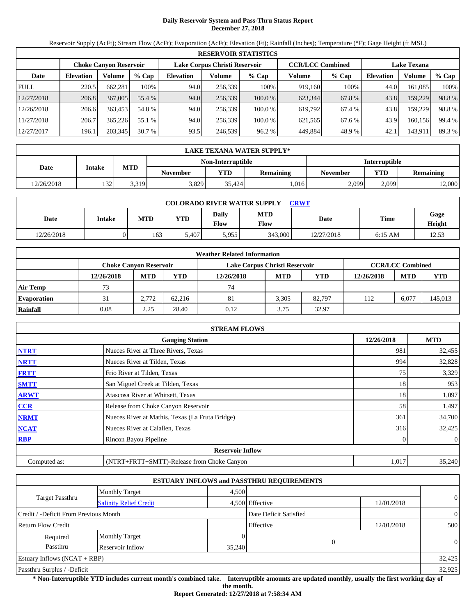# **Daily Reservoir System and Pass-Thru Status Report December 27, 2018**

Reservoir Supply (AcFt); Stream Flow (AcFt); Evaporation (AcFt); Elevation (Ft); Rainfall (Inches); Temperature (°F); Gage Height (ft MSL)

|             | <b>RESERVOIR STATISTICS</b>   |         |         |                  |                               |         |         |                         |                    |         |        |  |
|-------------|-------------------------------|---------|---------|------------------|-------------------------------|---------|---------|-------------------------|--------------------|---------|--------|--|
|             | <b>Choke Canyon Reservoir</b> |         |         |                  | Lake Corpus Christi Reservoir |         |         | <b>CCR/LCC Combined</b> | <b>Lake Texana</b> |         |        |  |
| Date        | <b>Elevation</b>              | Volume  | $%$ Cap | <b>Elevation</b> | Volume                        | $%$ Cap | Volume  | $%$ Cap                 | Elevation          | Volume  | % Cap  |  |
| <b>FULL</b> | 220.5                         | 662,281 | 100%    | 94.0             | 256,339                       | 100%    | 919.160 | 100%                    | 44.0               | 161,085 | 100%   |  |
| 12/27/2018  | 206.8                         | 367,005 | 55.4 %  | 94.0             | 256,339                       | 100.0 % | 623,344 | 67.8 %                  | 43.8               | 159,229 | 98.8%  |  |
| 12/26/2018  | 206.6                         | 363,453 | 54.8 %  | 94.0             | 256,339                       | 100.0 % | 619.792 | 67.4 %                  | 43.8               | 159,229 | 98.8%  |  |
| 11/27/2018  | 206.7                         | 365,226 | 55.1 %  | 94.0             | 256,339                       | 100.0 % | 621,565 | 67.6 %                  | 43.9               | 160,156 | 99.4 % |  |
| 12/27/2017  | 196.1                         | 203,345 | 30.7%   | 93.5             | 246,539                       | 96.2 %  | 449,884 | 48.9%                   | 42.1               | 143,911 | 89.3 % |  |

|            | LAKE TEXANA WATER SUPPLY* |            |                   |                      |           |          |                         |        |  |  |
|------------|---------------------------|------------|-------------------|----------------------|-----------|----------|-------------------------|--------|--|--|
|            |                           |            | Non-Interruptible | <b>Interruptible</b> |           |          |                         |        |  |  |
| Date       | <b>Intake</b>             | <b>MTD</b> | <b>November</b>   | YTD                  | Remaining | November | YTD<br><b>Remaining</b> |        |  |  |
| 12/26/2018 | 132 <sub>1</sub>          | 3.319      | 3,829             | 35.424               | 1.016     | 2,099    | 2.099                   | 12,000 |  |  |

| <b>COLORADO RIVER WATER SUPPLY</b><br>CRWT |        |     |            |               |             |            |           |                |  |  |  |
|--------------------------------------------|--------|-----|------------|---------------|-------------|------------|-----------|----------------|--|--|--|
| Date                                       | Intake | MTD | <b>YTD</b> | Daily<br>Flow | MTD<br>Flow | Date       | Time      | Gage<br>Height |  |  |  |
| 12/26/2018                                 |        | 163 | 5,407      | 5.955         | 343,000     | 12/27/2018 | $6:15$ AM | 12.53          |  |  |  |

|                    |            |                               |        | <b>Weather Related Information</b> |                         |            |            |            |            |
|--------------------|------------|-------------------------------|--------|------------------------------------|-------------------------|------------|------------|------------|------------|
|                    |            | <b>Choke Canvon Reservoir</b> |        | Lake Corpus Christi Reservoir      | <b>CCR/LCC Combined</b> |            |            |            |            |
|                    | 12/26/2018 | <b>MTD</b>                    | YTD    | 12/26/2018                         | <b>MTD</b>              | <b>YTD</b> | 12/26/2018 | <b>MTD</b> | <b>YTD</b> |
| <b>Air Temp</b>    | 73         |                               |        | 74                                 |                         |            |            |            |            |
| <b>Evaporation</b> | 31         | 2.772                         | 62.216 | 81                                 | 3.305                   | 82.797     | 112        | 6.077      | 145,013    |
| Rainfall           | 0.08       | 2.25                          | 28.40  | 0.12                               | 3.75                    | 32.97      |            |            |            |

|              | <b>STREAM FLOWS</b>                             |            |                  |
|--------------|-------------------------------------------------|------------|------------------|
|              | <b>Gauging Station</b>                          | 12/26/2018 | <b>MTD</b>       |
| <b>NTRT</b>  | Nueces River at Three Rivers, Texas             | 981        | 32,455           |
| <b>NRTT</b>  | Nueces River at Tilden, Texas                   | 994        | 32,828           |
| <b>FRTT</b>  | Frio River at Tilden, Texas                     | 75         | 3,329            |
| <b>SMTT</b>  | San Miguel Creek at Tilden, Texas               | 18         | 953              |
| <b>ARWT</b>  | Atascosa River at Whitsett, Texas               | 18         | 1,097            |
| CCR          | Release from Choke Canyon Reservoir             | 58         | 1,497            |
| <b>NRMT</b>  | Nueces River at Mathis, Texas (La Fruta Bridge) | 361        | 34,700           |
| <b>NCAT</b>  | Nueces River at Calallen, Texas                 | 316        | 32,425           |
| <b>RBP</b>   | Rincon Bayou Pipeline                           |            | $\boldsymbol{0}$ |
|              | <b>Reservoir Inflow</b>                         |            |                  |
| Computed as: | (NTRT+FRTT+SMTT)-Release from Choke Canyon      | 1,017      | 35,240           |

|                                       |                               |        | <b>ESTUARY INFLOWS and PASSTHRU REQUIREMENTS</b> |            |                |
|---------------------------------------|-------------------------------|--------|--------------------------------------------------|------------|----------------|
|                                       | <b>Monthly Target</b>         | 4,500  |                                                  |            |                |
| <b>Target Passthru</b>                | <b>Salinity Relief Credit</b> |        | 4,500 Effective                                  | 12/01/2018 | $\overline{0}$ |
| Credit / -Deficit From Previous Month |                               |        | Date Deficit Satisfied                           |            | $\overline{0}$ |
| <b>Return Flow Credit</b>             |                               |        | Effective                                        | 12/01/2018 | 500            |
| Required                              | <b>Monthly Target</b>         |        |                                                  |            |                |
| Passthru                              | Reservoir Inflow              | 35,240 | $\Omega$                                         |            | $\theta$       |
| Estuary Inflows $(NCAT + RBP)$        |                               |        |                                                  |            | 32,425         |
| Passthru Surplus / -Deficit           |                               |        |                                                  |            | 32,925         |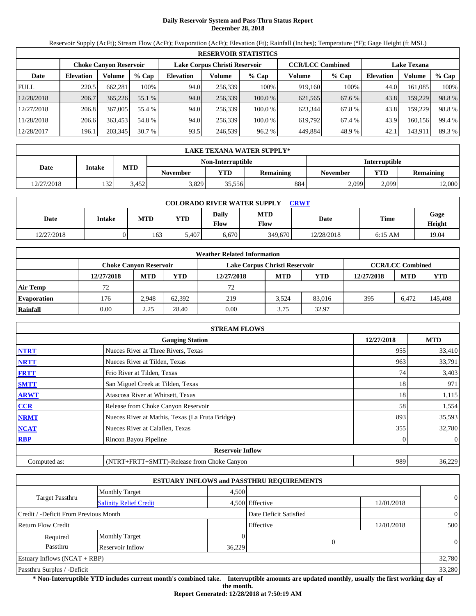# **Daily Reservoir System and Pass-Thru Status Report December 28, 2018**

Reservoir Supply (AcFt); Stream Flow (AcFt); Evaporation (AcFt); Elevation (Ft); Rainfall (Inches); Temperature (°F); Gage Height (ft MSL)

|             | <b>RESERVOIR STATISTICS</b>   |         |         |                  |                               |         |         |                         |                    |         |        |  |
|-------------|-------------------------------|---------|---------|------------------|-------------------------------|---------|---------|-------------------------|--------------------|---------|--------|--|
|             | <b>Choke Canyon Reservoir</b> |         |         |                  | Lake Corpus Christi Reservoir |         |         | <b>CCR/LCC Combined</b> | <b>Lake Texana</b> |         |        |  |
| Date        | <b>Elevation</b>              | Volume  | $%$ Cap | <b>Elevation</b> | Volume                        | $%$ Cap | Volume  | $%$ Cap                 | Elevation          | Volume  | % Cap  |  |
| <b>FULL</b> | 220.5                         | 662,281 | 100%    | 94.0             | 256,339                       | 100%    | 919.160 | 100%                    | 44.0               | 161,085 | 100%   |  |
| 12/28/2018  | 206.7                         | 365,226 | 55.1 %  | 94.0             | 256,339                       | 100.0 % | 621,565 | 67.6 %                  | 43.8               | 159,229 | 98.8%  |  |
| 12/27/2018  | 206.8                         | 367,005 | 55.4 %  | 94.0             | 256,339                       | 100.0 % | 623.344 | 67.8%                   | 43.8               | 159,229 | 98.8%  |  |
| 11/28/2018  | 206.6                         | 363,453 | 54.8 %  | 94.0             | 256,339                       | 100.0 % | 619,792 | 67.4 %                  | 43.9               | 160,156 | 99.4 % |  |
| 12/28/2017  | 196.1                         | 203,345 | 30.7%   | 93.5             | 246,539                       | 96.2 %  | 449,884 | 48.9%                   | 42.1               | 143,911 | 89.3 % |  |

|            | LAKE TEXANA WATER SUPPLY* |            |                 |        |                  |          |                                |                      |  |  |  |
|------------|---------------------------|------------|-----------------|--------|------------------|----------|--------------------------------|----------------------|--|--|--|
|            | Non-Interruptible         |            |                 |        |                  |          |                                | <b>Interruptible</b> |  |  |  |
| Date       | <b>Intake</b>             | <b>MTD</b> | <b>November</b> | VTD    | <b>Remaining</b> | November | <b>YTD</b><br><b>Remaining</b> |                      |  |  |  |
| 12/27/2018 | 132                       | 3.452      | 3,829           | 35,556 | 884              | 2,099    | 2.099                          | 12,000               |  |  |  |

| <b>COLORADO RIVER WATER SUPPLY</b><br>CRWT |        |            |            |               |                    |            |           |                |  |  |  |
|--------------------------------------------|--------|------------|------------|---------------|--------------------|------------|-----------|----------------|--|--|--|
| Date                                       | Intake | <b>MTD</b> | <b>YTD</b> | Daily<br>Flow | <b>MTD</b><br>Flow | Date       | Time      | Gage<br>Height |  |  |  |
| 12/27/2018                                 |        | 163 I      | 5.407      | 6.670         | 349,670            | 12/28/2018 | $6:15$ AM | 19.04          |  |  |  |

|                    | <b>Weather Related Information</b> |            |        |                               |                         |            |            |            |            |  |  |
|--------------------|------------------------------------|------------|--------|-------------------------------|-------------------------|------------|------------|------------|------------|--|--|
|                    | Choke Canvon Reservoir             |            |        | Lake Corpus Christi Reservoir | <b>CCR/LCC Combined</b> |            |            |            |            |  |  |
|                    | 12/27/2018                         | <b>MTD</b> | YTD    | 12/27/2018                    | <b>MTD</b>              | <b>YTD</b> | 12/27/2018 | <b>MTD</b> | <b>YTD</b> |  |  |
| <b>Air Temp</b>    | 72                                 |            |        | 72                            |                         |            |            |            |            |  |  |
| <b>Evaporation</b> | 176                                | 2.948      | 62.392 | 219                           | 3.524                   | 83,016     | 395        | 6.472      | 145,408    |  |  |
| Rainfall           | 0.00                               | 2.25       | 28.40  | 0.00                          | 3.75                    | 32.97      |            |            |            |  |  |

|              | <b>STREAM FLOWS</b>                             |            |                |
|--------------|-------------------------------------------------|------------|----------------|
|              | <b>Gauging Station</b>                          | 12/27/2018 | <b>MTD</b>     |
| <b>NTRT</b>  | Nueces River at Three Rivers, Texas             | 955        | 33,410         |
| <b>NRTT</b>  | Nueces River at Tilden, Texas                   | 963        | 33,791         |
| <b>FRTT</b>  | Frio River at Tilden, Texas                     | 74         | 3,403          |
| <b>SMTT</b>  | San Miguel Creek at Tilden, Texas               | 18         | 971            |
| <b>ARWT</b>  | Atascosa River at Whitsett, Texas               | 18         | 1,115          |
| <b>CCR</b>   | Release from Choke Canyon Reservoir             | 58         | 1,554          |
| <b>NRMT</b>  | Nueces River at Mathis, Texas (La Fruta Bridge) | 893        | 35,593         |
| <b>NCAT</b>  | Nueces River at Calallen, Texas                 | 355        | 32,780         |
| <b>RBP</b>   | Rincon Bayou Pipeline                           |            | $\overline{0}$ |
|              | <b>Reservoir Inflow</b>                         |            |                |
| Computed as: | (NTRT+FRTT+SMTT)-Release from Choke Canyon      | 989        | 36,229         |

|                                                         |                       |        | <b>ESTUARY INFLOWS and PASSTHRU REQUIREMENTS</b> |            |                |  |
|---------------------------------------------------------|-----------------------|--------|--------------------------------------------------|------------|----------------|--|
|                                                         | <b>Monthly Target</b> | 4.500  |                                                  |            |                |  |
| <b>Target Passthru</b><br><b>Salinity Relief Credit</b> |                       |        | 4,500 Effective                                  | 12/01/2018 | $\overline{0}$ |  |
| Credit / -Deficit From Previous Month                   |                       |        | Date Deficit Satisfied                           |            | $\overline{0}$ |  |
| <b>Return Flow Credit</b>                               |                       |        | Effective                                        | 12/01/2018 | 500            |  |
| Required                                                | <b>Monthly Target</b> |        |                                                  |            |                |  |
| Passthru                                                | Reservoir Inflow      | 36,229 | $\Omega$                                         |            | $\overline{0}$ |  |
| Estuary Inflows $(NCAT + RBP)$                          |                       |        |                                                  |            | 32,780         |  |
| Passthru Surplus / -Deficit                             |                       |        |                                                  |            | 33,280         |  |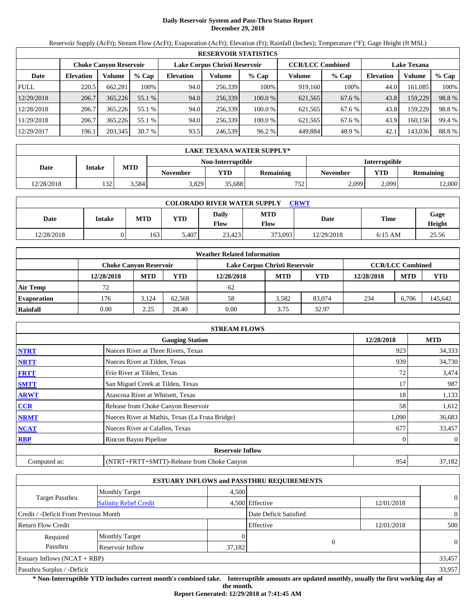# **Daily Reservoir System and Pass-Thru Status Report December 29, 2018**

Reservoir Supply (AcFt); Stream Flow (AcFt); Evaporation (AcFt); Elevation (Ft); Rainfall (Inches); Temperature (°F); Gage Height (ft MSL)

|             | <b>RESERVOIR STATISTICS</b> |                               |         |                               |         |         |                         |         |                    |         |        |  |
|-------------|-----------------------------|-------------------------------|---------|-------------------------------|---------|---------|-------------------------|---------|--------------------|---------|--------|--|
|             |                             | <b>Choke Canyon Reservoir</b> |         | Lake Corpus Christi Reservoir |         |         | <b>CCR/LCC Combined</b> |         | <b>Lake Texana</b> |         |        |  |
| Date        | <b>Elevation</b>            | Volume                        | $%$ Cap | <b>Elevation</b>              | Volume  | $%$ Cap | Volume                  | $%$ Cap | Elevation          | Volume  | % Cap  |  |
| <b>FULL</b> | 220.5                       | 662,281                       | 100%    | 94.0                          | 256,339 | 100%    | 919.160                 | 100%    | 44.0               | 161,085 | 100%   |  |
| 12/29/2018  | 206.7                       | 365,226                       | 55.1 %  | 94.0                          | 256,339 | 100.0 % | 621,565                 | 67.6 %  | 43.8               | 159,229 | 98.8%  |  |
| 12/28/2018  | 206.7                       | 365,226                       | 55.1 %  | 94.0                          | 256,339 | 100.0 % | 621,565                 | 67.6 %  | 43.8               | 159,229 | 98.8%  |  |
| 11/29/2018  | 206.7                       | 365,226                       | 55.1 %  | 94.0                          | 256,339 | 100.0 % | 621,565                 | 67.6 %  | 43.9               | 160,156 | 99.4 % |  |
| 12/29/2017  | 196.1                       | 203,345                       | 30.7%   | 93.5                          | 246,539 | 96.2 %  | 449,884                 | 48.9%   | 42.1               | 143,036 | 88.8%  |  |

|            | LAKE TEXANA WATER SUPPLY* |                      |                 |        |           |                                            |       |        |  |  |
|------------|---------------------------|----------------------|-----------------|--------|-----------|--------------------------------------------|-------|--------|--|--|
|            |                           | <b>Interruptible</b> |                 |        |           |                                            |       |        |  |  |
| Date       | <b>Intake</b>             | <b>MTD</b>           | <b>November</b> | YTD    | Remaining | <b>YTD</b><br>Remaining<br><b>November</b> |       |        |  |  |
| 12/28/2018 | 132                       | 3.584                | 3,829           | 35.688 | 752       | 2,099                                      | 2.099 | 12,000 |  |  |

| <b>COLORADO RIVER WATER SUPPLY</b><br>CRWT |               |            |            |               |                    |            |             |                |  |  |
|--------------------------------------------|---------------|------------|------------|---------------|--------------------|------------|-------------|----------------|--|--|
| Date                                       | <b>Intake</b> | <b>MTD</b> | <b>YTD</b> | Daily<br>Flow | <b>MTD</b><br>Flow | Date       | <b>Time</b> | Gage<br>Height |  |  |
| 12/28/2018                                 | )             | 163        | 5.407      | 23.423        | 373,093            | 12/29/2018 | $6:15$ AM   | 25.56          |  |  |

|                    |            |                               |        | <b>Weather Related Information</b> |                         |            |            |            |            |
|--------------------|------------|-------------------------------|--------|------------------------------------|-------------------------|------------|------------|------------|------------|
|                    |            | <b>Choke Canvon Reservoir</b> |        | Lake Corpus Christi Reservoir      | <b>CCR/LCC Combined</b> |            |            |            |            |
|                    | 12/28/2018 | <b>MTD</b>                    | YTD    | 12/28/2018                         | <b>MTD</b>              | <b>YTD</b> | 12/28/2018 | <b>MTD</b> | <b>YTD</b> |
| <b>Air Temp</b>    | 72         |                               |        | 62                                 |                         |            |            |            |            |
| <b>Evaporation</b> | 176        | 3.124                         | 62.568 | 58                                 | 3.582                   | 83,074     | 234        | 6.706      | 145,642    |
| Rainfall           | 0.00       | 2.25                          | 28.40  | 0.00                               | 3.75                    | 32.97      |            |            |            |

|              | <b>STREAM FLOWS</b>                             |            |                |
|--------------|-------------------------------------------------|------------|----------------|
|              | <b>Gauging Station</b>                          | 12/28/2018 | <b>MTD</b>     |
| <b>NTRT</b>  | Nueces River at Three Rivers, Texas             | 923        | 34,333         |
| <b>NRTT</b>  | Nueces River at Tilden, Texas                   | 939        | 34,730         |
| <b>FRTT</b>  | Frio River at Tilden, Texas                     | 72         | 3,474          |
| <b>SMTT</b>  | San Miguel Creek at Tilden, Texas               | 17         | 987            |
| <b>ARWT</b>  | Atascosa River at Whitsett, Texas               | 18         | 1,133          |
| <b>CCR</b>   | Release from Choke Canyon Reservoir             | 58         | 1,612          |
| <b>NRMT</b>  | Nueces River at Mathis, Texas (La Fruta Bridge) | 1,090      | 36,683         |
| <b>NCAT</b>  | Nueces River at Calallen, Texas                 | 677        | 33,457         |
| <b>RBP</b>   | Rincon Bayou Pipeline                           |            | $\overline{0}$ |
|              | <b>Reservoir Inflow</b>                         |            |                |
| Computed as: | (NTRT+FRTT+SMTT)-Release from Choke Canyon      | 954        | 37,182         |

|                                                  |                       |        | <b>ESTUARY INFLOWS and PASSTHRU REQUIREMENTS</b> |            |                |
|--------------------------------------------------|-----------------------|--------|--------------------------------------------------|------------|----------------|
|                                                  | <b>Monthly Target</b> | 4,500  |                                                  |            |                |
| Target Passthru<br><b>Salinity Relief Credit</b> |                       |        | 4,500 Effective                                  | 12/01/2018 | $\overline{0}$ |
| Credit / -Deficit From Previous Month            |                       |        | Date Deficit Satisfied                           |            | $\overline{0}$ |
| <b>Return Flow Credit</b>                        |                       |        | Effective                                        | 12/01/2018 | 500            |
| Required                                         | <b>Monthly Target</b> |        |                                                  |            |                |
| Passthru                                         | Reservoir Inflow      | 37,182 |                                                  | $\theta$   | $\overline{0}$ |
| Estuary Inflows $(NCAT + RBP)$                   |                       |        |                                                  |            | 33,457         |
| Passthru Surplus / -Deficit                      |                       |        |                                                  |            | 33,957         |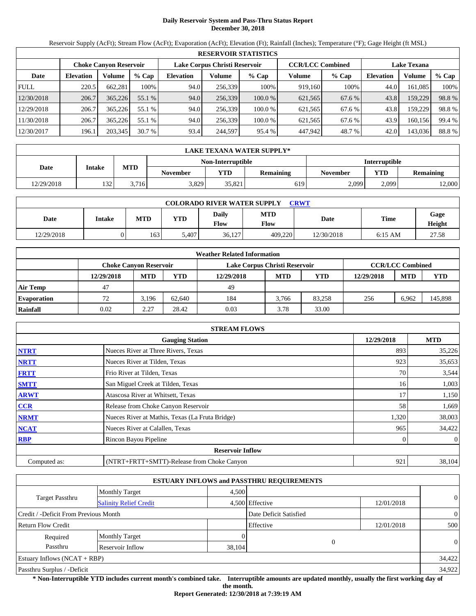# **Daily Reservoir System and Pass-Thru Status Report December 30, 2018**

Reservoir Supply (AcFt); Stream Flow (AcFt); Evaporation (AcFt); Elevation (Ft); Rainfall (Inches); Temperature (°F); Gage Height (ft MSL)

|             | <b>RESERVOIR STATISTICS</b> |                               |         |                               |         |         |                         |         |                    |         |        |  |  |
|-------------|-----------------------------|-------------------------------|---------|-------------------------------|---------|---------|-------------------------|---------|--------------------|---------|--------|--|--|
|             |                             | <b>Choke Canyon Reservoir</b> |         | Lake Corpus Christi Reservoir |         |         | <b>CCR/LCC Combined</b> |         | <b>Lake Texana</b> |         |        |  |  |
| Date        | <b>Elevation</b>            | Volume                        | $%$ Cap | <b>Elevation</b>              | Volume  | $%$ Cap | Volume                  | $%$ Cap | Elevation          | Volume  | % Cap  |  |  |
| <b>FULL</b> | 220.5                       | 662,281                       | 100%    | 94.0                          | 256.339 | 100%    | 919.160                 | 100%    | 44.0               | 161.085 | 100%   |  |  |
| 12/30/2018  | 206.7                       | 365,226                       | 55.1 %  | 94.0                          | 256,339 | 100.0 % | 621,565                 | 67.6 %  | 43.8               | 159,229 | 98.8%  |  |  |
| 12/29/2018  | 206.7                       | 365,226                       | 55.1 %  | 94.0                          | 256.339 | 100.0 % | 621.565                 | 67.6 %  | 43.8               | 159,229 | 98.8%  |  |  |
| 11/30/2018  | 206.7                       | 365,226                       | 55.1 %  | 94.0                          | 256.339 | 100.0 % | 621,565                 | 67.6 %  | 43.9               | 160.156 | 99.4 % |  |  |
| 12/30/2017  | 196.1                       | 203,345                       | 30.7%   | 93.4                          | 244,597 | 95.4 %  | 447.942                 | 48.7 %  | 42.0               | 143,036 | 88.8%  |  |  |

|                   | LAKE TEXANA WATER SUPPLY* |            |                 |        |           |                                            |       |                      |  |  |
|-------------------|---------------------------|------------|-----------------|--------|-----------|--------------------------------------------|-------|----------------------|--|--|
| Non-Interruptible |                           |            |                 |        |           |                                            |       | <b>Interruptible</b> |  |  |
| Date              | <b>Intake</b>             | <b>MTD</b> | <b>November</b> | YTD    | Remaining | <b>YTD</b><br>Remaining<br><b>November</b> |       |                      |  |  |
| 12/29/2018        | 132                       | 3.716      | 3,829           | 35.821 | 619       | 2,099                                      | 2.099 | 12,000               |  |  |

| <b>COLORADO RIVER WATER SUPPLY</b><br>CRWT |               |            |            |               |                    |            |             |                |  |  |
|--------------------------------------------|---------------|------------|------------|---------------|--------------------|------------|-------------|----------------|--|--|
| Date                                       | <b>Intake</b> | <b>MTD</b> | <b>YTD</b> | Daily<br>Flow | <b>MTD</b><br>Flow | Date       | <b>Time</b> | Gage<br>Height |  |  |
| 12/29/2018                                 | )             | 163        | 5.407      | 36,127        | 409.220            | 12/30/2018 | $6:15$ AM   | 27.58          |  |  |

|                    |            |                               |        | <b>Weather Related Information</b> |                         |            |            |            |            |
|--------------------|------------|-------------------------------|--------|------------------------------------|-------------------------|------------|------------|------------|------------|
|                    |            | <b>Choke Canvon Reservoir</b> |        | Lake Corpus Christi Reservoir      | <b>CCR/LCC Combined</b> |            |            |            |            |
|                    | 12/29/2018 | <b>MTD</b>                    | YTD    | 12/29/2018                         | <b>MTD</b>              | <b>YTD</b> | 12/29/2018 | <b>MTD</b> | <b>YTD</b> |
| <b>Air Temp</b>    | 47         |                               |        | 49                                 |                         |            |            |            |            |
| <b>Evaporation</b> | 72         | 3.196                         | 62.640 | 184                                | 3.766                   | 83.258     | 256        | 6.962      | 145,898    |
| Rainfall           | 0.02       | 2.27                          | 28.42  | 0.03                               | 3.78                    | 33.00      |            |            |            |

|              | <b>STREAM FLOWS</b>                             |            |                |
|--------------|-------------------------------------------------|------------|----------------|
|              | <b>Gauging Station</b>                          | 12/29/2018 | <b>MTD</b>     |
| <b>NTRT</b>  | Nueces River at Three Rivers, Texas             | 893        | 35,226         |
| <b>NRTT</b>  | Nueces River at Tilden, Texas                   | 923        | 35,653         |
| <b>FRTT</b>  | Frio River at Tilden, Texas                     | 70         | 3,544          |
| <b>SMTT</b>  | San Miguel Creek at Tilden, Texas               | 16         | 1,003          |
| <b>ARWT</b>  | Atascosa River at Whitsett, Texas               | 17         | 1,150          |
| CCR          | Release from Choke Canyon Reservoir             | 58         | 1,669          |
| <b>NRMT</b>  | Nueces River at Mathis, Texas (La Fruta Bridge) | 1,320      | 38,003         |
| <b>NCAT</b>  | Nueces River at Calallen, Texas                 | 965        | 34,422         |
| <b>RBP</b>   | Rincon Bayou Pipeline                           |            | $\overline{0}$ |
|              | <b>Reservoir Inflow</b>                         |            |                |
| Computed as: | (NTRT+FRTT+SMTT)-Release from Choke Canyon      | 921        | 38,104         |

|                                                         |                       |        | <b>ESTUARY INFLOWS and PASSTHRU REQUIREMENTS</b> |            |                |  |
|---------------------------------------------------------|-----------------------|--------|--------------------------------------------------|------------|----------------|--|
|                                                         | <b>Monthly Target</b> | 4,500  |                                                  |            |                |  |
| <b>Target Passthru</b><br><b>Salinity Relief Credit</b> |                       |        | 4,500 Effective                                  | 12/01/2018 | $\overline{0}$ |  |
| Credit / -Deficit From Previous Month                   |                       |        | Date Deficit Satisfied                           |            | $\overline{0}$ |  |
| <b>Return Flow Credit</b>                               |                       |        | Effective                                        | 12/01/2018 | 500            |  |
| Required                                                | <b>Monthly Target</b> |        |                                                  |            |                |  |
| Passthru                                                | Reservoir Inflow      | 38,104 | $\theta$                                         |            | $\theta$       |  |
| Estuary Inflows $(NCAT + RBP)$                          |                       |        |                                                  |            | 34,422         |  |
| Passthru Surplus / -Deficit                             |                       |        |                                                  |            | 34,922         |  |